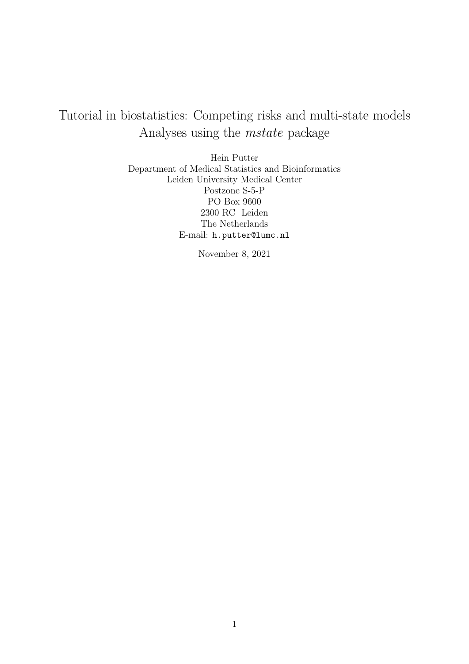# Tutorial in biostatistics: Competing risks and multi-state models Analyses using the mstate package

Hein Putter Department of Medical Statistics and Bioinformatics Leiden University Medical Center Postzone S-5-P PO Box 9600 2300 RC Leiden The Netherlands E-mail: h.putter@lumc.nl

November 8, 2021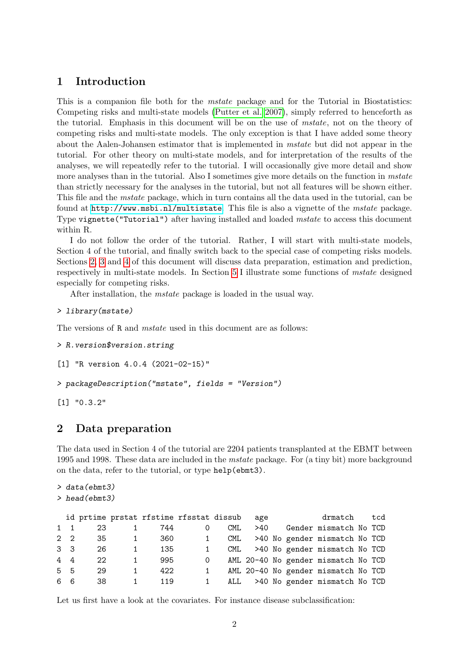# 1 Introduction

This is a companion file both for the *mstate* package and for the Tutorial in Biostatistics: Competing risks and multi-state models [\(Putter et al. 2007\)](#page-63-0), simply referred to henceforth as the tutorial. Emphasis in this document will be on the use of mstate, not on the theory of competing risks and multi-state models. The only exception is that I have added some theory about the Aalen-Johansen estimator that is implemented in mstate but did not appear in the tutorial. For other theory on multi-state models, and for interpretation of the results of the analyses, we will repeatedly refer to the tutorial. I will occasionally give more detail and show more analyses than in the tutorial. Also I sometimes give more details on the function in *mstate* than strictly necessary for the analyses in the tutorial, but not all features will be shown either. This file and the mstate package, which in turn contains all the data used in the tutorial, can be found at <http://www.msbi.nl/multistate>. This file is also a vignette of the mstate package. Type vignette("Tutorial") after having installed and loaded mstate to access this document within R.

I do not follow the order of the tutorial. Rather, I will start with multi-state models, Section 4 of the tutorial, and finally switch back to the special case of competing risks models. Sections [2,](#page-1-0) [3](#page-6-0) and [4](#page-10-0) of this document will discuss data preparation, estimation and prediction, respectively in multi-state models. In Section [5](#page-47-0) I illustrate some functions of mstate designed especially for competing risks.

After installation, the mstate package is loaded in the usual way.

```
> library(mstate)
```
The versions of R and *mstate* used in this document are as follows:

```
> R.version$version.string
```

```
[1] "R version 4.0.4 (2021-02-15)"
```

```
> packageDescription("mstate", fields = "Version")
```
[1] "0.3.2"

## <span id="page-1-0"></span>2 Data preparation

The data used in Section 4 of the tutorial are 2204 patients transplanted at the EBMT between 1995 and 1998. These data are included in the mstate package. For (a tiny bit) more background on the data, refer to the tutorial, or type help(ebmt3).

```
> data(ebmt3)
```

```
> head(ebmt3)
```

|                |    | id prtime prstat rfstime rfsstat dissub |   |      | age |  | drmatch                             | tcd |
|----------------|----|-----------------------------------------|---|------|-----|--|-------------------------------------|-----|
| $1 \quad 1$    | 23 | 744                                     | O | CML. | >40 |  | Gender mismatch No TCD              |     |
| $2\quad 2$     | 35 | 360                                     |   | CML. |     |  | >40 No gender mismatch No TCD       |     |
| 3 <sub>3</sub> | 26 | 135                                     |   | CML. |     |  | >40 No gender mismatch No TCD       |     |
| $4\quad 4$     | 22 | 995                                     | 0 |      |     |  | AML 20-40 No gender mismatch No TCD |     |
| 5 5            | 29 | 422                                     |   |      |     |  | AML 20-40 No gender mismatch No TCD |     |
| 66             | 38 | 119                                     |   | ALL  |     |  | >40 No gender mismatch No TCD       |     |

Let us first have a look at the covariates. For instance disease subclassification: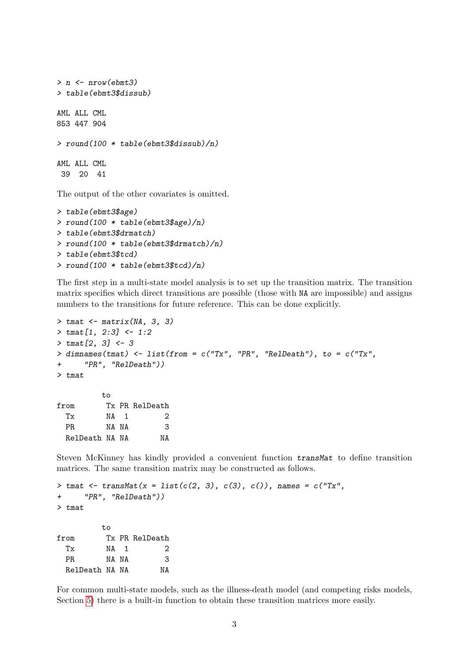```
> n <- nrow(ebmt3)
> table(ebmt3$dissub)
AML ALL CML
853 447 904
> round(100 * table(ebmt3$dissub)/n)
AML ALL CML
39 20 41
```
The output of the other covariates is omitted.

```
> table(ebmt3$age)
> round(100 * table(ebmt3$age)/n)
> table(ebmt3$drmatch)
> round(100 * table(ebmt3$drmatch)/n)
> table(ebmt3$tcd)
> round(100 * table(ebmt3$tcd)/n)
```
The first step in a multi-state model analysis is to set up the transition matrix. The transition matrix specifies which direct transitions are possible (those with NA are impossible) and assigns numbers to the transitions for future reference. This can be done explicitly.

```
> tmat <- matrix(NA, 3, 3)
> tmat [1, 2:3] <- 1:2
> tmat[2, 3] <- 3
> dimnames(tmat) \le list(from = c("Tx", "PR", "RelDeath"), to = c("Tx",
+ "PR", "RelDeath"))
> tmat
        to
from Tx PR RelDeath
 Tx NA 1 2
 PR NA NA 3
 RelDeath NA NA NA
```
Steven McKinney has kindly provided a convenient function transMat to define transition matrices. The same transition matrix may be constructed as follows.

```
> tmat <- transMat(x = list(c(2, 3), c(3), c()), names = c("Tx",
+ "PR", "RelDeath"))
> tmat
        t<sub>0</sub>from Tx PR RelDeath
 Tx NA 1 2
 PR NA NA 3
 RelDeath NA NA NA
```
For common multi-state models, such as the illness-death model (and competing risks models, Section [5\)](#page-47-0) there is a built-in function to obtain these transition matrices more easily.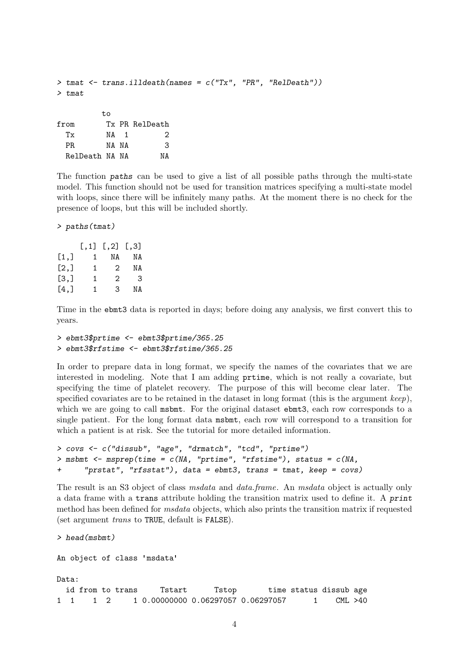```
> tmat \le trans.illdeath(names = c("Tx", "PR", "RelDeath")))
> tmat
        to
from Tx PR RelDeath
 Tx NA 1 2
 PR NA NA 3
 RelDeath NA NA NA
```
The function paths can be used to give a list of all possible paths through the multi-state model. This function should not be used for transition matrices specifying a multi-state model with loops, since there will be infinitely many paths. At the moment there is no check for the presence of loops, but this will be included shortly.

> paths(tmat)

|      |    | $[, 1]$ $[, 2]$ $[, 3]$ |    |
|------|----|-------------------------|----|
| [1,] | 1  | ΝA                      | ΝA |
| [2,] | 1. | 2                       | ΝA |
| [3,] | 1  | 2                       | 3  |
| [4,] | 1  | 3                       | ΝA |

Time in the ebmt3 data is reported in days; before doing any analysis, we first convert this to years.

```
> ebmt3$prtime <- ebmt3$prtime/365.25
> ebmt3$rfstime <- ebmt3$rfstime/365.25
```
In order to prepare data in long format, we specify the names of the covariates that we are interested in modeling. Note that I am adding prtime, which is not really a covariate, but specifying the time of platelet recovery. The purpose of this will become clear later. The specified covariates are to be retained in the dataset in long format (this is the argument  $keep$ ), which we are going to call msbmt. For the original dataset ebmt3, each row corresponds to a single patient. For the long format data msbmt, each row will correspond to a transition for which a patient is at risk. See the tutorial for more detailed information.

```
> covs <- c("dissub", "age", "drmatch", "tcd", "prtime")
> msbmt \leq msprep(time = c(NA, "prtime", "rfstime"), status = c(NA,
+ "prstat", "rfsstat"), data = ebmt3, trans = tmat, keep = covs)
```
The result is an S3 object of class *msdata* and *data.frame.* An *msdata* object is actually only a data frame with a trans attribute holding the transition matrix used to define it. A print method has been defined for msdata objects, which also prints the transition matrix if requested (set argument trans to TRUE, default is FALSE).

```
> head(msbmt)
An object of class 'msdata'
Data:
 id from to trans Tstart Tstop time status dissub age
1 1 1 2 1 0.00000000 0.06297057 0.06297057 1 CML >40
```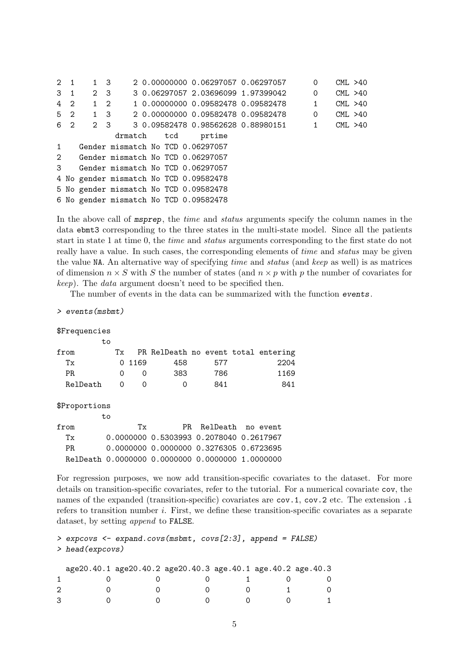2 1 1 3 2 0.00000000 0.06297057 0.06297057 0 CML >40 3 1 2 3 3 0.06297057 2.03696099 1.97399042 0 CML >40 4 2 1 2 1 0.00000000 0.09582478 0.09582478 1 CML >40 5 2 1 3 2 0.00000000 0.09582478 0.09582478 0 CML >40 6 2 2 3 3 0.09582478 0.98562628 0.88980151 1 CML >40 drmatch tcd prtime 1 Gender mismatch No TCD 0.06297057 2 Gender mismatch No TCD 0.06297057 3 Gender mismatch No TCD 0.06297057 4 No gender mismatch No TCD 0.09582478 5 No gender mismatch No TCD 0.09582478 6 No gender mismatch No TCD 0.09582478

In the above call of *msprep*, the *time* and *status* arguments specify the column names in the data ebmt3 corresponding to the three states in the multi-state model. Since all the patients start in state 1 at time 0, the time and status arguments corresponding to the first state do not really have a value. In such cases, the corresponding elements of *time* and *status* may be given the value NA. An alternative way of specifying time and status (and keep as well) is as matrices of dimension  $n \times S$  with S the number of states (and  $n \times p$  with p the number of covariates for keep). The data argument doesn't need to be specified then.

The number of events in the data can be summarized with the function events.

> events(msbmt)

\$Frequencies

|          | tο |    |                  |                                     |     |      |
|----------|----|----|------------------|-------------------------------------|-----|------|
| from     |    | Tx |                  | PR RelDeath no event total entering |     |      |
| Тx       |    |    | 0 1169           | 458                                 | 577 | 2204 |
| PR.      |    | 0  | $\left( \right)$ | 383                                 | 786 | 1169 |
| RelDeath |    |    |                  |                                     | 841 | 841  |

\$Proportions

to

| from | Тv |                                                  | PR RelDeath no event |  |
|------|----|--------------------------------------------------|----------------------|--|
| Тv   |    |                                                  |                      |  |
| PR.  |    | 0.0000000 0.0000000 0.3276305 0.6723695          |                      |  |
|      |    | RelDeath 0.0000000 0.0000000 0.0000000 1.0000000 |                      |  |

For regression purposes, we now add transition-specific covariates to the dataset. For more details on transition-specific covariates, refer to the tutorial. For a numerical covariate cov, the names of the expanded (transition-specific) covariates are cov. 1, cov. 2 etc. The extension . i refers to transition number i. First, we define these transition-specific covariates as a separate dataset, by setting append to FALSE.

```
> expcovs <- expand.covs(msbmt, covs[2:3], append = FALSE)
> head(expcovs)
```

|  | age20.40.1 age20.40.2 age20.40.3 age.40.1 age.40.2 age.40.3 |  |  |
|--|-------------------------------------------------------------|--|--|
|  |                                                             |  |  |
|  |                                                             |  |  |
|  |                                                             |  |  |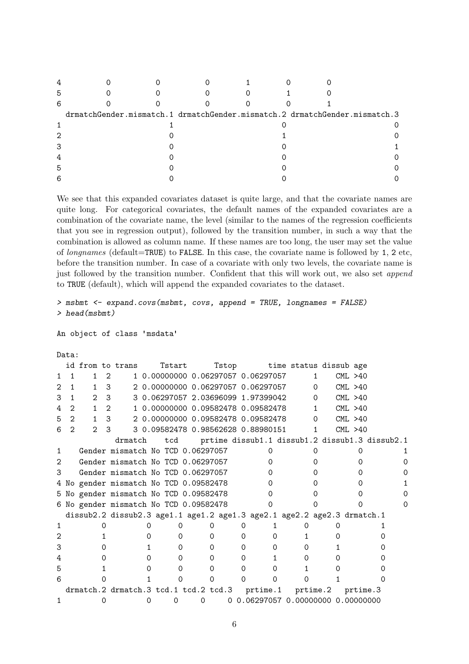| 5 |                                                                            |  |  |  |
|---|----------------------------------------------------------------------------|--|--|--|
| 6 |                                                                            |  |  |  |
|   | drmatchGender.mismatch.1 drmatchGender.mismatch.2 drmatchGender.mismatch.3 |  |  |  |
|   |                                                                            |  |  |  |
| っ |                                                                            |  |  |  |
| 3 |                                                                            |  |  |  |
|   |                                                                            |  |  |  |
| 5 |                                                                            |  |  |  |
| 6 |                                                                            |  |  |  |

We see that this expanded covariates dataset is quite large, and that the covariate names are quite long. For categorical covariates, the default names of the expanded covariates are a combination of the covariate name, the level (similar to the names of the regression coefficients that you see in regression output), followed by the transition number, in such a way that the combination is allowed as column name. If these names are too long, the user may set the value of longnames (default=TRUE) to FALSE. In this case, the covariate name is followed by 1, 2 etc, before the transition number. In case of a covariate with only two levels, the covariate name is just followed by the transition number. Confident that this will work out, we also set append to TRUE (default), which will append the expanded covariates to the dataset.

```
> msbmt <- expand.covs(msbmt, covs, append = TRUE, longnames = FALSE)
> head(msbmt)
```
An object of class 'msdata'

#### Data:

|   |                |               |                             | id from to trans                                                        | Tstart   |   |   | Tstop time status dissub age                   |    |                        |          |  |
|---|----------------|---------------|-----------------------------|-------------------------------------------------------------------------|----------|---|---|------------------------------------------------|----|------------------------|----------|--|
|   |                | 1.            | 2                           |                                                                         |          |   |   | 1 0.00000000 0.06297057 0.06297057             | 1. |                        | CML > 40 |  |
| 2 | 1.             | $1 \quad$     | 3                           |                                                                         |          |   |   | 2 0.00000000 0.06297057 0.06297057             |    | $0 \qquad \qquad$      | CML > 40 |  |
| 3 |                |               | 2 <sup>3</sup>              |                                                                         |          |   |   | 3 0.06297057 2.03696099 1.97399042             |    | $0 \qquad \qquad$      | CML > 40 |  |
| 4 | $\mathcal{L}$  | 1             | $\mathcal{D}_{\mathcal{L}}$ |                                                                         |          |   |   | 1  0.00000000  0.09582478  0.09582478          |    | $1 \quad$              | CML > 40 |  |
| 5 | $\overline{2}$ | $1 \quad$     | 3                           |                                                                         |          |   |   |                                                |    | $\Omega$               | CML > 40 |  |
| 6 | $\mathcal{D}$  | $\mathcal{D}$ | 3                           |                                                                         |          |   |   | 3 0.09582478 0.98562628 0.88980151             |    | $1 \quad \blacksquare$ | CML > 40 |  |
|   |                |               |                             | drmatch                                                                 | tcd      |   |   | prtime dissub1.1 dissub1.2 dissub1.3 dissub2.1 |    |                        |          |  |
|   |                |               |                             | Gender mismatch No TCD 0.06297057                                       |          |   |   |                                                |    |                        |          |  |
| 2 |                |               |                             | Gender mismatch No TCD 0.06297057                                       |          |   |   |                                                |    |                        |          |  |
| З |                |               |                             | Gender mismatch No TCD 0.06297057                                       |          |   |   |                                                |    |                        |          |  |
|   |                |               |                             | 4 No gender mismatch No TCD 0.09582478                                  |          |   |   |                                                |    |                        |          |  |
|   |                |               |                             | 5 No gender mismatch No TCD 0.09582478                                  |          |   |   |                                                |    |                        |          |  |
|   |                |               |                             | 6 No gender mismatch No TCD 0.09582478                                  |          |   |   |                                                |    |                        |          |  |
|   |                |               |                             | dissub2.2 dissub2.3 age1.1 age1.2 age1.3 age2.1 age2.2 age2.3 drmatch.1 |          |   |   |                                                |    |                        |          |  |
|   |                |               |                             |                                                                         |          |   |   |                                                |    |                        |          |  |
| 2 |                |               |                             |                                                                         |          |   |   |                                                |    |                        |          |  |
| З |                |               |                             |                                                                         |          |   | 0 |                                                | 0  |                        |          |  |
|   |                |               |                             |                                                                         | $\Omega$ |   | 0 |                                                |    |                        |          |  |
| 5 |                |               |                             |                                                                         |          |   |   |                                                |    |                        |          |  |
| 6 |                |               |                             |                                                                         |          |   |   |                                                |    |                        |          |  |
|   |                |               |                             | drmatch.2 drmatch.3 tcd.1 tcd.2 tcd.3                                   |          |   |   | prtime.1 prtime.2                              |    |                        | prtime.3 |  |
|   |                |               |                             |                                                                         | 0        | Ω |   | 0 0.06297057 0.00000000 0.00000000             |    |                        |          |  |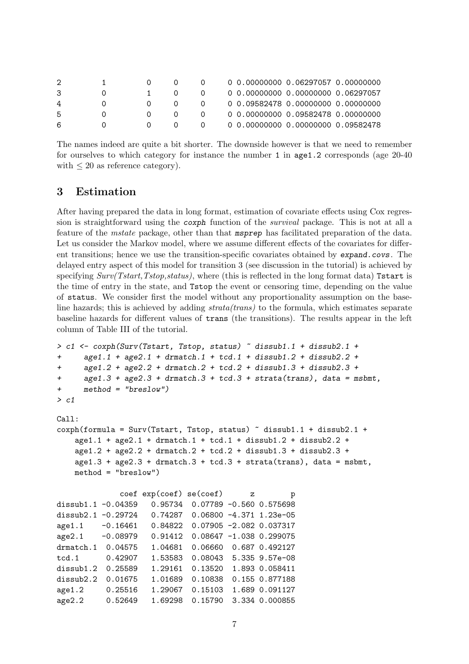|   |  |                | 0  0.00000000  0.06297057  0.00000000 |
|---|--|----------------|---------------------------------------|
|   |  | $\Omega$       | 0 0.00000000 0.00000000 0.06297057    |
| 4 |  | $\Omega$       | 0 0.09582478 0.00000000 0.00000000    |
| 5 |  | $\Omega$       | 0 0.00000000 0.09582478 0.00000000    |
| 6 |  | $\overline{0}$ | 0 0.00000000 0.00000000 0.09582478    |

The names indeed are quite a bit shorter. The downside however is that we need to remember for ourselves to which category for instance the number 1 in age1.2 corresponds (age 20-40 with  $\leq 20$  as reference category).

### <span id="page-6-0"></span>3 Estimation

After having prepared the data in long format, estimation of covariate effects using Cox regression is straightforward using the coxph function of the survival package. This is not at all a feature of the mstate package, other than that msprep has facilitated preparation of the data. Let us consider the Markov model, where we assume different effects of the covariates for different transitions; hence we use the transition-specific covariates obtained by expand.covs. The delayed entry aspect of this model for transition 3 (see discussion in the tutorial) is achieved by specifying  $Surv(Tstart,Tstop,status)$ , where (this is reflected in the long format data) Tstart is the time of entry in the state, and Tstop the event or censoring time, depending on the value of status. We consider first the model without any proportionality assumption on the baseline hazards; this is achieved by adding strata(trans) to the formula, which estimates separate baseline hazards for different values of trans (the transitions). The results appear in the left column of Table III of the tutorial.

```
> c1 <- coxph(Surv(Tstart, Tstop, status) ~ dissub1.1 + dissub2.1 +
+ age1.1 + age2.1 + drmatch.1 + tcd.1 + dissub1.2 + dissub2.2 +
+ age1.2 + age2.2 + drmatch.2 + tcd.2 + dissub1.3 + dissub2.3 +
+ age1.3 + age2.3 + drmatch.3 + tcd.3 + strata(trans), data = msbmt,
+ method = "breslow")
> c1
Call:
coxph(formula = Surv(Tstart, Tstop, status) ~ dissub1.1 + dissub2.1 +
   age1.1 + age2.1 + drmatch.1 + tcd.1 + dissub1.2 + dissub2.2 +
   age1.2 + age2.2 + dramatch.2 + tcd.2 + dissub1.3 + dissub2.3 +age1.3 + age2.3 + dramatch.3 + tcd.3 + strata(trains), data = msbmt,method = "breaklow")coef exp(coef) se(coef) z p
dissub1.1 -0.04359 0.95734 0.07789 -0.560 0.575698
dissub2.1 -0.29724 0.74287 0.06800 -4.371 1.23e-05
age1.1 -0.16461 0.84822 0.07905 -2.082 0.037317
age2.1 -0.08979 0.91412 0.08647 -1.038 0.299075
drmatch.1 0.04575 1.04681 0.06660 0.687 0.492127
tcd.1 0.42907 1.53583 0.08043 5.335 9.57e-08
dissub1.2 0.25589 1.29161 0.13520 1.893 0.058411
dissub2.2 0.01675 1.01689 0.10838 0.155 0.877188
age1.2 0.25516 1.29067 0.15103 1.689 0.091127
age2.2 0.52649 1.69298 0.15790 3.334 0.000855
```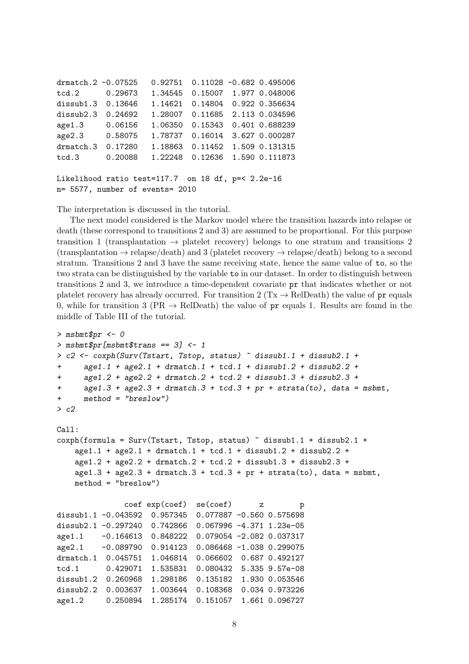drmatch.2 -0.07525 0.92751 0.11028 -0.682 0.495006 tcd.2 0.29673 1.34545 0.15007 1.977 0.048006 dissub1.3 0.13646 1.14621 0.14804 0.922 0.356634 dissub2.3 0.24692 1.28007 0.11685 2.113 0.034596 age1.3 0.06156 1.06350 0.15343 0.401 0.688239 age2.3 0.58075 1.78737 0.16014 3.627 0.000287 drmatch.3 0.17280 1.18863 0.11452 1.509 0.131315 tcd.3 0.20088 1.22248 0.12636 1.590 0.111873

```
Likelihood ratio test=117.7 on 18 df, p=< 2.2e-16
n= 5577, number of events= 2010
```
The interpretation is discussed in the tutorial.

The next model considered is the Markov model where the transition hazards into relapse or death (these correspond to transitions 2 and 3) are assumed to be proportional. For this purpose transition 1 (transplantation  $\rightarrow$  platelet recovery) belongs to one stratum and transitions 2  $(\text{transplantation} \rightarrow \text{relapse}/\text{death})$  and 3 (platelet recovery  $\rightarrow$  relapse/death) belong to a second stratum. Transitions 2 and 3 have the same receiving state, hence the same value of to, so the two strata can be distinguished by the variable to in our dataset. In order to distinguish between transitions 2 and 3, we introduce a time-dependent covariate pr that indicates whether or not platelet recovery has already occurred. For transition 2 (Tx  $\rightarrow$  RelDeath) the value of pr equals 0, while for transition 3 (PR  $\rightarrow$  RelDeath) the value of pr equals 1. Results are found in the middle of Table III of the tutorial.

```
> msbmt$pr <- 0
> msbmt$pr[msbmt$trans == 3] <-1> c2 \leq coxph(Surv(Tstart, Tstop, status) \tilde{a} dissub1.1 + dissub2.1 +
+ age1.1 + age2.1 + drmatch.1 + tcd.1 + dissub1.2 + dissub2.2 +
+ age1.2 + age2.2 + dramatch.2 + tcd.2 + dissub1.3 + dissub2.3 ++ age1.3 + age2.3 + drmatch.3 + tcd.3 + pr + strata(to), data = msbmt,
+ method = "breslow")
> c2
Call:
coxph(formula = Surv(Tstart, Tstop, status) ~ dissub1.1 + dissub2.1 +
   age1.1 + age2.1 + dramatch.1 + tcd.1 + dissub1.2 + dissub2.2 +age1.2 + age2.2 + dramatch.2 + tcd.2 + dissub1.3 + dissub2.3 +age1.3 + age2.3 + dramatch.3 + tcd.3 + pr + strata(to), data = msbmt,method = "breslow")
              coef exp(coef) se(coef) z p
dissub1.1 -0.043592 0.957345 0.077887 -0.560 0.575698
dissub2.1 -0.297240 0.742866 0.067996 -4.371 1.23e-05
age1.1 -0.164613 0.848222 0.079054 -2.082 0.037317
age2.1 -0.089790 0.914123 0.086468 -1.038 0.299075
drmatch.1 0.045751 1.046814 0.066602 0.687 0.492127
tcd.1 0.429071 1.535831 0.080432 5.335 9.57e-08
dissub1.2 0.260968 1.298186 0.135182 1.930 0.053546
dissub2.2 0.003637 1.003644 0.108368 0.034 0.973226
age1.2 0.250894 1.285174 0.151057 1.661 0.096727
```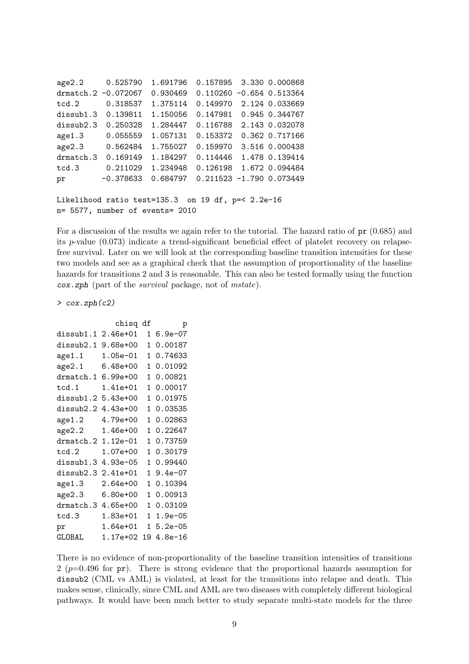```
age2.2 0.525790 1.691796 0.157895 3.330 0.000868
drmatch.2 -0.072067 0.930469 0.110260 -0.654 0.513364
tcd.2 0.318537 1.375114 0.149970 2.124 0.033669
dissub1.3 0.139811 1.150056 0.147981 0.945 0.344767
dissub2.3 0.250328 1.284447 0.116788 2.143 0.032078
age1.3 0.055559 1.057131 0.153372 0.362 0.717166
age2.3 0.562484 1.755027 0.159970 3.516 0.000438
drmatch.3 0.169149 1.184297 0.114446 1.478 0.139414
tcd.3 0.211029 1.234948 0.126198 1.672 0.094484
pr -0.378633 0.684797 0.211523 -1.790 0.073449
Likelihood ratio test=135.3 on 19 df, p=< 2.2e-16
n= 5577, number of events= 2010
```
For a discussion of the results we again refer to the tutorial. The hazard ratio of pr (0.685) and its p-value (0.073) indicate a trend-significant beneficial effect of platelet recovery on relapsefree survival. Later on we will look at the corresponding baseline transition intensities for these two models and see as a graphical check that the assumption of proportionality of the baseline hazards for transitions 2 and 3 is reasonable. This can also be tested formally using the function cox.zph (part of the survival package, not of mstate).

> cox.zph(c2)

|                    | chisq        | df | р           |
|--------------------|--------------|----|-------------|
| dissub1.1 2.46e+01 |              | 1  | $6.9e-07$   |
| dissub2.1          | $9.68e + 00$ | 1  | 0.00187     |
| age1.1             | $1.05e-01$   | 1  | 0.74633     |
| age2.1             | 6.48e+00     | 1  | 0.01092     |
| drmatch.1          | $6.99e+00$   | 1  | 0.00821     |
| tcd.1              | 1.41e+01     | 1  | 0.00017     |
| dissub1.2          | $5.43e+00$   | 1  | 0.01975     |
| dissub2.2          | 4.43e+00     | 1  | 0.03535     |
| age1.2             | 4.79e+00     | 1  | 0.02863     |
| age2.2             | 1.46e+00     | 1  | 0.22647     |
| drmatch.2          | 1.12e-01     | 1  | 0.73759     |
| tcd.2              | 1.07e+00     | 1  | 0.30179     |
| dissub1.3          | 4.93e-05     | 1  | 0.99440     |
| dissub2.3 2.41e+01 |              | 1  | $9.4e-07$   |
| age1.3             | $2.64e+00$   | 1  | 0.10394     |
| age2.3             | 6.80e+00     | 1  | 0.00913     |
| drmatch.3 4.65e+00 |              | 1  | 0.03109     |
| tcd.3              | 1.83e+01     | 1  | $1.9e - 05$ |
| pr                 | 1.64e+01     | 1  | $5.2e-05$   |
| GLOBAL             | 1.17e+02     | 19 | $4.8e-16$   |

There is no evidence of non-proportionality of the baseline transition intensities of transitions 2 ( $p=0.496$  for pr). There is strong evidence that the proportional hazards assumption for dissub2 (CML vs AML) is violated, at least for the transitions into relapse and death. This makes sense, clinically, since CML and AML are two diseases with completely different biological pathways. It would have been much better to study separate multi-state models for the three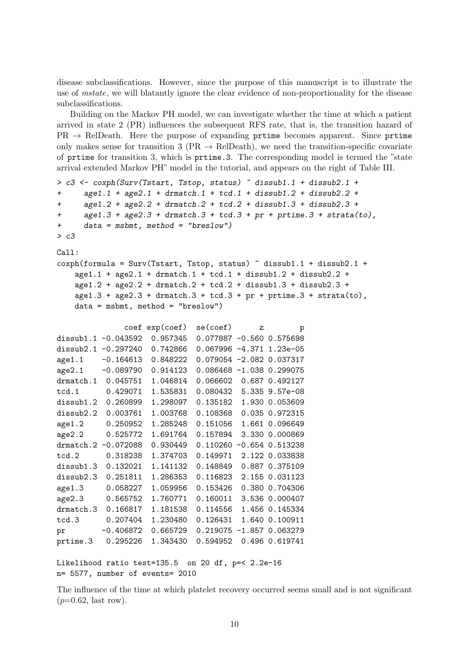disease subclassifications. However, since the purpose of this manuscript is to illustrate the use of mstate, we will blatantly ignore the clear evidence of non-proportionality for the disease subclassifications.

Building on the Markov PH model, we can investigate whether the time at which a patient arrived in state 2 (PR) influences the subsequent RFS rate, that is, the transition hazard of  $PR \rightarrow RelDeath$ . Here the purpose of expanding prtime becomes apparent. Since prtime only makes sense for transition 3 ( $PR \rightarrow RelDeath$ ), we need the transition-specific covariate of prtime for transition 3, which is prtime.3. The corresponding model is termed the "state arrival extended Markov PH" model in the tutorial, and appears on the right of Table III.

```
> c3 <- coxph(Surv(Tstart, Tstop, status) ~ dissub1.1 + dissub2.1 +
+ age1.1 + age2.1 + drmatch.1 + tcd.1 + dissub1.2 + dissub2.2 +
+ age1.2 + age2.2 + drmatch.2 + tcd.2 + dissub1.3 + dissub2.3 +
+ age1.3 + age2.3 + dramatch.3 + tcd.3 + pr + prtime.3 + strata(to),+ data = msbmt, method = "breslow")
> c3Call:
cosph(formula = Surv(Tstart, Tstop, status) \tilde{a} dissub1.1 + dissub2.1 +
   age1.1 + age2.1 + dramatch.1 + tcd.1 + dissub1.2 + dissub2.2 +age1.2 + age2.2 + drmatch.2 + tcd.2 + dissub1.3 + dissub2.3 +
   age1.3 + age2.3 + dramatch.3 + tcd.3 + pr + prtime.3 + strata(to),data = msbmt, method = "breslow")
              coef exp(coef) se(coef) z p
dissub1.1 -0.043592 0.957345 0.077887 -0.560 0.575698
dissub2.1 -0.297240 0.742866 0.067996 -4.371 1.23e-05
age1.1 -0.164613 0.848222 0.079054 -2.082 0.037317
age2.1 -0.089790 0.914123 0.086468 -1.038 0.299075
drmatch.1 0.045751 1.046814 0.066602 0.687 0.492127
tcd.1 0.429071 1.535831 0.080432 5.335 9.57e-08
dissub1.2 0.260899 1.298097 0.135182 1.930 0.053609
dissub2.2 0.003761 1.003768 0.108368 0.035 0.972315
age1.2 0.250952 1.285248 0.151056 1.661 0.096649
age2.2 0.525772 1.691764 0.157894 3.330 0.000869
drmatch.2 -0.072088 0.930449 0.110260 -0.654 0.513238
tcd.2 0.318238 1.374703 0.149971 2.122 0.033838
dissub1.3 0.132021 1.141132 0.148849 0.887 0.375109
dissub2.3 0.251811 1.286353 0.116823 2.155 0.031123
age1.3 0.058227 1.059956 0.153426 0.380 0.704306
age2.3 0.565752 1.760771 0.160011 3.536 0.000407
drmatch.3 0.166817 1.181538 0.114556 1.456 0.145334
tcd.3 0.207404 1.230480 0.126431 1.640 0.100911
pr -0.406872 0.665729 0.219075 -1.857 0.063279
prtime.3 0.295226 1.343430 0.594952 0.496 0.619741
Likelihood ratio test=135.5 on 20 df, p=< 2.2e-16
```
n= 5577, number of events= 2010

The influence of the time at which platelet recovery occurred seems small and is not significant  $(p=0.62, \text{ last row}).$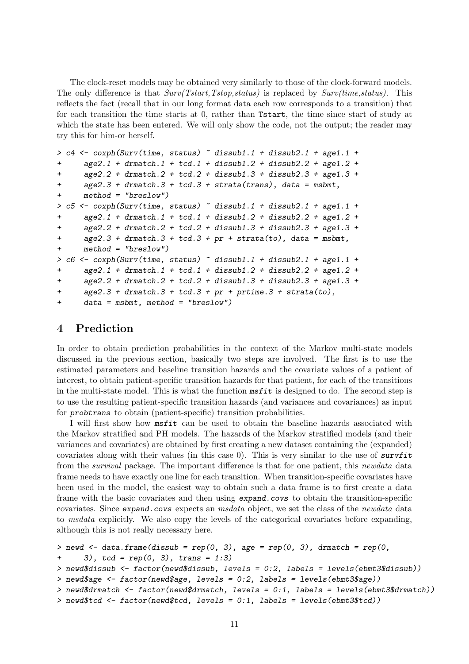The clock-reset models may be obtained very similarly to those of the clock-forward models. The only difference is that  $Surv(Tstart,Tstop,status)$  is replaced by  $Surv(time,status)$ . This reflects the fact (recall that in our long format data each row corresponds to a transition) that for each transition the time starts at 0, rather than Tstart, the time since start of study at which the state has been entered. We will only show the code, not the output; the reader may try this for him-or herself.

```
> c4 \leq c coxph(Surv(time, status) \sim dissub1.1 + dissub2.1 + age1.1 +
+ age2.1 + drmatch.1 + tcd.1 + dissub1.2 + dissub2.2 + age1.2 +
+ age2.2 + dramatch.2 + tcd.2 + dissub1.3 + dissub2.3 + age1.3 ++ age2.3 + drmatch.3 + tcd.3 + strata(trans), data = msbmt,
+ method = "breslow")
> c5 \leq coxph(Surv(time, status) \degree dissub1.1 + dissub2.1 + age1.1 +
+ age2.1 + drmatch.1 + tcd.1 + dissub1.2 + dissub2.2 + age1.2 +
+ age2.2 + drmatch.2 + tcd.2 + dissub1.3 + dissub2.3 + age1.3 +
+ age2.3 + drmatch.3 + tcd.3 + pr + strata(to), data = msbmt,
+ method = "breslow")
> c6 <- coxph(Surv(time, status) \tilde{ } dissub1.1 + dissub2.1 + age1.1 +
+ age2.1 + drmatch.1 + tcd.1 + dissub1.2 + dissub2.2 + age1.2 +
+ age2.2 + drmatch.2 + tcd.2 + dissub1.3 + dissub2.3 + age1.3 +
+ age2.3 + dramatch.3 + tcd.3 + pr + prtime.3 + strata(to),+ data = msbmt, method = "breslow")
```
# <span id="page-10-0"></span>4 Prediction

In order to obtain prediction probabilities in the context of the Markov multi-state models discussed in the previous section, basically two steps are involved. The first is to use the estimated parameters and baseline transition hazards and the covariate values of a patient of interest, to obtain patient-specific transition hazards for that patient, for each of the transitions in the multi-state model. This is what the function  $msfit$  is designed to do. The second step is to use the resulting patient-specific transition hazards (and variances and covariances) as input for probtrans to obtain (patient-specific) transition probabilities.

I will first show how msfit can be used to obtain the baseline hazards associated with the Markov stratified and PH models. The hazards of the Markov stratified models (and their variances and covariates) are obtained by first creating a new dataset containing the (expanded) covariates along with their values (in this case 0). This is very similar to the use of survfit from the survival package. The important difference is that for one patient, this newdata data frame needs to have exactly one line for each transition. When transition-specific covariates have been used in the model, the easiest way to obtain such a data frame is to first create a data frame with the basic covariates and then using expand.covs to obtain the transition-specific covariates. Since expand.covs expects an msdata object, we set the class of the newdata data to msdata explicitly. We also copy the levels of the categorical covariates before expanding, although this is not really necessary here.

```
> newd <- data.frame(dissub = rep(0, 3), age = rep(0, 3), drmatch = rep(0, 3)+ 3), tcd = rep(0, 3), trans = 1:3> newd$dissub <- factor(newd$dissub, levels = 0:2, labels = levels(ebmt3$dissub))
> newd$age <- factor(newd$age, levels = 0:2, labels = levels(ebmt3$age))
> newd$drmatch <- factor(newd$drmatch, levels = 0:1, labels = levels(ebmt3$drmatch))
> newd$tcd <- factor(newd$tcd, levels = 0:1, labels = levels(ebmt3$tcd))
```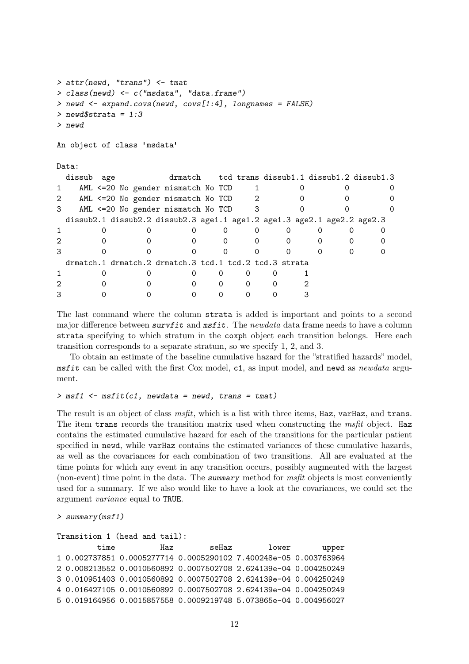```
> attr(newd, "trans") <- tmat
> class(newd) <- c("msdata", "data.frame")
> newd \leq expand.covs(newd, covs[1:4], longnames = FALSE)
> newd$strata = 1:3
> newd
An object of class 'msdata'
Data:
 dissub age drmatch tcd trans dissub1.1 dissub1.2 dissub1.3
1 AML <=20 No gender mismatch No TCD 1 0 0 0 0
2 AML <=20 No gender mismatch No TCD 2 0 0 0 0
3 AML <=20 No gender mismatch No TCD 3 0 0 0 0
 dissub2.1 dissub2.2 dissub2.3 age1.1 age1.2 age1.3 age2.1 age2.2 age2.3
1 0 0 0 0 0 0 0 0 0 0
2 0 0 0 0 0 0 0 0 0
3 0 0 0 0 0 0 0 0 0
 drmatch.1 drmatch.2 drmatch.3 tcd.1 tcd.2 tcd.3 strata
1 0 0 0 0 0 0 1
2 0 0 0 0 0 0 2
3 0 0 0 0 0 0 3
```
The last command where the column strata is added is important and points to a second major difference between survfit and  $msfit$ . The newdata data frame needs to have a column strata specifying to which stratum in the coxph object each transition belongs. Here each transition corresponds to a separate stratum, so we specify 1, 2, and 3.

To obtain an estimate of the baseline cumulative hazard for the "stratified hazards" model, msfit can be called with the first Cox model, c1, as input model, and newd as newdata argument.

#### $> \text{msf1} \leftarrow \text{msfit}(c1, \text{newdata} = \text{newd}, \text{trans} = \text{tmat})$

The result is an object of class  $msfit$ , which is a list with three items, Haz, varHaz, and trans. The item trans records the transition matrix used when constructing the msfit object. Haz contains the estimated cumulative hazard for each of the transitions for the particular patient specified in newd, while varHaz contains the estimated variances of these cumulative hazards, as well as the covariances for each combination of two transitions. All are evaluated at the time points for which any event in any transition occurs, possibly augmented with the largest (non-event) time point in the data. The summary method for msfit objects is most conveniently used for a summary. If we also would like to have a look at the covariances, we could set the argument variance equal to TRUE.

```
> summary(msf1)
```

```
Transition 1 (head and tail):
        time Haz seHaz lower upper
1 0.002737851 0.0005277714 0.0005290102 7.400248e-05 0.003763964
2 0.008213552 0.0010560892 0.0007502708 2.624139e-04 0.004250249
3 0.010951403 0.0010560892 0.0007502708 2.624139e-04 0.004250249
4 0.016427105 0.0010560892 0.0007502708 2.624139e-04 0.004250249
5 0.019164956 0.0015857558 0.0009219748 5.073865e-04 0.004956027
```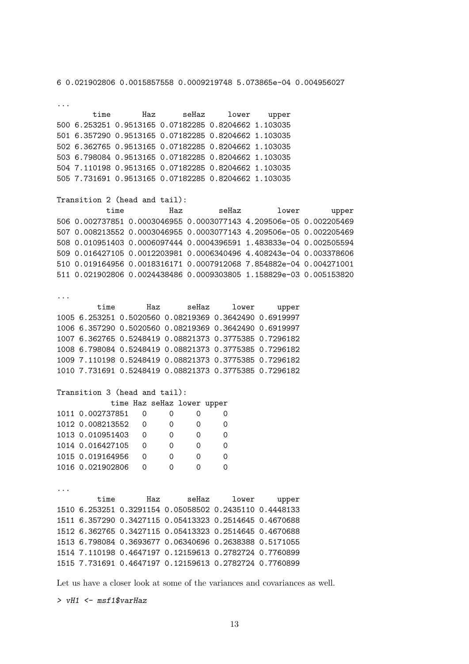6 0.021902806 0.0015857558 0.0009219748 5.073865e-04 0.004956027

... time Haz seHaz lower upper 500 6.253251 0.9513165 0.07182285 0.8204662 1.103035 501 6.357290 0.9513165 0.07182285 0.8204662 1.103035 502 6.362765 0.9513165 0.07182285 0.8204662 1.103035 503 6.798084 0.9513165 0.07182285 0.8204662 1.103035 504 7.110198 0.9513165 0.07182285 0.8204662 1.103035 505 7.731691 0.9513165 0.07182285 0.8204662 1.103035 Transition 2 (head and tail): time Haz seHaz lower upper 506 0.002737851 0.0003046955 0.0003077143 4.209506e-05 0.002205469 507 0.008213552 0.0003046955 0.0003077143 4.209506e-05 0.002205469 508 0.010951403 0.0006097444 0.0004396591 1.483833e-04 0.002505594 509 0.016427105 0.0012203981 0.0006340496 4.408243e-04 0.003378606 510 0.019164956 0.0018316171 0.0007912068 7.854882e-04 0.004271001 511 0.021902806 0.0024438486 0.0009303805 1.158829e-03 0.005153820 ... time Haz seHaz lower upper 1005 6.253251 0.5020560 0.08219369 0.3642490 0.6919997 1006 6.357290 0.5020560 0.08219369 0.3642490 0.6919997 1007 6.362765 0.5248419 0.08821373 0.3775385 0.7296182 1008 6.798084 0.5248419 0.08821373 0.3775385 0.7296182 1009 7.110198 0.5248419 0.08821373 0.3775385 0.7296182 1010 7.731691 0.5248419 0.08821373 0.3775385 0.7296182 Transition 3 (head and tail): time Haz seHaz lower upper 1011 0.002737851 0 0 0 0 1012 0.008213552 0 0 0 0 1013 0.010951403 0 0 0 0 1014 0.016427105 0 0 0 0 1015 0.019164956 0 0 0 0 1016 0.021902806 0 0 0 0 ... time Haz seHaz lower upper 1510 6.253251 0.3291154 0.05058502 0.2435110 0.4448133 1511 6.357290 0.3427115 0.05413323 0.2514645 0.4670688 1512 6.362765 0.3427115 0.05413323 0.2514645 0.4670688 1513 6.798084 0.3693677 0.06340696 0.2638388 0.5171055 1514 7.110198 0.4647197 0.12159613 0.2782724 0.7760899 1515 7.731691 0.4647197 0.12159613 0.2782724 0.7760899

Let us have a closer look at some of the variances and covariances as well.

 $> vH1 < - msf1$vartlaz$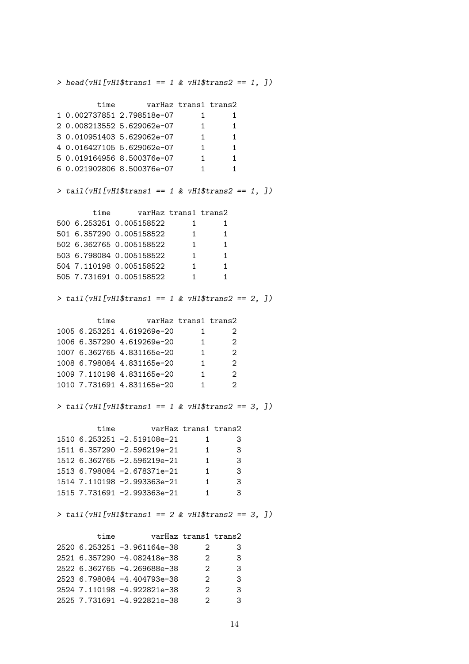$> head(vH1[vH1$trans1 == 1 & vH1$trans2 == 1, ])$ time varHaz trans1 trans2 1 0.002737851 2.798518e-07 1 1 2 0.008213552 5.629062e-07 1 1 3 0.010951403 5.629062e-07 1 1 4 0.016427105 5.629062e-07 1 1 5 0.019164956 8.500376e-07 1 1 6 0.021902806 8.500376e-07 1 1  $> tail(vH1[vH1$trans1 == 1 & vH1$trans2 == 1, ])$ time varHaz trans1 trans2 500 6.253251 0.005158522 1 1 501 6.357290 0.005158522 1 1 502 6.362765 0.005158522 1 1 503 6.798084 0.005158522 1 1 504 7.110198 0.005158522 1 1 505 7.731691 0.005158522 1 1  $> tail (vH1 [vH1$trans1 == 1 & vH1$trans2 == 2, ])$ time varHaz trans1 trans2 1005 6.253251 4.619269e-20 1 2 1006 6.357290 4.619269e-20 1 2 1007 6.362765 4.831165e-20 1 2 1008 6.798084 4.831165e-20 1 2 1009 7.110198 4.831165e-20 1 2 1010 7.731691 4.831165e-20 1 2  $> tail(vH1[vH1$trans1 == 1 & vH1$trans2 == 3, ])$ time varHaz trans1 trans2 1510 6.253251 -2.519108e-21 1 3 1511 6.357290 -2.596219e-21 1 3 1512 6.362765 -2.596219e-21 1 3 1513 6.798084 -2.678371e-21 1 3 1514 7.110198 -2.993363e-21 1 3 1515 7.731691 -2.993363e-21 1 3  $> tail(vH1[vH1$trans1 == 2 & vH1$trans2 == 3, ])$ time varHaz trans1 trans2 2520 6.253251 -3.961164e-38 2 3 2521 6.357290 -4.082418e-38 2 3 2522 6.362765 -4.269688e-38 2 3 2523 6.798084 -4.404793e-38 2 3 2524 7.110198 -4.922821e-38 2 3

2525 7.731691 -4.922821e-38 2 3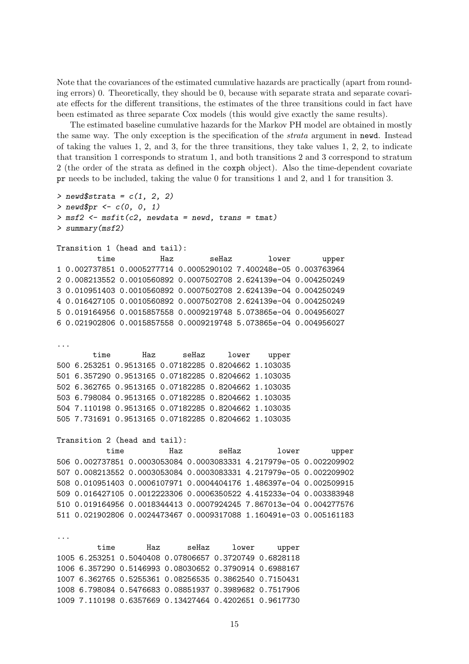Note that the covariances of the estimated cumulative hazards are practically (apart from rounding errors) 0. Theoretically, they should be 0, because with separate strata and separate covariate effects for the different transitions, the estimates of the three transitions could in fact have been estimated as three separate Cox models (this would give exactly the same results).

The estimated baseline cumulative hazards for the Markov PH model are obtained in mostly the same way. The only exception is the specification of the strata argument in newd. Instead of taking the values 1, 2, and 3, for the three transitions, they take values 1, 2, 2, to indicate that transition 1 corresponds to stratum 1, and both transitions 2 and 3 correspond to stratum 2 (the order of the strata as defined in the coxph object). Also the time-dependent covariate pr needs to be included, taking the value 0 for transitions 1 and 2, and 1 for transition 3.

```
> newd$strata = c(1, 2, 2)> newd$pr <- c(0, 0, 1)> msf2 \leq mstit(c2, newdata = newd, trans = tmat)> summary(msf2)
Transition 1 (head and tail):
        time Haz seHaz lower upper
1 0.002737851 0.0005277714 0.0005290102 7.400248e-05 0.003763964
2 0.008213552 0.0010560892 0.0007502708 2.624139e-04 0.004250249
3 0.010951403 0.0010560892 0.0007502708 2.624139e-04 0.004250249
4 0.016427105 0.0010560892 0.0007502708 2.624139e-04 0.004250249
5 0.019164956 0.0015857558 0.0009219748 5.073865e-04 0.004956027
6 0.021902806 0.0015857558 0.0009219748 5.073865e-04 0.004956027
...
       time Haz seHaz lower upper
500 6.253251 0.9513165 0.07182285 0.8204662 1.103035
501 6.357290 0.9513165 0.07182285 0.8204662 1.103035
502 6.362765 0.9513165 0.07182285 0.8204662 1.103035
503 6.798084 0.9513165 0.07182285 0.8204662 1.103035
504 7.110198 0.9513165 0.07182285 0.8204662 1.103035
505 7.731691 0.9513165 0.07182285 0.8204662 1.103035
Transition 2 (head and tail):
          time Haz seHaz lower upper
506 0.002737851 0.0003053084 0.0003083331 4.217979e-05 0.002209902
507 0.008213552 0.0003053084 0.0003083331 4.217979e-05 0.002209902
508 0.010951403 0.0006107971 0.0004404176 1.486397e-04 0.002509915
509 0.016427105 0.0012223306 0.0006350522 4.415233e-04 0.003383948
510 0.019164956 0.0018344413 0.0007924245 7.867013e-04 0.004277576
511 0.021902806 0.0024473467 0.0009317088 1.160491e-03 0.005161183
...
```
time Haz seHaz lower upper 1005 6.253251 0.5040408 0.07806657 0.3720749 0.6828118 1006 6.357290 0.5146993 0.08030652 0.3790914 0.6988167 1007 6.362765 0.5255361 0.08256535 0.3862540 0.7150431 1008 6.798084 0.5476683 0.08851937 0.3989682 0.7517906 1009 7.110198 0.6357669 0.13427464 0.4202651 0.9617730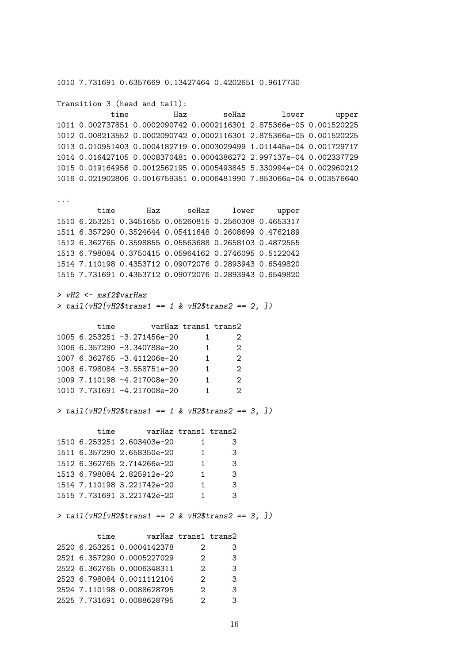1010 7.731691 0.6357669 0.13427464 0.4202651 0.9617730

Transition 3 (head and tail): time Haz seHaz lower upper 1011 0.002737851 0.0002090742 0.0002116301 2.875366e-05 0.001520225 1012 0.008213552 0.0002090742 0.0002116301 2.875366e-05 0.001520225 1013 0.010951403 0.0004182719 0.0003029499 1.011445e-04 0.001729717 1014 0.016427105 0.0008370481 0.0004386272 2.997137e-04 0.002337729 1015 0.019164956 0.0012562195 0.0005493845 5.330994e-04 0.002960212 1016 0.021902806 0.0016759351 0.0006481990 7.853066e-04 0.003576640 ... time Haz seHaz lower upper 1510 6.253251 0.3451655 0.05260815 0.2560308 0.4653317 1511 6.357290 0.3524644 0.05411648 0.2608699 0.4762189 1512 6.362765 0.3598855 0.05563688 0.2658103 0.4872555 1513 6.798084 0.3750415 0.05964162 0.2746095 0.5122042 1514 7.110198 0.4353712 0.09072076 0.2893943 0.6549820 1515 7.731691 0.4353712 0.09072076 0.2893943 0.6549820 > vH2 <- msf2\$varHaz  $> tail (vH2[vH2$trans1 == 1 & vH2$trans2 == 2, ])$ time varHaz trans1 trans2 1005 6.253251 -3.271456e-20 1 2 1006 6.357290 -3.340788e-20 1 2 1007 6.362765 -3.411206e-20 1 2 1008 6.798084 -3.558751e-20 1 2 1009 7.110198 -4.217008e-20 1 2 1010 7.731691 -4.217008e-20 1 2  $> tail (vH2[vH2$trans1 == 1 & vH2$trans2 == 3, ])$ time varHaz trans1 trans2 1510 6.253251 2.603403e-20 1 3 1511 6.357290 2.658350e-20 1 3 1512 6.362765 2.714266e-20 1 3 1513 6.798084 2.825912e-20 1 3 1514 7.110198 3.221742e-20 1 3 1515 7.731691 3.221742e-20 1 3  $> tail (vH2[vH2$trans1 == 2 & vH2$trans2 == 3, 1)$ time varHaz trans1 trans2 2520 6.253251 0.0004142378 2 3 2521 6.357290 0.0005227029 2 3 2522 6.362765 0.0006348311 2 3 2523 6.798084 0.0011112104 2 3 2524 7.110198 0.0088628795 2 3 2525 7.731691 0.0088628795 2 3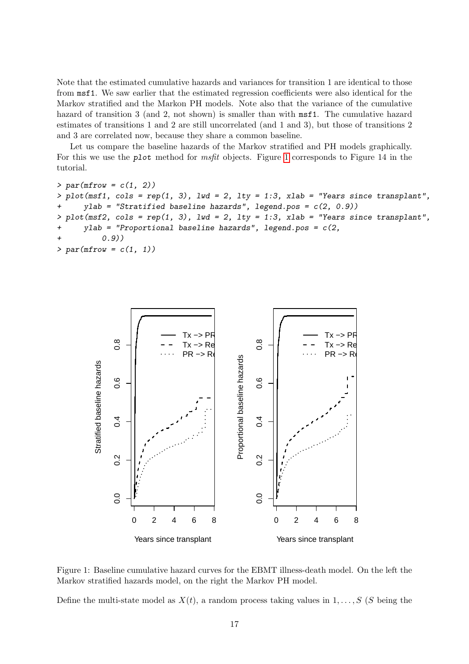Note that the estimated cumulative hazards and variances for transition 1 are identical to those from msf1. We saw earlier that the estimated regression coefficients were also identical for the Markov stratified and the Markon PH models. Note also that the variance of the cumulative hazard of transition 3 (and 2, not shown) is smaller than with  $msf1$ . The cumulative hazard estimates of transitions 1 and 2 are still uncorrelated (and 1 and 3), but those of transitions 2 and 3 are correlated now, because they share a common baseline.

Let us compare the baseline hazards of the Markov stratified and PH models graphically. For this we use the plot method for msfit objects. Figure [1](#page-16-0) corresponds to Figure 14 in the tutorial.

```
> par(mfrow = c(1, 2))> plot(msf1, cols = rep(1, 3), lwd = 2, lty = 1:3, xlab = "Years since transplant",ylab = "Stratified baseline hazards", legend.pos = c(2, 0.9))
> plot(msf2, cols = rep(1, 3), lwd = 2, lty = 1:3, xlab = "Years since transplant",+ ylab = "Proportional baseline hazards", legend.pos = c(2,
          (0.9)> par(mfrow = c(1, 1))
```


<span id="page-16-0"></span>Figure 1: Baseline cumulative hazard curves for the EBMT illness-death model. On the left the Markov stratified hazards model, on the right the Markov PH model.

Define the multi-state model as  $X(t)$ , a random process taking values in  $1, \ldots, S$  (S being the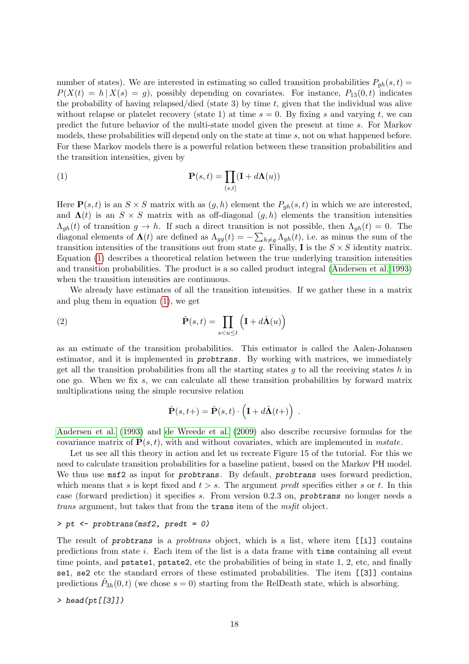number of states). We are interested in estimating so called transition probabilities  $P_{gh}(s,t)$  =  $P(X(t) = h | X(s) = g)$ , possibly depending on covariates. For instance,  $P_{13}(0, t)$  indicates the probability of having relapsed/died (state 3) by time  $t$ , given that the individual was alive without relapse or platelet recovery (state 1) at time  $s = 0$ . By fixing s and varying t, we can predict the future behavior of the multi-state model given the present at time s. For Markov models, these probabilities will depend only on the state at time s, not on what happened before. For these Markov models there is a powerful relation between these transition probabilities and the transition intensities, given by

<span id="page-17-0"></span>(1) 
$$
\mathbf{P}(s,t) = \prod_{(s,t]} (\mathbf{I} + d\mathbf{\Lambda}(u))
$$

Here  $P(s, t)$  is an  $S \times S$  matrix with as  $(g, h)$  element the  $P_{gh}(s, t)$  in which we are interested, and  $\Lambda(t)$  is an  $S \times S$  matrix with as off-diagonal  $(g, h)$  elements the transition intensities  $\Lambda_{gh}(t)$  of transition  $g \to h$ . If such a direct transition is not possible, then  $\Lambda_{gh}(t) = 0$ . The diagonal elements of  $\Lambda(t)$  are defined as  $\Lambda_{gg}(t) = -\sum_{h\neq g} \Lambda_{gh}(t)$ , i.e. as minus the sum of the transition intensities of the transitions out from state g. Finally, I is the  $S \times S$  identity matrix. Equation [\(1\)](#page-17-0) describes a theoretical relation between the true underlying transition intensities and transition probabilities. The product is a so called product integral [\(Andersen et al. 1993\)](#page-63-1) when the transition intensities are continuous.

We already have estimates of all the transition intensities. If we gather these in a matrix and plug them in equation [\(1\)](#page-17-0), we get

(2) 
$$
\hat{\mathbf{P}}(s,t) = \prod_{s
$$

as an estimate of the transition probabilities. This estimator is called the Aalen-Johansen estimator, and it is implemented in probtrans. By working with matrices, we immediately get all the transition probabilities from all the starting states  $q$  to all the receiving states  $h$  in one go. When we fix  $s$ , we can calculate all these transition probabilities by forward matrix multiplications using the simple recursive relation

<span id="page-17-1"></span>
$$
\hat{\mathbf{P}}(s,t+) = \hat{\mathbf{P}}(s,t) \cdot \left(\mathbf{I} + d\hat{\mathbf{\Lambda}}(t+) \right) .
$$

[Andersen et al.](#page-63-1) [\(1993\)](#page-63-1) and [de Wreede et al.](#page-63-2) [\(2009\)](#page-63-2) also describe recursive formulas for the covariance matrix of  $\mathbf{P}(s,t)$ , with and without covariates, which are implemented in mstate.

Let us see all this theory in action and let us recreate Figure 15 of the tutorial. For this we need to calculate transition probabilities for a baseline patient, based on the Markov PH model. We thus use  $msf2$  as input for *probtrans*. By default, *probtrans* uses forward prediction, which means that s is kept fixed and  $t > s$ . The argument predt specifies either s or t. In this case (forward prediction) it specifies s. From version 0.2.3 on, probtrans no longer needs a trans argument, but takes that from the trans item of the msfit object.

### > pt <- probtrans(msf2, predt = 0)

The result of probtrans is a *probtrans* object, which is a list, where item [[i]] contains predictions from state i. Each item of the list is a data frame with time containing all event time points, and pstate1, pstate2, etc the probabilities of being in state 1, 2, etc, and finally se1, se2 etc the standard errors of these estimated probabilities. The item [[3]] contains predictions  $\hat{P}_{3h}(0,t)$  (we chose  $s=0$ ) starting from the RelDeath state, which is absorbing.

> head(pt[[3]])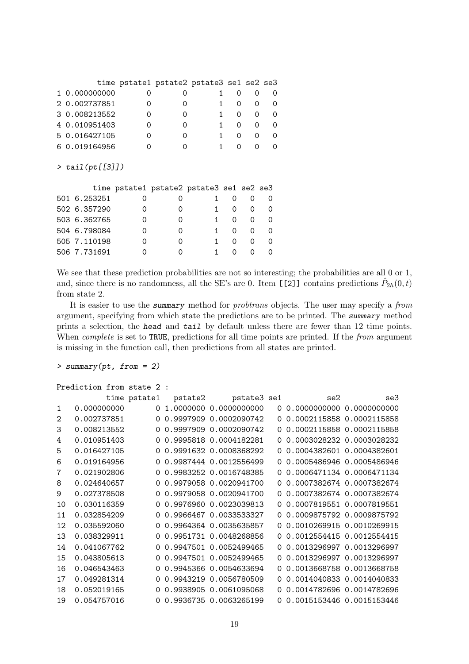|               | time pstate1 pstate2 pstate3 se1 se2 se3 |  |              |  |
|---------------|------------------------------------------|--|--------------|--|
| 1 0.000000000 |                                          |  |              |  |
| 2 0.002737851 |                                          |  | $\Omega$     |  |
| 3 0.008213552 |                                          |  |              |  |
| 4 0.010951403 |                                          |  | $\mathbf{O}$ |  |
| 5 0.016427105 |                                          |  |              |  |
| 6 0.019164956 |                                          |  |              |  |

> tail(pt[[3]])

|              |   | time pstate1 pstate2 pstate3 se1 se2 se3 |          |          |          |
|--------------|---|------------------------------------------|----------|----------|----------|
| 501 6.253251 |   |                                          |          |          |          |
| 502 6.357290 |   |                                          | $\Omega$ | $\Omega$ | $\Omega$ |
| 503 6.362765 |   |                                          | 0        | $\Omega$ | $\Omega$ |
| 504 6.798084 | Ω |                                          | $\Omega$ | $\Omega$ | $\Omega$ |
| 505 7.110198 |   |                                          | $\Omega$ | $\Omega$ | $\Omega$ |
| 506 7.731691 |   |                                          |          |          |          |

We see that these prediction probabilities are not so interesting; the probabilities are all 0 or 1, and, since there is no randomness, all the SE's are 0. Item [[2]] contains predictions  $\hat{P}_{2h}(0,t)$ from state 2.

It is easier to use the summary method for *probtrans* objects. The user may specify a *from* argument, specifying from which state the predictions are to be printed. The summary method prints a selection, the head and tail by default unless there are fewer than 12 time points. When *complete* is set to TRUE, predictions for all time points are printed. If the *from* argument is missing in the function call, then predictions from all states are printed.

```
> summary(pt, from = 2)
```

```
Prediction from state 2 :
```

|                   |             | time pstate1 | pstate2 | pstate3 se1            |          | se2                         | se3 |
|-------------------|-------------|--------------|---------|------------------------|----------|-----------------------------|-----|
| $\mathbf{1}$      | 0.000000000 | $\Omega$     |         | 1.0000000 0.0000000000 |          | 0 0.0000000000 0.0000000000 |     |
| $\mathcal{D}_{1}$ | 0.002737851 | 0            |         | 0.9997909 0.0002090742 | $\Omega$ | 0.0002115858 0.0002115858   |     |
| 3                 | 0.008213552 |              |         | 0.9997909 0.0002090742 | 0        | 0.0002115858 0.0002115858   |     |
| 4                 | 0.010951403 |              |         | 0.9995818 0.0004182281 | 0        | 0.0003028232 0.0003028232   |     |
| 5                 | 0.016427105 |              |         | 0.9991632 0.0008368292 | $\Omega$ | 0.0004382601 0.0004382601   |     |
| 6                 | 0.019164956 |              |         | 0.9987444 0.0012556499 |          | 0 0.0005486946 0.0005486946 |     |
| 7                 | 0.021902806 |              |         | 0.9983252 0.0016748385 |          | 0 0.0006471134 0.0006471134 |     |
| 8                 | 0.024640657 | 0            |         | 0.9979058 0.0020941700 |          | 0 0.0007382674 0.0007382674 |     |
| 9                 | 0.027378508 | $\Omega$     |         | 0.9979058 0.0020941700 | $\Omega$ | 0.0007382674 0.0007382674   |     |
| 10                | 0.030116359 | 0            |         | 0.9976960 0.0023039813 |          | 0 0.0007819551 0.0007819551 |     |
| 11                | 0.032854209 |              |         | 0.9966467 0.0033533327 | $\Omega$ | 0.0009875792 0.0009875792   |     |
| 12.               | 0.035592060 |              |         | 0.9964364 0.0035635857 |          | 0 0.0010269915 0.0010269915 |     |
| 13                | 0.038329911 |              |         | 0.9951731 0.0048268856 | $\Omega$ | 0.0012554415 0.0012554415   |     |
| 14                | 0.041067762 |              |         | 0.9947501 0.0052499465 | $\Omega$ | 0.0013296997 0.0013296997   |     |
| 15                | 0.043805613 |              |         | 0.9947501 0.0052499465 |          | 0 0.0013296997 0.0013296997 |     |
| 16                | 0.046543463 | 0            |         | 0.9945366 0.0054633694 |          | 0 0.0013668758 0.0013668758 |     |
| 17                | 0.049281314 | 0            |         | 0.9943219 0.0056780509 |          | 0 0.0014040833 0.0014040833 |     |
| 18                | 0.052019165 | 0            |         | 0.9938905 0.0061095068 |          | 0 0.0014782696 0.0014782696 |     |
| 19                | 0.054757016 | $\Omega$     |         | 0.9936735 0.0063265199 |          | 0 0.0015153446 0.0015153446 |     |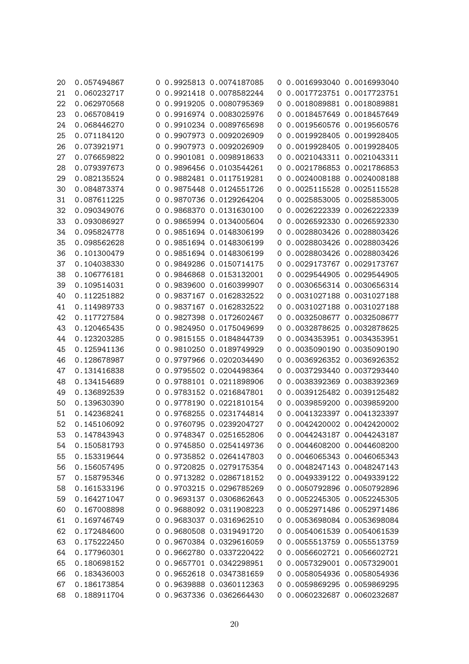| 20 | 0.057494867 |   | 0 0.9925813 0.0074187085 |   | 0 0.0016993040 0.0016993040 |                           |
|----|-------------|---|--------------------------|---|-----------------------------|---------------------------|
| 21 | 0.060232717 |   | 0 0.9921418 0.0078582244 |   | 0 0.0017723751 0.0017723751 |                           |
| 22 | 0.062970568 | 0 | 0.9919205 0.0080795369   |   | 0 0.0018089881 0.0018089881 |                           |
| 23 | 0.065708419 | 0 | 0.9916974 0.0083025976   | 0 |                             | 0.0018457649 0.0018457649 |
| 24 | 0.068446270 | 0 | 0.9910234 0.0089765698   |   | 0 0.0019560576 0.0019560576 |                           |
| 25 | 0.071184120 | 0 | 0.9907973 0.0092026909   | 0 | 0.0019928405 0.0019928405   |                           |
| 26 | 0.073921971 | 0 | 0.9907973 0.0092026909   | 0 |                             | 0.0019928405 0.0019928405 |
| 27 | 0.076659822 | 0 | 0.9901081 0.0098918633   | 0 |                             | 0.0021043311 0.0021043311 |
| 28 | 0.079397673 | 0 | 0.9896456 0.0103544261   | 0 | 0.0021786853 0.0021786853   |                           |
| 29 | 0.082135524 | 0 | 0.9882481 0.0117519281   |   | 0 0.0024008188 0.0024008188 |                           |
| 30 | 0.084873374 | 0 | 0.9875448 0.0124551726   | 0 |                             | 0.0025115528 0.0025115528 |
| 31 | 0.087611225 | 0 | 0.9870736 0.0129264204   |   | 0 0.0025853005 0.0025853005 |                           |
| 32 | 0.090349076 | 0 | 0.9868370 0.0131630100   |   | 0 0.0026222339 0.0026222339 |                           |
| 33 | 0.093086927 | 0 | 0.9865994 0.0134005604   | 0 | 0.0026592330 0.0026592330   |                           |
| 34 | 0.095824778 | 0 | 0.9851694 0.0148306199   | 0 |                             | 0.0028803426 0.0028803426 |
| 35 | 0.098562628 | 0 | 0.9851694 0.0148306199   | 0 |                             | 0.0028803426 0.0028803426 |
| 36 | 0.101300479 | 0 | 0.9851694 0.0148306199   | 0 | 0.0028803426 0.0028803426   |                           |
| 37 | 0.104038330 | 0 | 0.9849286 0.0150714175   | 0 | 0.0029173767 0.0029173767   |                           |
| 38 | 0.106776181 | 0 | 0.9846868 0.0153132001   | 0 |                             | 0.0029544905 0.0029544905 |
| 39 | 0.109514031 | 0 | 0.9839600 0.0160399907   | 0 | 0.0030656314 0.0030656314   |                           |
| 40 | 0.112251882 | 0 | 0.9837167 0.0162832522   | 0 |                             | 0.0031027188 0.0031027188 |
| 41 | 0.114989733 |   | 0.9837167 0.0162832522   |   | 0 0.0031027188 0.0031027188 |                           |
| 42 | 0.117727584 | 0 | 0.9827398 0.0172602467   | 0 |                             | 0.0032508677 0.0032508677 |
| 43 | 0.120465435 | 0 | 0.9824950 0.0175049699   | 0 | 0.0032878625 0.0032878625   |                           |
| 44 | 0.123203285 | 0 | 0.9815155 0.0184844739   | 0 | 0.0034353951 0.0034353951   |                           |
| 45 | 0.125941136 |   | 0 0.9810250 0.0189749929 |   | 0 0.0035090190 0.0035090190 |                           |
| 46 | 0.128678987 | 0 | 0.9797966 0.0202034490   | 0 | 0.0036926352 0.0036926352   |                           |
| 47 | 0.131416838 | 0 | 0.9795502 0.0204498364   | 0 | 0.0037293440 0.0037293440   |                           |
| 48 | 0.134154689 | 0 | 0.9788101 0.0211898906   | 0 | 0.0038392369 0.0038392369   |                           |
| 49 | 0.136892539 |   | 0.9783152 0.0216847801   |   | 0 0.0039125482 0.0039125482 |                           |
| 50 | 0.139630390 | 0 | 0.9778190 0.0221810154   | 0 | 0.0039859200 0.0039859200   |                           |
| 51 | 0.142368241 | O | 0.9768255 0.0231744814   |   | 0 0.0041323397 0.0041323397 |                           |
| 52 | 0.145106092 |   | 0 0.9760795 0.0239204727 |   | 0 0.0042420002 0.0042420002 |                           |
| 53 | 0.147843943 |   | 0 0.9748347 0.0251652806 |   | 0 0.0044243187 0.0044243187 |                           |
| 54 | 0.150581793 |   | 0 0.9745850 0.0254149736 |   | 0 0.0044608200 0.0044608200 |                           |
| 55 | 0.153319644 |   | 0 0.9735852 0.0264147803 |   | 0 0.0046065343 0.0046065343 |                           |
| 56 | 0.156057495 |   | 0 0.9720825 0.0279175354 |   | 0 0.0048247143 0.0048247143 |                           |
| 57 | 0.158795346 |   | 0 0.9713282 0.0286718152 |   | 0 0.0049339122 0.0049339122 |                           |
| 58 | 0.161533196 |   | 0 0.9703215 0.0296785269 |   | 0 0.0050792896 0.0050792896 |                           |
| 59 | 0.164271047 |   | 0 0.9693137 0.0306862643 |   | 0 0.0052245305 0.0052245305 |                           |
| 60 | 0.167008898 |   | 0 0.9688092 0.0311908223 |   | 0 0.0052971486 0.0052971486 |                           |
| 61 | 0.169746749 | 0 | 0.9683037 0.0316962510   |   | 0 0.0053698084 0.0053698084 |                           |
| 62 | 0.172484600 |   | 0 0.9680508 0.0319491720 |   | 0 0.0054061539 0.0054061539 |                           |
| 63 | 0.175222450 |   | 0 0.9670384 0.0329616059 |   | 0 0.0055513759 0.0055513759 |                           |
| 64 | 0.177960301 |   | 0 0.9662780 0.0337220422 |   | 0 0.0056602721 0.0056602721 |                           |
| 65 | 0.180698152 |   | 0 0.9657701 0.0342298951 |   | 0 0.0057329001 0.0057329001 |                           |
| 66 | 0.183436003 |   | 0 0.9652618 0.0347381659 |   | 0 0.0058054936 0.0058054936 |                           |
| 67 | 0.186173854 |   | 0 0.9639888 0.0360112363 |   | 0 0.0059869295 0.0059869295 |                           |
| 68 | 0.188911704 |   | 0 0.9637336 0.0362664430 |   | 0 0.0060232687 0.0060232687 |                           |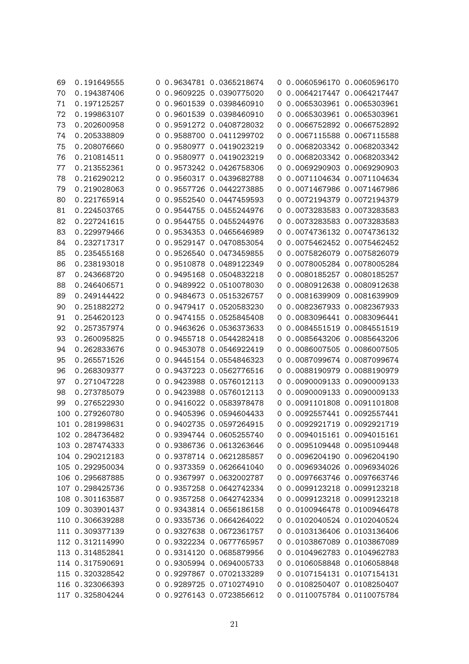| 69  | 0.191649555     |   | 0 0.9634781 0.0365218674 |          | 0 0.0060596170 0.0060596170 |                             |
|-----|-----------------|---|--------------------------|----------|-----------------------------|-----------------------------|
| 70  | 0.194387406     |   | 0 0.9609225 0.0390775020 |          |                             | 0 0.0064217447 0.0064217447 |
| 71  | 0.197125257     | 0 | 0.9601539 0.0398460910   |          | 0 0.0065303961 0.0065303961 |                             |
| 72  | 0.199863107     | 0 | 0.9601539 0.0398460910   | 0        |                             | 0.0065303961 0.0065303961   |
| 73  | 0.202600958     | 0 | 0.9591272 0.0408728032   | $\sigma$ |                             | 0.0066752892 0.0066752892   |
| 74  | 0.205338809     | 0 | 0.9588700 0.0411299702   | 0        |                             | 0.0067115588 0.0067115588   |
| 75  | 0.208076660     | 0 | 0.9580977 0.0419023219   | $\sigma$ |                             | 0.0068203342 0.0068203342   |
| 76  | 0.210814511     | 0 | 0.9580977 0.0419023219   | 0        |                             | 0.0068203342 0.0068203342   |
| 77  | 0.213552361     | 0 | 0.9573242 0.0426758306   |          | 0 0.0069290903 0.0069290903 |                             |
| 78  | 0.216290212     | 0 | 0.9560317 0.0439682788   |          | 0 0.0071104634 0.0071104634 |                             |
| 79  | 0.219028063     | 0 | 0.9557726 0.0442273885   |          | 0 0.0071467986 0.0071467986 |                             |
| 80  | 0.221765914     | 0 | 0.9552540 0.0447459593   |          |                             | 0 0.0072194379 0.0072194379 |
| 81  | 0.224503765     | 0 | 0.9544755 0.0455244976   | 0        | 0.0073283583 0.0073283583   |                             |
| 82  | 0.227241615     | 0 | 0.9544755 0.0455244976   | 0        |                             | 0.0073283583 0.0073283583   |
| 83  | 0.229979466     | 0 | 0.9534353 0.0465646989   | 0        |                             | 0.0074736132 0.0074736132   |
| 84  | 0.232717317     | 0 | 0.9529147 0.0470853054   | $\sigma$ | 0.0075462452 0.0075462452   |                             |
| 85  | 0.235455168     | 0 | 0.9526540 0.0473459855   | 0        | 0.0075826079 0.0075826079   |                             |
| 86  | 0.238193018     | 0 | 0.9510878 0.0489122349   |          | 0 0.0078005284 0.0078005284 |                             |
| 87  | 0.243668720     | 0 | 0.9495168 0.0504832218   | $\sigma$ |                             | 0.0080185257 0.0080185257   |
| 88  | 0.246406571     | 0 | 0.9489922 0.0510078030   | $\sigma$ |                             | 0.0080912638 0.0080912638   |
| 89  | 0.249144422     | 0 | 0.9484673 0.0515326757   | 0        |                             | 0.0081639909 0.0081639909   |
| 90  | 0.251882272     |   | 0.9479417 0.0520583230   |          | 0 0.0082367933 0.0082367933 |                             |
| 91  | 0.254620123     | 0 | 0.9474155 0.0525845408   | 0        | 0.0083096441 0.0083096441   |                             |
| 92  | 0.257357974     | 0 | 0.9463626 0.0536373633   | $\sigma$ | 0.0084551519 0.0084551519   |                             |
| 93  | 0.260095825     | O | 0.9455718 0.0544282418   |          | 0 0.0085643206 0.0085643206 |                             |
| 94  | 0.262833676     | 0 | 0.9453078 0.0546922419   |          | 0 0.0086007505 0.0086007505 |                             |
| 95  | 0.265571526     | 0 | 0.9445154 0.0554846323   |          | 0 0.0087099674 0.0087099674 |                             |
| 96  | 0.268309377     | 0 | 0.9437223 0.0562776516   | $\sigma$ |                             | 0.0088190979 0.0088190979   |
| 97  | 0.271047228     | 0 | 0.9423988 0.0576012113   |          |                             | 0 0.0090009133 0.0090009133 |
| 98  | 0.273785079     | 0 | 0.9423988 0.0576012113   |          |                             | 0.0090009133 0.0090009133   |
| 99  | 0.276522930     | 0 | 0.9416022 0.0583978478   | $\sigma$ |                             | 0.0091101808 0.0091101808   |
| 100 | 0.279260780     | O | 0.9405396 0.0594604433   |          |                             | 0 0.0092557441 0.0092557441 |
|     | 101 0.281998631 |   | 0 0.9402735 0.0597264915 |          | 0 0.0092921719 0.0092921719 |                             |
|     | 102 0.284736482 |   | 0 0.9394744 0.0605255740 |          | 0 0.0094015161 0.0094015161 |                             |
|     | 103 0.287474333 |   | 0 0.9386736 0.0613263646 |          | 0 0.0095109448 0.0095109448 |                             |
|     | 104 0.290212183 |   | 0 0.9378714 0.0621285857 |          |                             | 0 0.0096204190 0.0096204190 |
|     | 105 0.292950034 |   | 0 0.9373359 0.0626641040 |          |                             | 0 0.0096934026 0.0096934026 |
|     | 106 0.295687885 |   | 0 0.9367997 0.0632002787 |          | 0 0.0097663746 0.0097663746 |                             |
|     | 107 0.298425736 |   | 0 0.9357258 0.0642742334 |          | 0 0.0099123218 0.0099123218 |                             |
|     | 108 0.301163587 |   | 0 0.9357258 0.0642742334 |          | 0 0.0099123218 0.0099123218 |                             |
|     | 109 0.303901437 |   | 0 0.9343814 0.0656186158 |          | 0 0.0100946478 0.0100946478 |                             |
|     | 110 0.306639288 | 0 | 0.9335736 0.0664264022   |          | 0 0.0102040524 0.0102040524 |                             |
|     | 111 0.309377139 |   | 0 0.9327638 0.0672361757 |          | 0 0.0103136406 0.0103136406 |                             |
|     | 112 0.312114990 |   | 0 0.9322234 0.0677765957 |          |                             | 0 0.0103867089 0.0103867089 |
|     | 113 0.314852841 |   | 0 0.9314120 0.0685879956 |          |                             | 0 0.0104962783 0.0104962783 |
|     | 114 0.317590691 |   | 0 0.9305994 0.0694005733 |          |                             | 0 0.0106058848 0.0106058848 |
|     | 115 0.320328542 |   | 0 0.9297867 0.0702133289 |          |                             | 0 0.0107154131 0.0107154131 |
|     | 116 0.323066393 |   | 0 0.9289725 0.0710274910 |          |                             | 0 0.0108250407 0.0108250407 |
|     | 117 0.325804244 |   | 0 0.9276143 0.0723856612 |          |                             | 0 0.0110075784 0.0110075784 |
|     |                 |   |                          |          |                             |                             |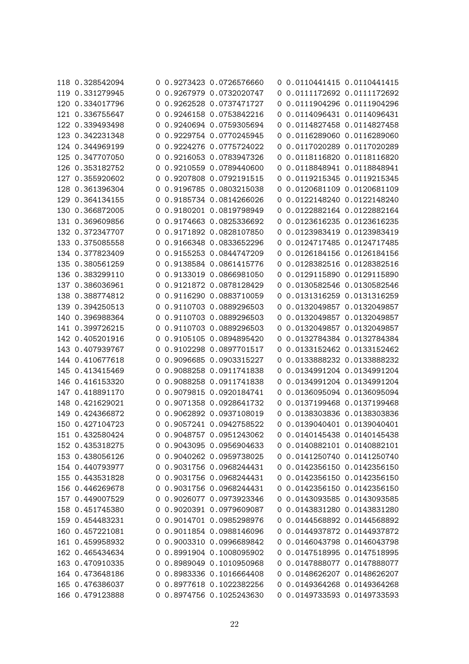| 118 0.328542094 |   | 0 0.9273423 0.0726576660 |    | 0 0.0110441415 0.0110441415 |                           |
|-----------------|---|--------------------------|----|-----------------------------|---------------------------|
| 119 0.331279945 |   | 0.9267979 0.0732020747   |    | 0 0.0111172692 0.0111172692 |                           |
| 120 0.334017796 | 0 | 0.9262528 0.0737471727   | 0  | 0.0111904296 0.0111904296   |                           |
| 121 0.336755647 | 0 | 0.9246158 0.0753842216   | 0  | 0.0114096431 0.0114096431   |                           |
| 122 0.339493498 | 0 | 0.9240694 0.0759305694   | 0  | 0.0114827458 0.0114827458   |                           |
| 123 0.342231348 |   | 0.9229754 0.0770245945   |    | 0 0.0116289060 0.0116289060 |                           |
| 124 0.344969199 | 0 | 0.9224276 0.0775724022   | 0  | 0.0117020289 0.0117020289   |                           |
| 125 0.347707050 | 0 | 0.9216053 0.0783947326   | 0  | 0.0118116820 0.0118116820   |                           |
| 126 0.353182752 |   | 0 0.9210559 0.0789440600 |    | 0 0.0118848941 0.0118848941 |                           |
| 127 0.355920602 |   | 0 0.9207808 0.0792191515 |    | 0 0.0119215345 0.0119215345 |                           |
| 128 0.361396304 | 0 | 0.9196785 0.0803215038   | 0  | 0.0120681109 0.0120681109   |                           |
| 129 0.364134155 | 0 | 0.9185734 0.0814266026   | 0  | 0.0122148240 0.0122148240   |                           |
| 130 0.366872005 | 0 | 0.9180201 0.0819798949   | 0  | 0.0122882164 0.0122882164   |                           |
| 131 0.369609856 |   | 0.9174663 0.0825336692   |    |                             | 0.0123616235 0.0123616235 |
| 132 0.372347707 | 0 | 0.9171892 0.0828107850   | 0  | 0.0123983419 0.0123983419   |                           |
| 133 0.375085558 | 0 | 0.9166348 0.0833652296   | 0  | 0.0124717485 0.0124717485   |                           |
| 134 0.377823409 |   | 0 0.9155253 0.0844747209 |    | 0 0.0126184156 0.0126184156 |                           |
| 135 0.380561259 |   | 0.9138584 0.0861415776   |    | 0.0128382516 0.0128382516   |                           |
| 136 0.383299110 | 0 | 0.9133019 0.0866981050   | 0  | 0.0129115890 0.0129115890   |                           |
| 137 0.386036961 | 0 | 0.9121872 0.0878128429   | 0  | 0.0130582546 0.0130582546   |                           |
| 138 0.388774812 | 0 | 0.9116290 0.0883710059   | O  | 0.0131316259 0.0131316259   |                           |
| 139 0.394250513 | 0 | 0.9110703 0.0889296503   | 0  | 0.0132049857 0.0132049857   |                           |
| 140 0.396988364 | 0 | 0.9110703 0.0889296503   | 0  | 0.0132049857 0.0132049857   |                           |
| 141 0.399726215 |   | 0 0.9110703 0.0889296503 | O. | 0.0132049857 0.0132049857   |                           |
| 142 0.405201916 |   | 0 0.9105105 0.0894895420 |    | 0 0.0132784384 0.0132784384 |                           |
| 143 0.407939767 | 0 | 0.9102298 0.0897701517   | 0  | 0.0133152462 0.0133152462   |                           |
| 144 0.410677618 | 0 | 0.9096685 0.0903315227   |    | 0 0.0133888232 0.0133888232 |                           |
| 145 0.413415469 | 0 | 0.9088258 0.0911741838   | 0  | 0.0134991204 0.0134991204   |                           |
| 146 0.416153320 |   | 0.9088258 0.0911741838   |    | 0 0.0134991204 0.0134991204 |                           |
| 147 0.418891170 |   | 0.9079815 0.0920184741   | O. | 0.0136095094 0.0136095094   |                           |
| 148 0.421629021 | 0 | 0.9071358 0.0928641732   |    | 0 0.0137199468 0.0137199468 |                           |
| 149 0.424366872 | 0 | 0.9062892 0.0937108019   |    | 0 0.0138303836 0.0138303836 |                           |
| 150 0.427104723 |   | 0 0.9057241 0.0942758522 |    | 0 0.0139040401 0.0139040401 |                           |
| 151 0.432580424 |   | 0 0.9048757 0.0951243062 |    | 0 0.0140145438 0.0140145438 |                           |
| 152 0.435318275 |   | 0 0.9043095 0.0956904633 |    | 0 0.0140882101 0.0140882101 |                           |
| 153 0.438056126 |   | 0 0.9040262 0.0959738025 |    | 0 0.0141250740 0.0141250740 |                           |
| 154 0.440793977 |   | 0 0.9031756 0.0968244431 |    | 0 0.0142356150 0.0142356150 |                           |
| 155 0.443531828 |   | 0 0.9031756 0.0968244431 |    | 0 0.0142356150 0.0142356150 |                           |
| 156 0.446269678 |   | 0 0.9031756 0.0968244431 |    | 0 0.0142356150 0.0142356150 |                           |
| 157 0.449007529 |   | 0 0.9026077 0.0973923346 |    | 0 0.0143093585 0.0143093585 |                           |
| 158 0.451745380 |   | 0 0.9020391 0.0979609087 |    | 0 0.0143831280 0.0143831280 |                           |
| 159 0.454483231 |   | 0 0.9014701 0.0985298976 |    | 0 0.0144568892 0.0144568892 |                           |
| 160 0.457221081 |   | 0 0.9011854 0.0988146096 |    | 0 0.0144937872 0.0144937872 |                           |
| 161 0.459958932 |   | 0 0.9003310 0.0996689842 |    | 0 0.0146043798 0.0146043798 |                           |
| 162 0.465434634 |   | 0 0.8991904 0.1008095902 |    | 0 0.0147518995 0.0147518995 |                           |
| 163 0.470910335 |   | 0 0.8989049 0.1010950968 |    | 0 0.0147888077 0.0147888077 |                           |
| 164 0.473648186 |   | 0 0.8983336 0.1016664408 |    | 0 0.0148626207 0.0148626207 |                           |
| 165 0.476386037 |   | 0 0.8977618 0.1022382256 |    | 0 0.0149364268 0.0149364268 |                           |
| 166 0.479123888 |   | 0 0.8974756 0.1025243630 |    | 0 0.0149733593 0.0149733593 |                           |
|                 |   |                          |    |                             |                           |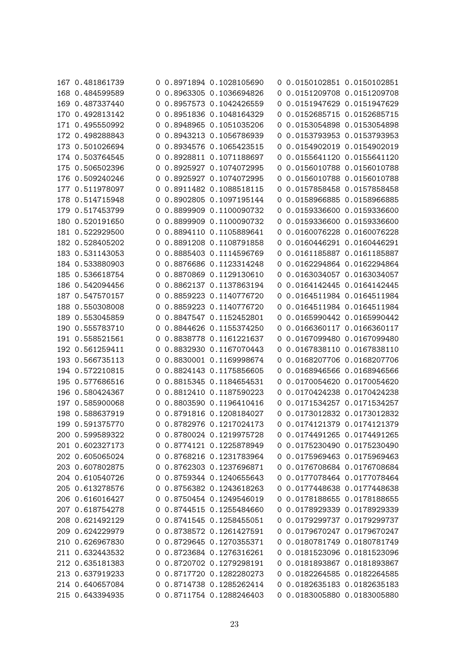| 167 0.481861739 |   | 0 0.8971894 0.1028105690 |             | 0 0.0150102851 0.0150102851 |                           |
|-----------------|---|--------------------------|-------------|-----------------------------|---------------------------|
| 168 0.484599589 |   | 0 0.8963305 0.1036694826 |             | 0 0.0151209708 0.0151209708 |                           |
| 169 0.487337440 | 0 | 0.8957573 0.1042426559   | 0           |                             | 0.0151947629 0.0151947629 |
| 170 0.492813142 |   | 0.8951836 0.1048164329   |             | 0.0152685715 0.0152685715   |                           |
| 171 0.495550992 | 0 | 0.8948965 0.1051035206   | 0           |                             | 0.0153054898 0.0153054898 |
|                 | 0 | 0.8943213 0.1056786939   | 0           |                             |                           |
| 172 0.498288843 | 0 |                          | 0           | 0.0153793953 0.0153793953   |                           |
| 173 0.501026694 | 0 | 0.8934576 0.1065423515   | 0           |                             | 0.0154902019 0.0154902019 |
| 174 0.503764545 | 0 | 0.8928811 0.1071188697   | 0           |                             | 0.0155641120 0.0155641120 |
| 175 0.506502396 | 0 | 0.8925927 0.1074072995   | 0           |                             | 0.0156010788 0.0156010788 |
| 176 0.509240246 |   | 0 0.8925927 0.1074072995 |             | 0.0156010788 0.0156010788   |                           |
| 177 0.511978097 | 0 | 0.8911482 0.1088518115   | $\mathbf 0$ |                             | 0.0157858458 0.0157858458 |
| 178 0.514715948 | 0 | 0.8902805 0.1097195144   | 0           | 0.0158966885 0.0158966885   |                           |
| 179 0.517453799 | 0 | 0.8899909 0.1100090732   | 0           |                             | 0.0159336600 0.0159336600 |
| 180 0.520191650 | 0 | 0.8899909 0.1100090732   |             | 0 0.0159336600 0.0159336600 |                           |
| 181 0.522929500 | 0 | 0.8894110 0.1105889641   | 0           | 0.0160076228 0.0160076228   |                           |
| 182 0.528405202 | 0 | 0.8891208 0.1108791858   |             | 0 0.0160446291 0.0160446291 |                           |
| 183 0.531143053 |   | 0 0.8885403 0.1114596769 |             | 0 0.0161185887 0.0161185887 |                           |
| 184 0.533880903 |   | 0 0.8876686 0.1123314248 |             | 0 0.0162294864 0.0162294864 |                           |
| 185 0.536618754 | 0 | 0.8870869 0.1129130610   | 0           | 0.0163034057 0.0163034057   |                           |
| 186 0.542094456 | 0 | 0.8862137 0.1137863194   | 0           | 0.0164142445 0.0164142445   |                           |
| 187 0.547570157 | 0 | 0.8859223 0.1140776720   | 0           | 0.0164511984 0.0164511984   |                           |
| 188 0.550308008 | 0 | 0.8859223 0.1140776720   | 0           |                             | 0.0164511984 0.0164511984 |
| 189 0.553045859 | 0 | 0.8847547 0.1152452801   | 0           | 0.0165990442 0.0165990442   |                           |
| 190 0.555783710 | 0 | 0.8844626 0.1155374250   |             | 0 0.0166360117 0.0166360117 |                           |
| 191 0.558521561 |   | 0 0.8838778 0.1161221637 |             | 0 0.0167099480 0.0167099480 |                           |
| 192 0.561259411 | 0 | 0.8832930 0.1167070443   | 0           |                             | 0.0167838110 0.0167838110 |
| 193 0.566735113 | 0 | 0.8830001 0.1169998674   | 0           | 0.0168207706 0.0168207706   |                           |
| 194 0.572210815 | 0 | 0.8824143 0.1175856605   | 0           | 0.0168946566 0.0168946566   |                           |
| 195 0.577686516 | 0 | 0.8815345 0.1184654531   | 0           | 0.0170054620 0.0170054620   |                           |
| 196 0.580424367 | 0 | 0.8812410 0.1187590223   | 0           |                             | 0.0170424238 0.0170424238 |
| 197 0.585900068 | 0 | 0.8803590 0.1196410416   |             | 0 0.0171534257 0.0171534257 |                           |
| 198 0.588637919 |   | 0 0.8791816 0.1208184027 |             | 0 0.0173012832 0.0173012832 |                           |
| 199 0.591375770 |   | 0 0.8782976 0.1217024173 |             | 0 0.0174121379 0.0174121379 |                           |
| 200 0.599589322 |   | 0 0.8780024 0.1219975728 |             | 0 0.0174491265 0.0174491265 |                           |
| 201 0.602327173 |   | 0 0.8774121 0.1225878949 |             | 0 0.0175230490 0.0175230490 |                           |
| 202 0.605065024 |   | 0 0.8768216 0.1231783964 |             | 0 0.0175969463 0.0175969463 |                           |
| 203 0.607802875 |   | 0 0.8762303 0.1237696871 |             | 0 0.0176708684 0.0176708684 |                           |
| 204 0.610540726 |   | 0 0.8759344 0.1240655643 |             | 0 0.0177078464 0.0177078464 |                           |
| 205 0.613278576 |   | 0 0.8756382 0.1243618263 |             | 0 0.0177448638 0.0177448638 |                           |
| 206 0.616016427 |   | 0 0.8750454 0.1249546019 |             | 0 0.0178188655 0.0178188655 |                           |
| 207 0.618754278 |   | 0 0.8744515 0.1255484660 |             | 0 0.0178929339 0.0178929339 |                           |
| 208 0.621492129 |   | 0 0.8741545 0.1258455051 |             | 0 0.0179299737 0.0179299737 |                           |
| 209 0.624229979 |   | 0 0.8738572 0.1261427591 |             | 0 0.0179670247 0.0179670247 |                           |
| 210 0.626967830 |   | 0 0.8729645 0.1270355371 |             | 0 0.0180781749 0.0180781749 |                           |
| 211 0.632443532 |   | 0 0.8723684 0.1276316261 |             | 0 0.0181523096 0.0181523096 |                           |
| 212 0.635181383 |   | 0 0.8720702 0.1279298191 |             | 0 0.0181893867 0.0181893867 |                           |
| 213 0.637919233 |   | 0 0.8717720 0.1282280273 |             | 0 0.0182264585 0.0182264585 |                           |
| 214 0.640657084 |   | 0 0.8714738 0.1285262414 |             | 0 0.0182635183 0.0182635183 |                           |
| 215 0.643394935 |   | 0 0.8711754 0.1288246403 |             | 0 0.0183005880 0.0183005880 |                           |
|                 |   |                          |             |                             |                           |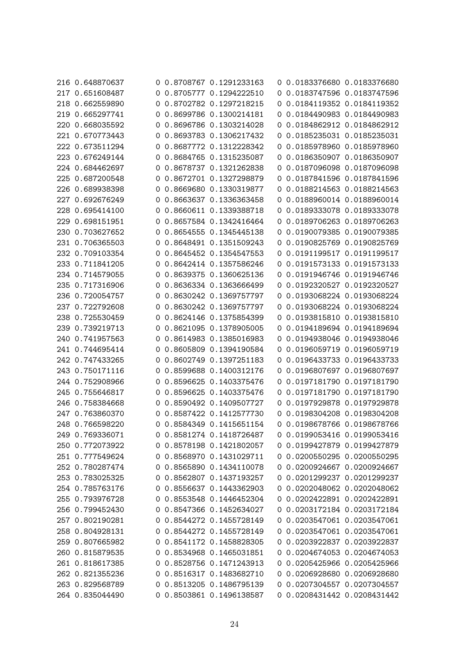| 216 0.648870637<br>217 0.651608487 |   | 0 0.8708767 0.1291233163<br>0 0.8705777 0.1294222510 |          | 0 0.0183376680 0.0183376680<br>0 0.0183747596 0.0183747596 |                           |
|------------------------------------|---|------------------------------------------------------|----------|------------------------------------------------------------|---------------------------|
|                                    |   | 0.8702782 0.1297218215                               |          |                                                            | 0.0184119352 0.0184119352 |
| 218 0.662559890                    | 0 |                                                      | 0        |                                                            |                           |
| 219 0.665297741                    | 0 | 0.8699786 0.1300214181                               | 0        |                                                            | 0.0184490983 0.0184490983 |
| 220 0.668035592                    | 0 | 0.8696786 0.1303214028                               | 0        |                                                            | 0.0184862912 0.0184862912 |
| 221 0.670773443                    | 0 | 0.8693783 0.1306217432                               | 0        |                                                            | 0.0185235031 0.0185235031 |
| 222 0.673511294                    | 0 | 0.8687772 0.1312228342                               | 0        |                                                            | 0.0185978960 0.0185978960 |
| 223 0.676249144                    | 0 | 0.8684765 0.1315235087                               | 0        |                                                            | 0.0186350907 0.0186350907 |
| 224 0.684462697                    | 0 | 0.8678737 0.1321262838                               | 0        |                                                            | 0.0187096098 0.0187096098 |
| 225 0.687200548                    |   | 0 0.8672701 0.1327298879                             | 0        |                                                            | 0.0187841596 0.0187841596 |
| 226 0.689938398                    | 0 | 0.8669680 0.1330319877                               | O        |                                                            | 0.0188214563 0.0188214563 |
| 227 0.692676249                    | 0 | 0.8663637 0.1336363458                               | 0        |                                                            | 0.0188960014 0.0188960014 |
| 228 0.695414100                    | 0 | 0.8660611 0.1339388718                               | 0        |                                                            | 0.0189333078 0.0189333078 |
| 229 0.698151951                    |   | 0.8657584 0.1342416464                               |          |                                                            | 0.0189706263 0.0189706263 |
| 230 0.703627652                    | 0 | 0.8654555 0.1345445138                               | 0        |                                                            | 0.0190079385 0.0190079385 |
| 231 0.706365503                    | 0 | 0.8648491 0.1351509243                               | 0        |                                                            | 0.0190825769 0.0190825769 |
| 232 0.709103354                    |   | 0 0.8645452 0.1354547553                             | O        |                                                            | 0.0191199517 0.0191199517 |
| 233 0.711841205                    |   | 0 0.8642414 0.1357586246                             |          |                                                            | 0.0191573133 0.0191573133 |
| 234 0.714579055                    | 0 | 0.8639375 0.1360625136                               | 0        |                                                            | 0.0191946746 0.0191946746 |
| 235 0.717316906                    | 0 | 0.8636334 0.1363666499                               | 0        |                                                            | 0.0192320527 0.0192320527 |
| 236 0.720054757                    | 0 | 0.8630242 0.1369757797                               | 0        |                                                            | 0.0193068224 0.0193068224 |
| 237 0.722792608                    |   | 0.8630242 0.1369757797                               |          |                                                            | 0.0193068224 0.0193068224 |
| 238 0.725530459                    | 0 | 0.8624146 0.1375854399                               | 0        |                                                            | 0.0193815810 0.0193815810 |
| 239 0.739219713                    |   | 0 0.8621095 0.1378905005                             | 0        |                                                            | 0.0194189694 0.0194189694 |
| 240 0.741957563                    |   | 0 0.8614983 0.1385016983                             | 0        |                                                            | 0.0194938046 0.0194938046 |
| 241 0.744695414                    |   | 0 0.8605809 0.1394190584                             | $\sigma$ |                                                            | 0.0196059719 0.0196059719 |
| 242 0.747433265                    | 0 | 0.8602749 0.1397251183                               | 0        | 0.0196433733 0.0196433733                                  |                           |
| 243 0.750171116                    | 0 | 0.8599688 0.1400312176                               | 0        |                                                            | 0.0196807697 0.0196807697 |
| 244 0.752908966                    | 0 | 0.8596625 0.1403375476                               | 0        |                                                            | 0.0197181790 0.0197181790 |
| 245 0.755646817                    | 0 | 0.8596625 0.1403375476                               | 0        |                                                            | 0.0197181790 0.0197181790 |
| 246 0.758384668                    | 0 | 0.8590492 0.1409507727                               | 0        | 0.0197929878 0.0197929878                                  |                           |
| 247 0.763860370                    |   | 0 0.8587422 0.1412577730                             |          | 0 0.0198304208 0.0198304208                                |                           |
| 248 0.766598220                    |   | 0 0.8584349 0.1415651154                             |          | 0 0.0198678766 0.0198678766                                |                           |
| 249 0.769336071                    |   | 0 0.8581274 0.1418726487                             |          | 0 0.0199053416 0.0199053416                                |                           |
| 250 0.772073922                    |   | 0 0.8578198 0.1421802057                             |          | 0 0.0199427879 0.0199427879                                |                           |
| 251 0.777549624                    |   | 0 0.8568970 0.1431029711                             |          | 0 0.0200550295 0.0200550295                                |                           |
| 252 0.780287474                    |   | 0 0.8565890 0.1434110078                             |          | 0 0.0200924667 0.0200924667                                |                           |
| 253 0.783025325                    |   | 0 0.8562807 0.1437193257                             |          | 0 0.0201299237 0.0201299237                                |                           |
| 254 0.785763176                    |   | 0 0.8556637 0.1443362903                             |          | 0 0.0202048062 0.0202048062                                |                           |
| 255 0.793976728                    |   | 0 0.8553548 0.1446452304                             |          | 0 0.0202422891 0.0202422891                                |                           |
| 256 0.799452430                    |   | 0 0.8547366 0.1452634027                             |          | 0 0.0203172184 0.0203172184                                |                           |
| 257 0.802190281                    |   | 0 0.8544272 0.1455728149                             |          | 0 0.0203547061 0.0203547061                                |                           |
| 258 0.804928131                    |   | 0 0.8544272 0.1455728149                             |          | 0 0.0203547061 0.0203547061                                |                           |
| 259 0.807665982                    |   | 0 0.8541172 0.1458828305                             |          | 0 0.0203922837 0.0203922837                                |                           |
| 260 0.815879535                    |   | 0 0.8534968 0.1465031851                             |          | 0 0.0204674053 0.0204674053                                |                           |
| 261 0.818617385                    |   | 0 0.8528756 0.1471243913                             |          | 0 0.0205425966 0.0205425966                                |                           |
| 262 0.821355236                    |   | 0 0.8516317 0.1483682710                             |          | 0 0.0206928680 0.0206928680                                |                           |
| 263 0.829568789                    |   | 0 0.8513205 0.1486795139                             |          | 0 0.0207304557 0.0207304557                                |                           |
| 264 0.835044490                    |   | 0 0.8503861 0.1496138587                             |          | 0 0.0208431442 0.0208431442                                |                           |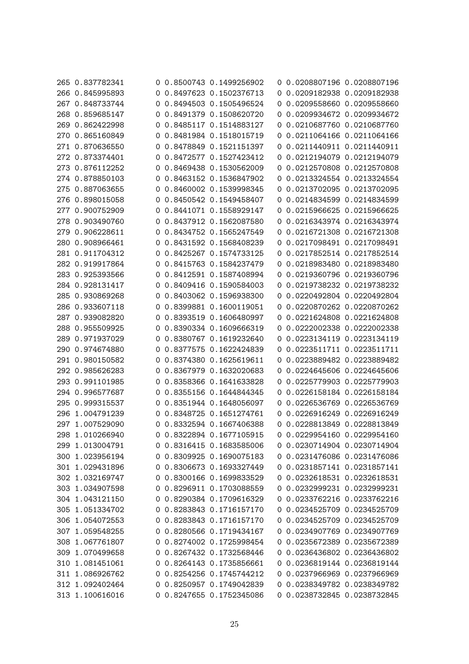| 265 0.837782341 |   | 0 0.8500743 0.1499256902 |   | 0 0.0208807196 0.0208807196 |                           |
|-----------------|---|--------------------------|---|-----------------------------|---------------------------|
| 266 0.845995893 |   | 0 0.8497623 0.1502376713 |   | 0 0.0209182938 0.0209182938 |                           |
| 267 0.848733744 | 0 | 0.8494503 0.1505496524   | 0 |                             | 0.0209558660 0.0209558660 |
| 268 0.859685147 | 0 | 0.8491379 0.1508620720   | 0 |                             | 0.0209934672 0.0209934672 |
| 269 0.862422998 | 0 | 0.8485117 0.1514883127   | 0 |                             | 0.0210687760 0.0210687760 |
| 270 0.865160849 |   | 0.8481984 0.1518015719   | 0 |                             | 0.0211064166 0.0211064166 |
| 271 0.870636550 | 0 | 0.8478849 0.1521151397   | 0 | 0.0211440911 0.0211440911   |                           |
| 272 0.873374401 | 0 | 0.8472577 0.1527423412   | 0 |                             | 0.0212194079 0.0212194079 |
| 273 0.876112252 | O | 0.8469438 0.1530562009   | 0 |                             | 0.0212570808 0.0212570808 |
| 274 0.878850103 |   | 0.8463152 0.1536847902   |   |                             | 0.0213324554 0.0213324554 |
| 275 0.887063655 | 0 | 0.8460002 0.1539998345   | 0 |                             | 0.0213702095 0.0213702095 |
| 276 0.898015058 | 0 | 0.8450542 0.1549458407   | 0 | 0.0214834599 0.0214834599   |                           |
| 277 0.900752909 | 0 | 0.8441071 0.1558929147   | O |                             | 0.0215966625 0.0215966625 |
| 278 0.903490760 |   | 0.8437912 0.1562087580   |   | 0.0216343974 0.0216343974   |                           |
| 279 0.906228611 | 0 | 0.8434752 0.1565247549   | 0 |                             | 0.0216721308 0.0216721308 |
| 280 0.908966461 | O | 0.8431592 0.1568408239   | 0 | 0.0217098491 0.0217098491   |                           |
| 281 0.911704312 |   | 0 0.8425267 0.1574733125 | O |                             | 0.0217852514 0.0217852514 |
| 282 0.919917864 |   | 0 0.8415763 0.1584237479 | 0 |                             | 0.0218983480 0.0218983480 |
| 283 0.925393566 | 0 | 0.8412591 0.1587408994   | 0 |                             | 0.0219360796 0.0219360796 |
| 284 0.928131417 | 0 | 0.8409416 0.1590584003   | 0 |                             | 0.0219738232 0.0219738232 |
| 285 0.930869268 | 0 | 0.8403062 0.1596938300   | O |                             | 0.0220492804 0.0220492804 |
| 286 0.933607118 | 0 | 0.8399881 0.1600119051   | 0 |                             | 0.0220870262 0.0220870262 |
| 287 0.939082820 | 0 | 0.8393519 0.1606480997   | 0 |                             | 0.0221624808 0.0221624808 |
| 288 0.955509925 | 0 | 0.8390334 0.1609666319   | 0 |                             | 0.0222002338 0.0222002338 |
| 289 0.971937029 |   | 0 0.8380767 0.1619232640 | O |                             | 0.0223134119 0.0223134119 |
| 290 0.974674880 | 0 | 0.8377575 0.1622424839   | 0 | 0.0223511711 0.0223511711   |                           |
| 291 0.980150582 | 0 | 0.8374380 0.1625619611   | 0 |                             | 0.0223889482 0.0223889482 |
| 292 0.985626283 | 0 | 0.8367979 0.1632020683   | 0 |                             | 0.0224645606 0.0224645606 |
| 293 0.991101985 |   | 0.8358366 0.1641633828   | 0 |                             | 0.0225779903 0.0225779903 |
| 294 0.996577687 | 0 | 0.8355156 0.1644844345   | 0 |                             | 0.0226158184 0.0226158184 |
| 295 0.999315537 | 0 | 0.8351944 0.1648056097   | 0 |                             | 0.0226536769 0.0226536769 |
| 296 1.004791239 | O | 0.8348725 0.1651274761   | O |                             | 0.0226916249 0.0226916249 |
| 297 1.007529090 |   | 0 0.8332594 0.1667406388 |   | 0 0.0228813849 0.0228813849 |                           |
| 298 1.010266940 |   | 0 0.8322894 0.1677105915 |   | 0 0.0229954160 0.0229954160 |                           |
| 299 1.013004791 |   | 0 0.8316415 0.1683585006 |   | 0 0.0230714904 0.0230714904 |                           |
| 300 1.023956194 |   | 0 0.8309925 0.1690075183 |   | 0 0.0231476086 0.0231476086 |                           |
| 301 1.029431896 |   | 0 0.8306673 0.1693327449 |   | 0 0.0231857141 0.0231857141 |                           |
| 302 1.032169747 |   | 0 0.8300166 0.1699833529 |   | 0 0.0232618531 0.0232618531 |                           |
| 303 1.034907598 |   | 0 0.8296911 0.1703088559 |   | 0 0.0232999231 0.0232999231 |                           |
| 304 1.043121150 |   | 0 0.8290384 0.1709616329 |   | 0 0.0233762216 0.0233762216 |                           |
| 305 1.051334702 |   | 0 0.8283843 0.1716157170 |   | 0 0.0234525709 0.0234525709 |                           |
| 306 1.054072553 |   | 0 0.8283843 0.1716157170 |   | 0 0.0234525709 0.0234525709 |                           |
| 307 1.059548255 |   | 0 0.8280566 0.1719434167 |   | 0 0.0234907769 0.0234907769 |                           |
| 308 1.067761807 |   | 0 0.8274002 0.1725998454 |   | 0 0.0235672389 0.0235672389 |                           |
| 309 1.070499658 |   | 0 0.8267432 0.1732568446 |   | 0 0.0236436802 0.0236436802 |                           |
| 310 1.081451061 |   | 0 0.8264143 0.1735856661 |   | 0 0.0236819144 0.0236819144 |                           |
| 311 1.086926762 |   | 0 0.8254256 0.1745744212 |   | 0 0.0237966969 0.0237966969 |                           |
| 312 1.092402464 |   | 0 0.8250957 0.1749042839 |   | 0 0.0238349782 0.0238349782 |                           |
| 313 1.100616016 |   | 0 0.8247655 0.1752345086 |   | 0 0.0238732845 0.0238732845 |                           |
|                 |   |                          |   |                             |                           |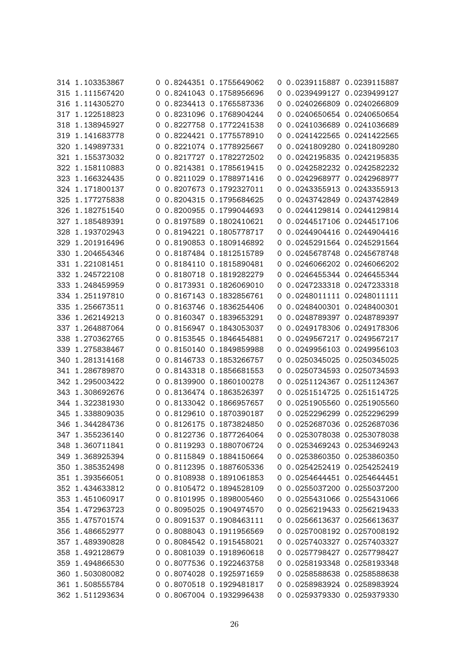| 314 1.103353867                    |   | 0 0.8244351 0.1755649062 |          | 0 0.0239115887 0.0239115887 |                           |
|------------------------------------|---|--------------------------|----------|-----------------------------|---------------------------|
| 315 1.111567420                    |   | 0 0.8241043 0.1758956696 |          | 0 0.0239499127 0.0239499127 |                           |
| 316 1.114305270                    | 0 | 0.8234413 0.1765587336   | $\sigma$ |                             | 0.0240266809 0.0240266809 |
| 317 1.122518823                    | 0 | 0.8231096 0.1768904244   | 0        |                             | 0.0240650654 0.0240650654 |
| 318 1.138945927                    | 0 | 0.8227758 0.1772241538   | 0        |                             | 0.0241036689 0.0241036689 |
| 319 1.141683778                    | 0 | 0.8224421 0.1775578910   | 0        | 0.0241422565 0.0241422565   |                           |
| 320 1.149897331                    | 0 | 0.8221074 0.1778925667   | 0        |                             | 0.0241809280 0.0241809280 |
| 321 1.155373032                    | 0 | 0.8217727 0.1782272502   | 0        |                             | 0.0242195835 0.0242195835 |
| 322 1.158110883                    |   | 0 0.8214381 0.1785619415 | O        |                             | 0.0242582232 0.0242582232 |
| 323 1.166324435                    |   | 0 0.8211029 0.1788971416 |          |                             | 0.0242968977 0.0242968977 |
| 324 1.171800137                    | O | 0.8207673 0.1792327011   | O        |                             | 0.0243355913 0.0243355913 |
| 325 1.177275838                    | 0 | 0.8204315 0.1795684625   |          | 0 0.0243742849 0.0243742849 |                           |
| 326 1.182751540                    | 0 | 0.8200955 0.1799044693   | $\sigma$ | 0.0244129814 0.0244129814   |                           |
| 327 1.185489391                    |   | 0.8197589 0.1802410621   |          | 0 0.0244517106 0.0244517106 |                           |
| 328 1.193702943                    | 0 | 0.8194221 0.1805778717   | 0        |                             | 0.0244904416 0.0244904416 |
| 329 1.201916496                    | 0 | 0.8190853 0.1809146892   | $\sigma$ | 0.0245291564 0.0245291564   |                           |
| 330 1.204654346                    |   | 0 0.8187484 0.1812515789 |          |                             | 0.0245678748 0.0245678748 |
| 331 1.221081451                    |   | 0 0.8184110 0.1815890481 |          | 0 0.0246066202 0.0246066202 |                           |
| 332 1.245722108                    | 0 | 0.8180718 0.1819282279   | 0        |                             | 0.0246455344 0.0246455344 |
| 333 1.248459959                    | 0 | 0.8173931 0.1826069010   | 0        | 0.0247233318 0.0247233318   |                           |
| 334 1.251197810                    |   | 0 0.8167143 0.1832856761 | O        | 0.0248011111 0.0248011111   |                           |
| 335 1.256673511                    |   | 0 0.8163746 0.1836254406 |          | 0.0248400301 0.0248400301   |                           |
| 336 1.262149213                    | 0 | 0.8160347 0.1839653291   | $\sigma$ |                             | 0.0248789397 0.0248789397 |
| 337 1.264887064                    |   | 0 0.8156947 0.1843053037 | $\sigma$ |                             | 0.0249178306 0.0249178306 |
| 338 1.270362765                    |   | 0 0.8153545 0.1846454881 | 0        |                             | 0.0249567217 0.0249567217 |
| 339 1.275838467                    |   | 0 0.8150140 0.1849859988 |          |                             | 0.0249956103 0.0249956103 |
| 340 1.281314168                    | 0 | 0.8146733 0.1853266757   |          | 0 0.0250345025 0.0250345025 |                           |
| 341 1.286789870                    | 0 | 0.8143318 0.1856681553   | 0        |                             | 0.0250734593 0.0250734593 |
| 342 1.295003422                    | O | 0.8139900 0.1860100278   |          | 0 0.0251124367 0.0251124367 |                           |
| 343 1.308692676                    | O | 0.8136474 0.1863526397   | O.       |                             | 0.0251514725 0.0251514725 |
| 344 1.322381930                    | O | 0.8133042 0.1866957657   |          | 0 0.0251905560 0.0251905560 |                           |
| 345 1.338809035                    |   | 0 0.8129610 0.1870390187 |          | 0 0.0252296299 0.0252296299 |                           |
| 346 1.344284736                    |   | 0 0.8126175 0.1873824850 |          | 0 0.0252687036 0.0252687036 |                           |
| 347 1.355236140                    |   | 0 0.8122736 0.1877264064 |          | 0 0.0253078038 0.0253078038 |                           |
| 348 1.360711841                    |   | 0 0.8119293 0.1880706724 |          | 0 0.0253469243 0.0253469243 |                           |
| 349 1.368925394                    |   | 0 0.8115849 0.1884150664 |          | 0 0.0253860350 0.0253860350 |                           |
| 350 1.385352498                    |   | 0 0.8112395 0.1887605336 |          | 0 0.0254252419 0.0254252419 |                           |
| 351 1.393566051                    |   | 0 0.8108938 0.1891061853 |          | 0 0.0254644451 0.0254644451 |                           |
| 352 1.434633812                    |   | 0 0.8105472 0.1894528109 |          | 0 0.0255037200 0.0255037200 |                           |
| 353 1.451060917                    |   | 0 0.8101995 0.1898005460 |          | 0 0.0255431066 0.0255431066 |                           |
| 354 1.472963723                    |   | 0 0.8095025 0.1904974570 |          | 0 0.0256219433 0.0256219433 |                           |
| 355 1.475701574                    |   | 0 0.8091537 0.1908463111 |          | 0 0.0256613637 0.0256613637 |                           |
| 356 1.486652977                    |   | 0 0.8088043 0.1911956569 |          | 0 0.0257008192 0.0257008192 |                           |
| 357 1.489390828                    |   | 0 0.8084542 0.1915458021 |          | 0 0.0257403327 0.0257403327 |                           |
| 358 1.492128679                    |   | 0 0.8081039 0.1918960618 |          | 0 0.0257798427 0.0257798427 |                           |
| 359 1.494866530                    |   | 0 0.8077536 0.1922463758 |          | 0 0.0258193348 0.0258193348 |                           |
|                                    |   | 0 0.8074028 0.1925971659 |          | 0 0.0258588638 0.0258588638 |                           |
| 360 1.503080082<br>361 1.508555784 |   | 0 0.8070518 0.1929481817 |          | 0 0.0258983924 0.0258983924 |                           |
|                                    |   |                          |          |                             |                           |
| 362 1.511293634                    |   | 0 0.8067004 0.1932996438 |          | 0 0.0259379330 0.0259379330 |                           |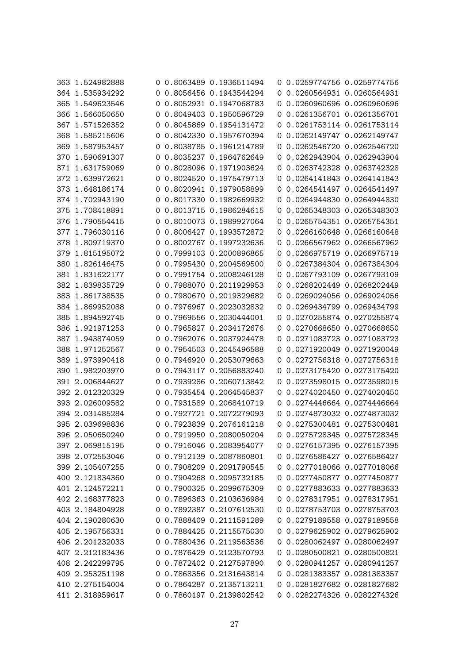| 363 1.524982888 |   | 0 0.8063489 0.1936511494 |              | 0 0.0259774756 0.0259774756 |                           |
|-----------------|---|--------------------------|--------------|-----------------------------|---------------------------|
| 364 1.535934292 |   | 0 0.8056456 0.1943544294 |              | 0 0.0260564931 0.0260564931 |                           |
| 365 1.549623546 | 0 | 0.8052931 0.1947068783   | $\sigma$     |                             | 0.0260960696 0.0260960696 |
| 366 1.566050650 | 0 | 0.8049403 0.1950596729   | 0            |                             | 0.0261356701 0.0261356701 |
| 367 1.571526352 | 0 | 0.8045869 0.1954131472   | 0            |                             | 0.0261753114 0.0261753114 |
| 368 1.585215606 | 0 | 0.8042330 0.1957670394   | 0            | 0.0262149747 0.0262149747   |                           |
| 369 1.587953457 | 0 | 0.8038785 0.1961214789   | 0            |                             | 0.0262546720 0.0262546720 |
| 370 1.590691307 | 0 | 0.8035237 0.1964762649   | 0            | 0.0262943904 0.0262943904   |                           |
| 371 1.631759069 | 0 | 0.8028096 0.1971903624   | O            |                             | 0.0263742328 0.0263742328 |
| 372 1.639972621 | 0 | 0.8024520 0.1975479713   |              | 0 0.0264141843 0.0264141843 |                           |
| 373 1.648186174 | 0 | 0.8020941 0.1979058899   | 0            |                             | 0.0264541497 0.0264541497 |
| 374 1.702943190 | 0 | 0.8017330 0.1982669932   | $\mathbf{0}$ | 0.0264944830 0.0264944830   |                           |
| 375 1.708418891 |   | 0.8013715 0.1986284615   |              |                             | 0.0265348303 0.0265348303 |
| 376 1.790554415 | 0 | 0.8010073 0.1989927064   | 0            | 0.0265754351 0.0265754351   |                           |
|                 |   |                          |              |                             |                           |
| 377 1.796030116 | 0 | 0.8006427 0.1993572872   | 0            |                             | 0.0266160648 0.0266160648 |
| 378 1.809719370 | 0 | 0.8002767 0.1997232636   | $\sigma$     | 0.0266567962 0.0266567962   |                           |
| 379 1.815195072 |   | 0 0.7999103 0.2000896865 |              |                             | 0.0266975719 0.0266975719 |
| 380 1.826146475 |   | 0 0.7995430 0.2004569500 |              | 0 0.0267384304 0.0267384304 |                           |
| 381 1.831622177 | 0 | 0.7991754 0.2008246128   | 0            |                             | 0.0267793109 0.0267793109 |
| 382 1.839835729 | 0 | 0.7988070 0.2011929953   | 0            |                             | 0.0268202449 0.0268202449 |
| 383 1.861738535 | O | 0.7980670 0.2019329682   | O            |                             | 0.0269024056 0.0269024056 |
| 384 1.869952088 | 0 | 0.7976967 0.2023032832   |              |                             | 0.0269434799 0.0269434799 |
| 385 1.894592745 | 0 | 0.7969556 0.2030444001   | 0            |                             | 0.0270255874 0.0270255874 |
| 386 1.921971253 |   | 0 0.7965827 0.2034172676 | O            | 0.0270668650 0.0270668650   |                           |
| 387 1.943874059 |   | 0 0.7962076 0.2037924478 |              | 0 0.0271083723 0.0271083723 |                           |
| 388 1.971252567 | O | 0.7954503 0.2045496588   |              |                             | 0.0271920049 0.0271920049 |
| 389 1.973990418 | 0 | 0.7946920 0.2053079663   |              | 0 0.0272756318 0.0272756318 |                           |
| 390 1.982203970 | 0 | 0.7943117 0.2056883240   | $\sigma$     |                             | 0.0273175420 0.0273175420 |
| 391 2.006844627 | O | 0.7939286 0.2060713842   |              | 0 0.0273598015 0.0273598015 |                           |
| 392 2.012320329 | 0 | 0.7935454 0.2064545837   | O.           |                             | 0.0274020450 0.0274020450 |
| 393 2.026009582 | O | 0.7931589 0.2068410719   |              | 0 0.0274446664 0.0274446664 |                           |
| 394 2.031485284 |   | 0 0.7927721 0.2072279093 |              | 0 0.0274873032 0.0274873032 |                           |
| 395 2.039698836 |   | 0 0.7923839 0.2076161218 |              | 0 0.0275300481 0.0275300481 |                           |
| 396 2.050650240 |   | 0 0.7919950 0.2080050204 |              | 0 0.0275728345 0.0275728345 |                           |
| 397 2.069815195 |   | 0 0.7916046 0.2083954077 |              | 0 0.0276157395 0.0276157395 |                           |
| 398 2.072553046 |   | 0 0.7912139 0.2087860801 |              | 0 0.0276586427 0.0276586427 |                           |
| 399 2.105407255 |   | 0 0.7908209 0.2091790545 |              | 0 0.0277018066 0.0277018066 |                           |
| 400 2.121834360 |   | 0 0.7904268 0.2095732185 |              | 0 0.0277450877 0.0277450877 |                           |
| 401 2.124572211 |   | 0 0.7900325 0.2099675309 |              | 0 0.0277883633 0.0277883633 |                           |
| 402 2.168377823 |   | 0 0.7896363 0.2103636984 |              | 0 0.0278317951 0.0278317951 |                           |
| 403 2.184804928 |   | 0 0.7892387 0.2107612530 |              | 0 0.0278753703 0.0278753703 |                           |
| 404 2.190280630 |   | 0 0.7888409 0.2111591289 |              | 0 0.0279189558 0.0279189558 |                           |
| 405 2.195756331 |   | 0 0.7884425 0.2115575030 |              | 0 0.0279625902 0.0279625902 |                           |
| 406 2.201232033 |   | 0 0.7880436 0.2119563536 |              | 0 0.0280062497 0.0280062497 |                           |
| 407 2.212183436 |   | 0 0.7876429 0.2123570793 |              | 0 0.0280500821 0.0280500821 |                           |
| 408 2.242299795 |   | 0 0.7872402 0.2127597890 |              | 0 0.0280941257 0.0280941257 |                           |
| 409 2.253251198 |   | 0 0.7868356 0.2131643814 |              | 0 0.0281383357 0.0281383357 |                           |
| 410 2.275154004 |   | 0 0.7864287 0.2135713211 |              | 0 0.0281827682 0.0281827682 |                           |
| 411 2.318959617 |   | 0 0.7860197 0.2139802542 |              | 0 0.0282274326 0.0282274326 |                           |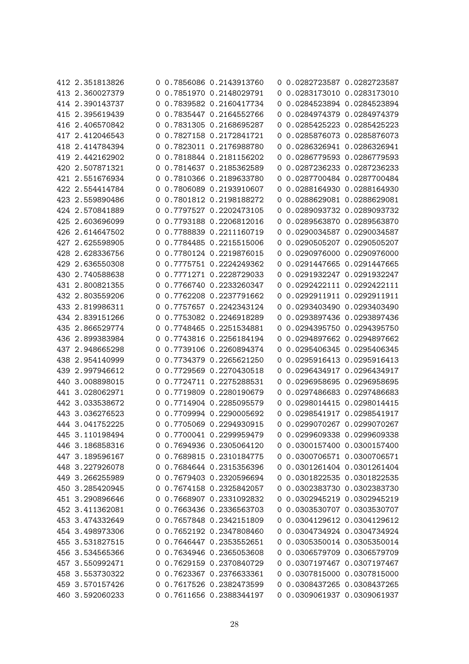| 412 2.351813826 |   | 0 0.7856086 0.2143913760 |          | 0 0.0282723587 0.0282723587 |                             |
|-----------------|---|--------------------------|----------|-----------------------------|-----------------------------|
| 413 2.360027379 |   | 0 0.7851970 0.2148029791 |          | 0 0.0283173010 0.0283173010 |                             |
| 414 2.390143737 | 0 | 0.7839582 0.2160417734   | 0        |                             | 0.0284523894 0.0284523894   |
| 415 2.395619439 | 0 | 0.7835447 0.2164552766   | 0        |                             | 0.0284974379 0.0284974379   |
| 416 2.406570842 | 0 | 0.7831305 0.2168695287   | 0        |                             | 0.0285425223 0.0285425223   |
| 417 2.412046543 | 0 | 0.7827158 0.2172841721   |          |                             | 0.0285876073 0.0285876073   |
| 418 2.414784394 | 0 | 0.7823011 0.2176988780   | 0        | 0.0286326941 0.0286326941   |                             |
| 419 2.442162902 | 0 | 0.7818844 0.2181156202   | 0        |                             | 0.0286779593 0.0286779593   |
| 420 2.507871321 |   | 0 0.7814637 0.2185362589 | O        |                             | 0.0287236233 0.0287236233   |
| 421 2.551676934 |   | 0 0.7810366 0.2189633780 |          | 0 0.0287700484 0.0287700484 |                             |
| 422 2.554414784 | 0 | 0.7806089 0.2193910607   | 0        |                             | 0.0288164930 0.0288164930   |
| 423 2.559890486 | 0 | 0.7801812 0.2198188272   | 0        | 0.0288629081 0.0288629081   |                             |
| 424 2.570841889 | 0 | 0.7797527 0.2202473105   | O        |                             | 0.0289093732 0.0289093732   |
| 425 2.603696099 | 0 | 0.7793188 0.2206812016   |          |                             | 0.0289563870 0.0289563870   |
| 426 2.614647502 | 0 | 0.7788839 0.2211160719   | 0        |                             | 0.0290034587 0.0290034587   |
| 427 2.625598905 |   | 0 0.7784485 0.2215515006 |          | 0 0.0290505207 0.0290505207 |                             |
| 428 2.628336756 |   | 0 0.7780124 0.2219876015 |          | 0 0.0290976000 0.0290976000 |                             |
| 429 2.636550308 |   | 0 0.7775751 0.2224249362 |          |                             | 0.0291447665 0.0291447665   |
| 430 2.740588638 | 0 | 0.7771271 0.2228729033   | $\sigma$ |                             | 0.0291932247 0.0291932247   |
| 431 2.800821355 | 0 | 0.7766740 0.2233260347   | 0        |                             | 0.0292422111 0.0292422111   |
| 432 2.803559206 | O | 0.7762208 0.2237791662   | O        | 0.0292911911 0.0292911911   |                             |
| 433 2.819986311 | 0 | 0.7757657 0.2242343124   | 0        |                             | 0.0293403490 0.0293403490   |
| 434 2.839151266 | O | 0.7753082 0.2246918289   | O        |                             | 0.0293897436 0.0293897436   |
| 435 2.866529774 |   | 0 0.7748465 0.2251534881 |          | 0 0.0294395750 0.0294395750 |                             |
| 436 2.899383984 |   | 0 0.7743816 0.2256184194 |          | 0 0.0294897662 0.0294897662 |                             |
| 437 2.948665298 | 0 | 0.7739106 0.2260894374   | O.       |                             | 0.0295406345 0.0295406345   |
| 438 2.954140999 | 0 | 0.7734379 0.2265621250   | 0        | 0.0295916413 0.0295916413   |                             |
| 439 2.997946612 | 0 | 0.7729569 0.2270430518   | 0        |                             | 0.0296434917 0.0296434917   |
| 440 3.008898015 | 0 | 0.7724711 0.2275288531   | O        |                             | 0.0296958695 0.0296958695   |
| 441 3.028062971 | 0 | 0.7719809 0.2280190679   | 0        |                             | 0.0297486683 0.0297486683   |
| 442 3.033538672 |   | 0 0.7714904 0.2285095579 |          | 0 0.0298014415 0.0298014415 |                             |
| 443 3.036276523 |   | 0 0.7709994 0.2290005692 |          | 0 0.0298541917 0.0298541917 |                             |
| 444 3.041752225 |   | 0 0.7705069 0.2294930915 |          | 0 0.0299070267 0.0299070267 |                             |
| 445 3.110198494 |   | 0 0.7700041 0.2299959479 |          | 0 0.0299609338 0.0299609338 |                             |
| 446 3.186858316 |   | 0 0.7694936 0.2305064120 |          | 0 0.0300157400 0.0300157400 |                             |
| 447 3.189596167 |   | 0 0.7689815 0.2310184775 |          | 0 0.0300706571 0.0300706571 |                             |
| 448 3.227926078 |   | 0 0.7684644 0.2315356396 |          | 0 0.0301261404 0.0301261404 |                             |
| 449 3.266255989 |   | 0 0.7679403 0.2320596694 |          | 0 0.0301822535 0.0301822535 |                             |
| 450 3.285420945 |   | 0 0.7674158 0.2325842057 |          |                             | 0 0.0302383730 0.0302383730 |
| 451 3.290896646 |   | 0 0.7668907 0.2331092832 |          | 0 0.0302945219 0.0302945219 |                             |
| 452 3.411362081 |   | 0 0.7663436 0.2336563703 |          |                             | 0 0.0303530707 0.0303530707 |
| 453 3.474332649 |   | 0 0.7657848 0.2342151809 |          | 0 0.0304129612 0.0304129612 |                             |
| 454 3.498973306 |   | 0 0.7652192 0.2347808460 |          |                             | 0 0.0304734924 0.0304734924 |
| 455 3.531827515 |   | 0 0.7646447 0.2353552651 |          |                             | 0 0.0305350014 0.0305350014 |
| 456 3.534565366 |   | 0 0.7634946 0.2365053608 |          |                             | 0 0.0306579709 0.0306579709 |
| 457 3.550992471 |   | 0 0.7629159 0.2370840729 |          |                             | 0 0.0307197467 0.0307197467 |
| 458 3.553730322 |   | 0 0.7623367 0.2376633361 |          |                             | 0 0.0307815000 0.0307815000 |
| 459 3.570157426 |   | 0 0.7617526 0.2382473599 |          |                             | 0 0.0308437265 0.0308437265 |
|                 |   |                          |          |                             |                             |
| 460 3.592060233 |   | 0 0.7611656 0.2388344197 |          |                             | 0 0.0309061937 0.0309061937 |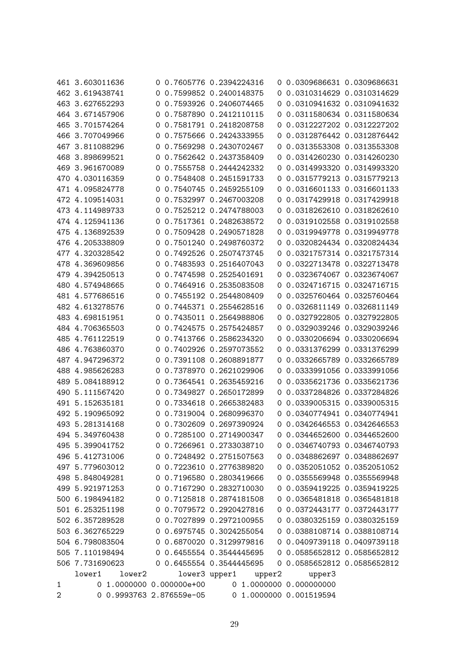|                | 461 3.603011636          |   | 0 0.7605776 0.2394224316      | 0 0.0309686631 0.0309686631 |                           |
|----------------|--------------------------|---|-------------------------------|-----------------------------|---------------------------|
|                | 462 3.619438741          |   | 0 0.7599852 0.2400148375      | 0 0.0310314629 0.0310314629 |                           |
|                | 463 3.627652293          | 0 | 0.7593926 0.2406074465<br>0   | 0.0310941632 0.0310941632   |                           |
|                | 464 3.671457906          | 0 | 0.7587890 0.2412110115<br>0   | 0.0311580634 0.0311580634   |                           |
|                | 465 3.701574264          | 0 | 0.7581791 0.2418208758<br>0   | 0.0312227202 0.0312227202   |                           |
|                | 466 3.707049966          | 0 | 0.7575666 0.2424333955<br>0   | 0.0312876442 0.0312876442   |                           |
|                | 467 3.811088296          | 0 | 0.7569298 0.2430702467<br>0   | 0.0313553308 0.0313553308   |                           |
|                | 468 3.898699521          | 0 | 0.7562642 0.2437358409<br>0   |                             | 0.0314260230 0.0314260230 |
|                | 469 3.961670089          |   | 0 0.7555758 0.2444242332<br>0 | 0.0314993320 0.0314993320   |                           |
|                | 470 4.030116359          |   | 0 0.7548408 0.2451591733      | 0 0.0315779213 0.0315779213 |                           |
|                | 471 4.095824778          | 0 | 0.7540745 0.2459255109<br>0   | 0.0316601133 0.0316601133   |                           |
|                | 472 4.109514031          | 0 | 0.7532997 0.2467003208<br>0   | 0.0317429918 0.0317429918   |                           |
|                | 473 4.114989733          | 0 | 0.7525212 0.2474788003<br>0   | 0.0318262610 0.0318262610   |                           |
|                | 474 4.125941136          | 0 | 0.7517361 0.2482638572        | 0.0319102558 0.0319102558   |                           |
|                | 475 4.136892539          | 0 | 0.7509428 0.2490571828<br>0   | 0.0319949778 0.0319949778   |                           |
|                | 476 4.205338809          |   | 0 0.7501240 0.2498760372<br>0 | 0.0320824434 0.0320824434   |                           |
|                | 477 4.320328542          |   | 0 0.7492526 0.2507473745<br>0 | 0.0321757314 0.0321757314   |                           |
|                | 478 4.369609856          |   | 0 0.7483593 0.2516407043      | 0 0.0322713478 0.0322713478 |                           |
|                | 479 4.394250513          | 0 | 0.7474598 0.2525401691<br>0   | 0.0323674067 0.0323674067   |                           |
|                | 480 4.574948665          | 0 | 0.7464916 0.2535083508<br>0   | 0.0324716715 0.0324716715   |                           |
|                | 481 4.577686516          | 0 | 0.7455192 0.2544808409<br>0   | 0.0325760464 0.0325760464   |                           |
|                | 482 4.613278576          | 0 | 0.7445371 0.2554628516<br>0   | 0.0326811149 0.0326811149   |                           |
|                | 483 4.698151951          | O | 0.7435011 0.2564988806<br>0   | 0.0327922805 0.0327922805   |                           |
|                | 484 4.706365503          |   | 0 0.7424575 0.2575424857<br>0 | 0.0329039246 0.0329039246   |                           |
|                | 485 4.761122519          |   | 0 0.7413766 0.2586234320<br>0 | 0.0330206694 0.0330206694   |                           |
|                | 486 4.763860370          | 0 | 0.7402926 0.2597073552<br>0   | 0.0331376299 0.0331376299   |                           |
|                | 487 4.947296372          | 0 | 0.7391108 0.2608891877<br>0   | 0.0332665789 0.0332665789   |                           |
|                | 488 4.985626283          | 0 | 0.7378970 0.2621029906<br>0   | 0.0333991056 0.0333991056   |                           |
|                | 489 5.084188912          | 0 | 0.7364541 0.2635459216<br>O   | 0.0335621736 0.0335621736   |                           |
|                | 490 5.111567420          | 0 | 0.7349827 0.2650172899<br>0   | 0.0337284826 0.0337284826   |                           |
|                | 491 5.152635181          | 0 | 0.7334618 0.2665382483<br>0   | 0.0339005315 0.0339005315   |                           |
|                | 492 5.190965092          |   | 0 0.7319004 0.2680996370      | 0 0.0340774941 0.0340774941 |                           |
|                | 493 5.281314168          |   | 0 0.7302609 0.2697390924      | 0 0.0342646553 0.0342646553 |                           |
|                | 494 5.349760438          |   | 0 0.7285100 0.2714900347      | 0 0.0344652600 0.0344652600 |                           |
|                | 495 5.399041752          |   | 0 0.7266961 0.2733038710      | 0 0.0346740793 0.0346740793 |                           |
|                | 496 5.412731006          |   | 0 0.7248492 0.2751507563      | 0 0.0348862697 0.0348862697 |                           |
|                | 497 5.779603012          |   | 0 0.7223610 0.2776389820      | 0 0.0352051052 0.0352051052 |                           |
|                | 498 5.848049281          |   | 0 0.7196580 0.2803419666      | 0 0.0355569948 0.0355569948 |                           |
|                | 499 5.921971253          |   | 0 0.7167290 0.2832710030      | 0 0.0359419225 0.0359419225 |                           |
|                | 500 6.198494182          |   | 0 0.7125818 0.2874181508      | 0 0.0365481818 0.0365481818 |                           |
|                | 501 6.253251198          |   | 0 0.7079572 0.2920427816      | 0 0.0372443177 0.0372443177 |                           |
|                | 502 6.357289528          |   | 0 0.7027899 0.2972100955      | 0 0.0380325159 0.0380325159 |                           |
|                | 503 6.362765229          |   | 0 0.6975745 0.3024255054      | 0 0.0388108714 0.0388108714 |                           |
|                | 504 6.798083504          |   | 0 0.6870020 0.3129979816      | 0 0.0409739118 0.0409739118 |                           |
|                | 505 7.110198494          |   | 0 0.6455554 0.3544445695      | 0 0.0585652812 0.0585652812 |                           |
|                | 506 7.731690623          |   | 0 0.6455554 0.3544445695      | 0 0.0585652812 0.0585652812 |                           |
|                | lower1<br>lower2         |   | lower3 upper1<br>upper2       | upper3                      |                           |
| 1              | 0 1.0000000 0.000000e+00 |   |                               | 0 1.0000000 0.000000000     |                           |
| $\overline{2}$ | 0 0.9993763 2.876559e-05 |   |                               | 0 1.0000000 0.001519594     |                           |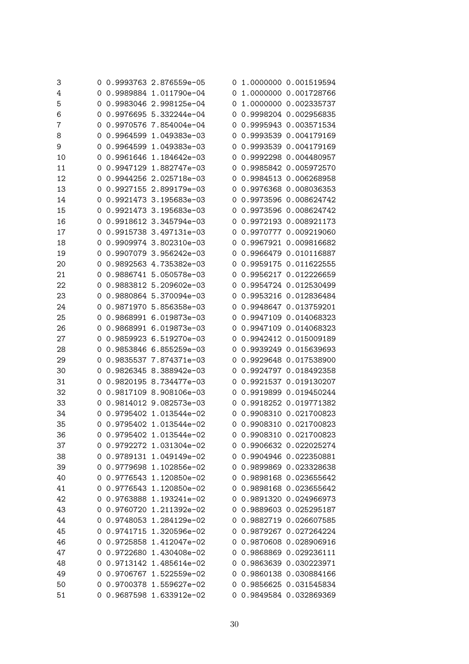| 3  |   | 0 0.9993763 2.876559e-05 | Ü        | 1.0000000 0.001519594   |
|----|---|--------------------------|----------|-------------------------|
| 4  | 0 | 0.9989884 1.011790e-04   | $\Omega$ | 1.0000000 0.001728766   |
| 5  | 0 | 0.9983046 2.998125e-04   | 0        | 1.0000000 0.002335737   |
| 6  | 0 | 0.9976695 5.332244e-04   | 0        | 0.9998204 0.002956835   |
| 7  | 0 | 0.9970576 7.854004e-04   | 0        | 0.9995943 0.003571534   |
| 8  | 0 | 0.9964599 1.049383e-03   | 0        | 0.9993539 0.004179169   |
| 9  | 0 | 0.9964599 1.049383e-03   | O        | 0.9993539 0.004179169   |
| 10 | 0 | 0.9961646 1.184642e-03   | 0        | 0.9992298 0.004480957   |
| 11 | 0 | 0.9947129 1.882747e-03   | 0        | 0.9985842 0.005972570   |
| 12 | 0 | 0.9944256 2.025718e-03   | 0        | 0.9984513 0.006268958   |
| 13 | 0 | 0.9927155 2.899179e-03   | $\Omega$ | 0.9976368 0.008036353   |
| 14 | 0 | 0.9921473 3.195683e-03   | $\Omega$ | 0.9973596 0.008624742   |
| 15 | 0 | 0.9921473 3.195683e-03   | $\Omega$ | 0.9973596 0.008624742   |
| 16 | 0 | 0.9918612 3.345794e-03   | 0        | 0.9972193 0.008921173   |
| 17 | 0 | 0.9915738 3.497131e-03   | 0        | 0.9970777 0.009219060   |
| 18 | 0 | 0.9909974 3.802310e-03   | 0        | 0.9967921 0.009816682   |
| 19 | 0 | 0.9907079 3.956242e-03   | 0        | 0.9966479 0.010116887   |
| 20 | 0 | 0.9892563 4.735382e-03   | 0        | 0.9959175 0.011622555   |
| 21 | 0 | 0.9886741 5.050578e-03   | O        | 0.9956217 0.012226659   |
| 22 | 0 | 0.9883812 5.209602e-03   | $\Omega$ | 0.9954724 0.012530499   |
| 23 | 0 | 0.9880864 5.370094e-03   | 0        | 0.9953216 0.012836484   |
| 24 | 0 | 0.9871970 5.856358e-03   | 0        | 0.9948647 0.013759201   |
| 25 | 0 | 0.9868991 6.019873e-03   | $\Omega$ | 0.9947109 0.014068323   |
| 26 | 0 | 0.9868991 6.019873e-03   | 0        | 0.9947109 0.014068323   |
| 27 | 0 | 0.9859923 6.519270e-03   | $\Omega$ | 0.9942412 0.015009189   |
| 28 | 0 | 0.9853846 6.855259e-03   | 0        | 0.9939249 0.015639693   |
| 29 | 0 | 0.9835537 7.874371e-03   | 0        | 0.9929648 0.017538900   |
| 30 | 0 | 0.9826345 8.388942e-03   | 0        | 0.9924797 0.018492358   |
| 31 | 0 | 0.9820195 8.734477e-03   | 0        | 0.9921537 0.019130207   |
| 32 | 0 | 0.9817109 8.908106e-03   | 0        | 0.9919899 0.019450244   |
| 33 | 0 | 0.9814012 9.082573e-03   | 0        | 0.9918252 0.019771382   |
| 34 | 0 | 0.9795402 1.013544e-02   | 0        | 0.9908310 0.021700823   |
| 35 | 0 | 0.9795402 1.013544e-02   |          | 0 0.9908310 0.021700823 |
| 36 |   | 0 0.9795402 1.013544e-02 |          | 0 0.9908310 0.021700823 |
| 37 |   | 0 0.9792272 1.031304e-02 |          | 0 0.9906632 0.022025274 |
| 38 |   | 0 0.9789131 1.049149e-02 |          | 0 0.9904946 0.022350881 |
| 39 | O | 0.9779698 1.102856e-02   |          | 0 0.9899869 0.023328638 |
| 40 | 0 | 0.9776543 1.120850e-02   |          | 0 0.9898168 0.023655642 |
| 41 |   | 0 0.9776543 1.120850e-02 |          | 0 0.9898168 0.023655642 |
| 42 | 0 | 0.9763888 1.193241e-02   |          | 0 0.9891320 0.024966973 |
| 43 | 0 | 0.9760720 1.211392e-02   |          | 0 0.9889603 0.025295187 |
| 44 | O | 0.9748053 1.284129e-02   |          | 0 0.9882719 0.026607585 |
| 45 | O | 0.9741715 1.320596e-02   |          | 0 0.9879267 0.027264224 |
| 46 |   | 0 0.9725858 1.412047e-02 |          | 0 0.9870608 0.028906916 |
| 47 | O | 0.9722680 1.430408e-02   |          | 0 0.9868869 0.029236111 |
| 48 |   | 0 0.9713142 1.485614e-02 |          | 0 0.9863639 0.030223971 |
| 49 |   | 0 0.9706767 1.522559e-02 |          | 0 0.9860138 0.030884166 |
| 50 |   | 0 0.9700378 1.559627e-02 |          | 0 0.9856625 0.031545834 |
| 51 | 0 | 0.9687598 1.633912e-02   |          | 0 0.9849584 0.032869369 |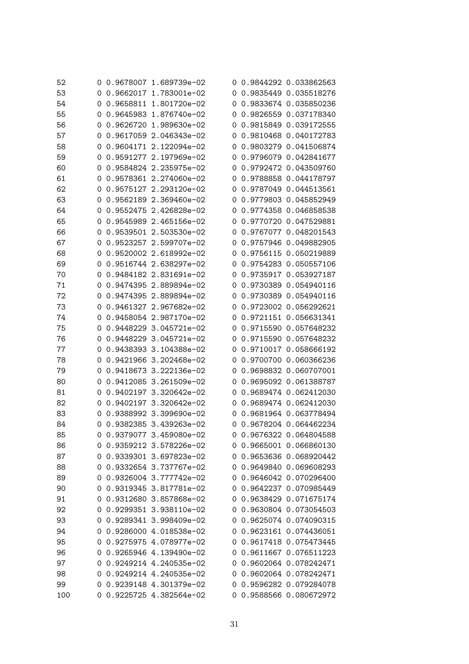| 52  |   |  | 0 0.9678007 1.689739e-02 |          | 0 0.9844292 0.033862563 |
|-----|---|--|--------------------------|----------|-------------------------|
| 53  |   |  | 0 0.9662017 1.783001e-02 |          | 0 0.9835449 0.035518276 |
| 54  | 0 |  | 0.9658811 1.801720e-02   |          | 0 0.9833674 0.035850236 |
| 55  | 0 |  | 0.9645983 1.876740e-02   | 0        | 0.9826559 0.037178340   |
| 56  | 0 |  | 0.9626720 1.989630e-02   |          | 0 0.9815849 0.039172555 |
| 57  | 0 |  | 0.9617059 2.046343e-02   | O        | 0.9810468 0.040172783   |
| 58  | 0 |  | 0.9604171 2.122094e-02   | 0        | 0.9803279 0.041506874   |
| 59  | 0 |  | 0.9591277 2.197969e-02   | 0        | 0.9796079 0.042841677   |
| 60  | 0 |  | 0.9584824 2.235975e-02   | 0        | 0.9792472 0.043509760   |
| 61  | 0 |  | 0.9578361 2.274060e-02   | $\Omega$ | 0.9788858 0.044178797   |
| 62  | 0 |  | 0.9575127 2.293120e-02   |          | 0 0.9787049 0.044513561 |
| 63  | 0 |  | 0.9562189 2.369460e-02   | 0        | 0.9779803 0.045852949   |
| 64  | 0 |  | 0.9552475 2.426828e-02   | O        | 0.9774358 0.046858538   |
| 65  | 0 |  | 0.9545989 2.465156e-02   | 0        | 0.9770720 0.047529881   |
| 66  | 0 |  | 0.9539501 2.503530e-02   | 0        | 0.9767077 0.048201543   |
| 67  | 0 |  | 0.9523257 2.599707e-02   | 0        | 0.9757946 0.049882905   |
| 68  | 0 |  | 0.9520002 2.618992e-02   | 0        | 0.9756115 0.050219889   |
| 69  | 0 |  | 0.9516744 2.638297e-02   | $\Omega$ | 0.9754283 0.050557106   |
| 70  | 0 |  | 0.9484182 2.831691e-02   |          | 0 0.9735917 0.053927187 |
| 71  | 0 |  | 0.9474395 2.889894e-02   |          | 0 0.9730389 0.054940116 |
| 72  | 0 |  | 0.9474395 2.889894e-02   | 0        | 0.9730389 0.054940116   |
| 73  | 0 |  | 0.9461327 2.967682e-02   | 0        | 0.9723002 0.056292621   |
| 74  | 0 |  | 0.9458054 2.987170e-02   | 0        | 0.9721151 0.056631341   |
| 75  | 0 |  | 0.9448229 3.045721e-02   | 0        | 0.9715590 0.057648232   |
| 76  | 0 |  | 0.9448229 3.045721e-02   |          | 0 0.9715590 0.057648232 |
| 77  | 0 |  | 0.9438393 3.104388e-02   |          | 0 0.9710017 0.058666192 |
| 78  | 0 |  | 0.9421966 3.202468e-02   | 0        | 0.9700700 0.060366236   |
| 79  | 0 |  | 0.9418673 3.222136e-02   |          | 0 0.9698832 0.060707001 |
| 80  | 0 |  | 0.9412085 3.261509e-02   | 0        | 0.9695092 0.061388787   |
| 81  | 0 |  | 0.9402197 3.320642e-02   | 0        | 0.9689474 0.062412030   |
| 82  | 0 |  | 0.9402197 3.320642e-02   | O        | 0.9689474 0.062412030   |
| 83  | 0 |  | 0.9388992 3.399690e-02   |          | 0 0.9681964 0.063778494 |
| 84  |   |  | 0 0.9382385 3.439263e-02 |          | 0 0.9678204 0.064462234 |
| 85  |   |  | 0.9379077 3.459080e-02   |          | 0 0.9676322 0.064804588 |
| 86  | O |  | 0.9359212 3.578226e-02   |          | 0 0.9665001 0.066860130 |
| 87  |   |  | 0 0.9339301 3.697823e-02 |          | 0 0.9653636 0.068920442 |
| 88  | 0 |  | 0.9332654 3.737767e-02   |          | 0 0.9649840 0.069608293 |
| 89  | 0 |  | 0.9326004 3.777742e-02   |          | 0 0.9646042 0.070296400 |
| 90  | 0 |  | 0.9319345 3.817781e-02   |          | 0 0.9642237 0.070985449 |
| 91  | 0 |  | 0.9312680 3.857868e-02   |          | 0 0.9638429 0.071675174 |
| 92  | 0 |  | 0.9299351 3.938110e-02   |          | 0 0.9630804 0.073054503 |
| 93  | 0 |  | 0.9289341 3.998409e-02   |          | 0 0.9625074 0.074090315 |
| 94  | 0 |  | 0.9286000 4.018538e-02   | 0        | 0.9623161 0.074436051   |
| 95  |   |  | 0 0.9275975 4.078977e-02 |          | 0 0.9617418 0.075473445 |
| 96  | 0 |  | 0.9265946 4.139490e-02   |          | 0 0.9611667 0.076511223 |
| 97  | O |  | 0.9249214 4.240535e-02   |          | 0 0.9602064 0.078242471 |
| 98  | 0 |  | 0.9249214 4.240535e-02   |          | 0 0.9602064 0.078242471 |
| 99  | 0 |  | 0.9239148 4.301379e-02   |          | 0 0.9596282 0.079284078 |
| 100 |   |  | 0 0.9225725 4.382564e-02 |          | 0 0.9588566 0.080672972 |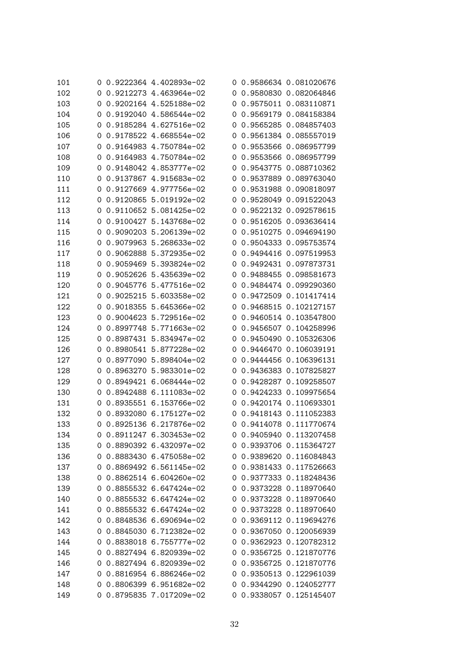| 101 | 0 | 0.9222364   4.402893e-02 |   | 0 0.9586634 0.081020676 |
|-----|---|--------------------------|---|-------------------------|
| 102 | 0 | 0.9212273 4.463964e-02   |   | 0 0.9580830 0.082064846 |
| 103 | 0 | 0.9202164 4.525188e-02   |   | 0 0.9575011 0.083110871 |
| 104 | 0 | 0.9192040 4.586544e-02   | 0 | 0.9569179 0.084158384   |
| 105 | 0 | 0.9185284 4.627516e-02   |   | 0 0.9565285 0.084857403 |
| 106 | 0 | 0.9178522 4.668554e-02   | 0 | 0.9561384 0.085557019   |
| 107 | 0 | 0.9164983 4.750784e-02   | 0 | 0.9553566 0.086957799   |
| 108 | 0 | 0.9164983 4.750784e-02   | O | 0.9553566 0.086957799   |
| 109 | 0 | 0.9148042 4.853777e-02   | 0 | 0.9543775 0.088710362   |
| 110 | 0 | 0.9137867 4.915683e-02   | 0 | 0.9537889 0.089763040   |
| 111 | 0 | 0.9127669 4.977756e-02   | 0 | 0.9531988 0.090818097   |
| 112 | 0 | 0.9120865 5.019192e-02   | 0 | 0.9528049 0.091522043   |
| 113 | 0 | 0.9110652 5.081425e-02   | 0 | 0.9522132 0.092578615   |
| 114 | 0 | 0.9100427 5.143768e-02   | O | 0.9516205 0.093636414   |
| 115 | 0 | 0.9090203 5.206139e-02   | 0 | 0.9510275 0.094694190   |
| 116 | 0 | 0.9079963 5.268633e-02   | O | 0.9504333 0.095753574   |
| 117 | 0 | 0.9062888 5.372935e-02   | O | 0.9494416 0.097519953   |
| 118 | 0 | 0.9059469 5.393824e-02   | O | 0.9492431 0.097873731   |
| 119 | 0 | 0.9052626 5.435639e-02   |   | 0 0.9488455 0.098581673 |
| 120 | 0 | 0.9045776 5.477516e-02   | 0 | 0.9484474 0.099290360   |
| 121 | 0 | 0.9025215 5.603358e-02   | 0 | 0.9472509 0.101417414   |
| 122 | 0 | 0.9018355 5.645366e-02   | 0 | 0.9468515 0.102127157   |
| 123 | 0 | 0.9004623 5.729516e-02   | 0 | 0.9460514 0.103547800   |
| 124 | 0 | 0.8997748 5.771663e-02   | 0 | 0.9456507 0.104258996   |
| 125 | 0 | 0.8987431 5.834947e-02   |   | 0 0.9450490 0.105326306 |
| 126 | 0 | 0.8980541 5.877228e-02   |   | 0 0.9446470 0.106039191 |
| 127 | 0 | 0.8977090 5.898404e-02   | 0 | 0.9444456 0.106396131   |
| 128 | 0 | 0.8963270 5.983301e-02   |   | 0 0.9436383 0.107825827 |
| 129 | 0 | 0.8949421 6.068444e-02   | 0 | 0.9428287 0.109258507   |
| 130 | 0 | 0.8942488 6.111083e-02   |   | 0 0.9424233 0.109975654 |
| 131 | 0 | 0.8935551 6.153766e-02   | 0 | 0.9420174 0.110693301   |
| 132 | 0 | 0.8932080 6.175127e-02   |   | 0 0.9418143 0.111052383 |
| 133 | 0 | 0.8925136 6.217876e-02   |   | 0 0.9414078 0.111770674 |
| 134 |   | 0.8911247 6.303453e-02   |   | 0 0.9405940 0.113207458 |
| 135 | 0 | 0.8890392 6.432097e-02   |   | 0 0.9393706 0.115364727 |
| 136 | 0 | 0.8883430 6.475058e-02   |   | 0 0.9389620 0.116084843 |
| 137 | 0 | 0.8869492 6.561145e-02   |   | 0 0.9381433 0.117526663 |
| 138 | 0 | 0.8862514 6.604260e-02   |   | 0 0.9377333 0.118248436 |
| 139 | 0 | 0.8855532 6.647424e-02   |   | 0 0.9373228 0.118970640 |
| 140 | 0 | 0.8855532 6.647424e-02   |   | 0 0.9373228 0.118970640 |
| 141 | 0 | 0.8855532 6.647424e-02   |   | 0 0.9373228 0.118970640 |
| 142 | 0 | 0.8848536 6.690694e-02   |   | 0 0.9369112 0.119694276 |
| 143 | 0 | 0.8845030 6.712382e-02   |   | 0 0.9367050 0.120056939 |
| 144 | 0 | 0.8838018 6.755777e-02   |   | 0 0.9362923 0.120782312 |
| 145 | 0 | 0.8827494 6.820939e-02   |   | 0 0.9356725 0.121870776 |
| 146 | 0 | 0.8827494 6.820939e-02   |   | 0 0.9356725 0.121870776 |
| 147 | O | 0.8816954 6.886246e-02   |   | 0 0.9350513 0.122961039 |
| 148 | 0 | 0.8806399 6.951682e-02   |   | 0 0.9344290 0.124052777 |
| 149 | 0 | 0.8795835 7.017209e-02   |   | 0 0.9338057 0.125145407 |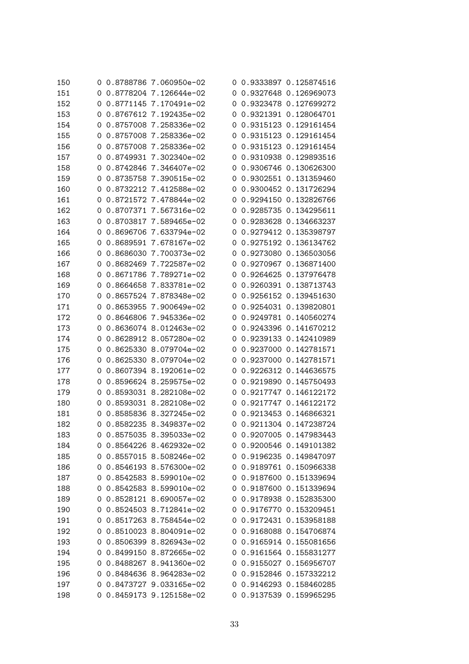| 150 | 0 | 0.8788786 7.060950e-02 |          | 0 0.9333897 0.125874516 |
|-----|---|------------------------|----------|-------------------------|
| 151 | 0 | 0.8778204 7.126644e-02 | $\Omega$ | 0.9327648 0.126969073   |
| 152 | 0 | 0.8771145 7.170491e-02 | 0        | 0.9323478 0.127699272   |
| 153 | 0 | 0.8767612 7.192435e-02 | 0        | 0.9321391 0.128064701   |
| 154 | 0 | 0.8757008 7.258336e-02 | 0        | 0.9315123 0.129161454   |
| 155 | 0 | 0.8757008 7.258336e-02 | 0        | 0.9315123 0.129161454   |
| 156 | 0 | 0.8757008 7.258336e-02 | 0        | 0.9315123 0.129161454   |
| 157 | 0 | 0.8749931 7.302340e-02 | 0        | 0.9310938 0.129893516   |
| 158 | 0 | 0.8742846 7.346407e-02 | O        | 0.9306746 0.130626300   |
| 159 | 0 | 0.8735758 7.390515e-02 | $\Omega$ | 0.9302551 0.131359460   |
| 160 | 0 | 0.8732212 7.412588e-02 | 0        | 0.9300452 0.131726294   |
| 161 | 0 | 0.8721572 7.478844e-02 | 0        | 0.9294150 0.132826766   |
| 162 | 0 | 0.8707371 7.567316e-02 | 0        | 0.9285735 0.134295611   |
| 163 | 0 | 0.8703817 7.589465e-02 | O        | 0.9283628 0.134663237   |
| 164 | 0 | 0.8696706 7.633794e-02 | 0        | 0.9279412 0.135398797   |
| 165 | 0 | 0.8689591 7.678167e-02 | O        | 0.9275192 0.136134762   |
| 166 | 0 | 0.8686030 7.700373e-02 | 0        | 0.9273080 0.136503056   |
| 167 | 0 | 0.8682469 7.722587e-02 | 0        | 0.9270967 0.136871400   |
| 168 | 0 | 0.8671786 7.789271e-02 | 0        | 0.9264625 0.137976478   |
| 169 | 0 | 0.8664658 7.833781e-02 | 0        | 0.9260391 0.138713743   |
| 170 | 0 | 0.8657524 7.878348e-02 | 0        | 0.9256152 0.139451630   |
| 171 | 0 | 0.8653955 7.900649e-02 | 0        | 0.9254031 0.139820801   |
| 172 | 0 | 0.8646806 7.945336e-02 | 0        | 0.9249781 0.140560274   |
| 173 | 0 | 0.8636074 8.012463e-02 | 0        | 0.9243396 0.141670212   |
| 174 | 0 | 0.8628912 8.057280e-02 | 0        | 0.9239133 0.142410989   |
| 175 | 0 | 0.8625330 8.079704e-02 | 0        | 0.9237000 0.142781571   |
| 176 | 0 | 0.8625330 8.079704e-02 | 0        | 0.9237000 0.142781571   |
| 177 | 0 | 0.8607394 8.192061e-02 | 0        | 0.9226312 0.144636575   |
| 178 | 0 | 0.8596624 8.259575e-02 | 0        | 0.9219890 0.145750493   |
| 179 | 0 | 0.8593031 8.282108e-02 | 0        | 0.9217747 0.146122172   |
| 180 | 0 | 0.8593031 8.282108e-02 | 0        | 0.9217747 0.146122172   |
| 181 | 0 | 0.8585836 8.327245e-02 | 0        | 0.9213453 0.146866321   |
| 182 | 0 | 0.8582235 8.349837e-02 |          | 0 0.9211304 0.147238724 |
| 183 |   | 0.8575035 8.395033e-02 |          | 0 0.9207005 0.147983443 |
| 184 | 0 | 0.8564226 8.462932e-02 |          | 0 0.9200546 0.149101382 |
| 185 | 0 | 0.8557015 8.508246e-02 |          | 0 0.9196235 0.149847097 |
| 186 | 0 | 0.8546193 8.576300e-02 |          | 0 0.9189761 0.150966338 |
| 187 | 0 | 0.8542583 8.599010e-02 |          | 0 0.9187600 0.151339694 |
| 188 | 0 | 0.8542583 8.599010e-02 |          | 0 0.9187600 0.151339694 |
| 189 | 0 | 0.8528121 8.690057e-02 |          | 0 0.9178938 0.152835300 |
| 190 | 0 | 0.8524503 8.712841e-02 |          | 0 0.9176770 0.153209451 |
| 191 | 0 | 0.8517263 8.758454e-02 |          | 0 0.9172431 0.153958188 |
| 192 | 0 | 0.8510023 8.804091e-02 |          | 0 0.9168088 0.154706874 |
| 193 | 0 | 0.8506399 8.826943e-02 |          | 0 0.9165914 0.155081656 |
| 194 | 0 | 0.8499150 8.872665e-02 |          | 0 0.9161564 0.155831277 |
| 195 | 0 | 0.8488267 8.941360e-02 |          | 0 0.9155027 0.156956707 |
| 196 | 0 | 0.8484636 8.964283e-02 |          | 0 0.9152846 0.157332212 |
| 197 | 0 | 0.8473727 9.033165e-02 |          | 0 0.9146293 0.158460285 |
| 198 | 0 | 0.8459173 9.125158e-02 |          | 0 0.9137539 0.159965295 |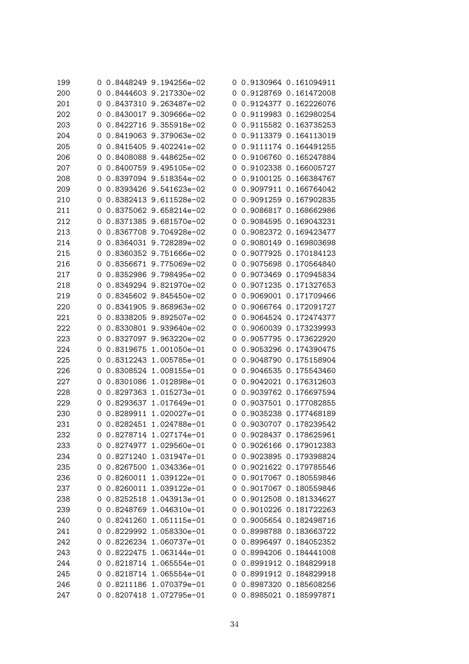| 199 | 0 | 0.8448249 9.194256e-02 |   | 0 0.9130964 0.161094911 |
|-----|---|------------------------|---|-------------------------|
| 200 | 0 | 0.8444603 9.217330e-02 |   | 0 0.9128769 0.161472008 |
| 201 | 0 | 0.8437310 9.263487e-02 |   | 0 0.9124377 0.162226076 |
| 202 | 0 | 0.8430017 9.309666e-02 | 0 | 0.9119983 0.162980254   |
| 203 | 0 | 0.8422716 9.355918e-02 | 0 | 0.9115582 0.163735253   |
| 204 | 0 | 0.8419063 9.379063e-02 | 0 | 0.9113379 0.164113019   |
| 205 | 0 | 0.8415405 9.402241e-02 | 0 | 0.9111174 0.164491255   |
| 206 | 0 | 0.8408088 9.448625e-02 | O | 0.9106760 0.165247884   |
| 207 | 0 | 0.8400759 9.495105e-02 | 0 | 0.9102338 0.166005727   |
| 208 | 0 | 0.8397094 9.518354e-02 | 0 | 0.9100125 0.166384767   |
| 209 | 0 | 0.8393426 9.541623e-02 | 0 | 0.9097911 0.166764042   |
| 210 | 0 | 0.8382413 9.611528e-02 | 0 | 0.9091259 0.167902835   |
| 211 | 0 | 0.8375062 9.658214e-02 | 0 | 0.9086817 0.168662986   |
| 212 | 0 | 0.8371385 9.681570e-02 | O | 0.9084595 0.169043231   |
| 213 | 0 | 0.8367708 9.704928e-02 | 0 | 0.9082372 0.169423477   |
| 214 | 0 | 0.8364031 9.728289e-02 | 0 | 0.9080149 0.169803698   |
| 215 | 0 | 0.8360352 9.751666e-02 | 0 | 0.9077925 0.170184123   |
| 216 | 0 | 0.8356671 9.775069e-02 | 0 | 0.9075698 0.170564840   |
| 217 | 0 | 0.8352986 9.798495e-02 | 0 | 0.9073469 0.170945834   |
| 218 | 0 | 0.8349294 9.821970e-02 | 0 | 0.9071235 0.171327653   |
| 219 | 0 | 0.8345602 9.845450e-02 | 0 | 0.9069001 0.171709466   |
| 220 | 0 | 0.8341905 9.868963e-02 | 0 | 0.9066764 0.172091727   |
| 221 | 0 | 0.8338205 9.892507e-02 | 0 | 0.9064524 0.172474377   |
| 222 | 0 | 0.8330801 9.939640e-02 | 0 | 0.9060039 0.173239993   |
| 223 | 0 | 0.8327097 9.963220e-02 | 0 | 0.9057795 0.173622920   |
| 224 | 0 | 0.8319675 1.001050e-01 | 0 | 0.9053296 0.174390475   |
| 225 | 0 | 0.8312243 1.005785e-01 | 0 | 0.9048790 0.175158904   |
| 226 | 0 | 0.8308524 1.008155e-01 | 0 | 0.9046535 0.175543460   |
| 227 | 0 | 0.8301086 1.012898e-01 | 0 | 0.9042021 0.176312603   |
| 228 | 0 | 0.8297363 1.015273e-01 | 0 | 0.9039762 0.176697594   |
| 229 | 0 | 0.8293637 1.017649e-01 | 0 | 0.9037501 0.177082855   |
| 230 | 0 | 0.8289911 1.020027e-01 | 0 | 0.9035238 0.177468189   |
| 231 | 0 | 0.8282451 1.024788e-01 |   | 0 0.9030707 0.178239542 |
| 232 |   | 0.8278714 1.027174e-01 |   | 0 0.9028437 0.178625961 |
| 233 | 0 | 0.8274977 1.029560e-01 |   | 0 0.9026166 0.179012383 |
| 234 | 0 | 0.8271240 1.031947e-01 |   | 0 0.9023895 0.179398824 |
| 235 | 0 | 0.8267500 1.034336e-01 |   | 0 0.9021622 0.179785546 |
| 236 | 0 | 0.8260011 1.039122e-01 |   | 0 0.9017067 0.180559846 |
| 237 | 0 | 0.8260011 1.039122e-01 |   | 0 0.9017067 0.180559846 |
| 238 | 0 | 0.8252518 1.043913e-01 |   | 0 0.9012508 0.181334627 |
| 239 | 0 | 0.8248769 1.046310e-01 | O | 0.9010226 0.181722263   |
| 240 | 0 | 0.8241260 1.051115e-01 |   | 0 0.9005654 0.182498716 |
| 241 | 0 | 0.8229992 1.058330e-01 | O | 0.8998788 0.183663722   |
| 242 | 0 | 0.8226234 1.060737e-01 |   | 0 0.8996497 0.184052352 |
| 243 | 0 | 0.8222475 1.063144e-01 |   | 0 0.8994206 0.184441008 |
| 244 | 0 | 0.8218714 1.065554e-01 |   | 0 0.8991912 0.184829918 |
| 245 | 0 | 0.8218714 1.065554e-01 |   | 0 0.8991912 0.184829918 |
| 246 | 0 | 0.8211186 1.070379e-01 |   | 0 0.8987320 0.185608256 |
| 247 | 0 | 0.8207418 1.072795e-01 |   | 0 0.8985021 0.185997871 |
|     |   |                        |   |                         |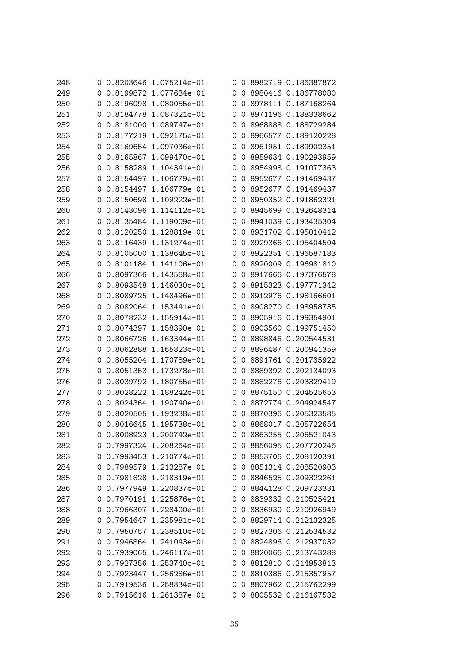| 248 | 0        | 0.8203646    1.075214e-01 |   | 0 0.8982719 0.186387872     |
|-----|----------|---------------------------|---|-----------------------------|
| 249 | O        | 0.8199872 1.077634e-01    |   | 0 0.8980416 0.186778080     |
| 250 | 0        | 0.8196098 1.080055e-01    |   | 0 0.8978111 0.187168264     |
| 251 | 0        | 0.8184778 1.087321e-01    |   | 0 0.8971196 0.188338662     |
| 252 | 0        | 0.8181000 1.089747e-01    | 0 | 0.8968888 0.188729284       |
| 253 | 0        | 0.8177219 1.092175e-01    | 0 | 0.8966577 0.189120228       |
| 254 | 0        | 0.8169654 1.097036e-01    | 0 | 0.8961951 0.189902351       |
| 255 | 0        | 0.8165867 1.099470e-01    | 0 | 0.8959634 0.190293959       |
| 256 | 0        | 0.8158289 1.104341e-01    | 0 | 0.8954998 0.191077363       |
| 257 | 0        | 0.8154497 1.106779e-01    | 0 | 0.8952677 0.191469437       |
| 258 | 0        | 0.8154497 1.106779e-01    |   | 0 0.8952677 0.191469437     |
| 259 | 0        | 0.8150698 1.109222e-01    | 0 | 0.8950352 0.191862321       |
| 260 | 0        | 0.8143096 1.114112e-01    | 0 | 0.8945699 0.192648314       |
| 261 | 0        | 0.8135484 1.119009e-01    | O | 0.8941039 0.193435304       |
| 262 | 0        | 0.8120250 1.128819e-01    | 0 | 0.8931702 0.195010412       |
| 263 | 0        | 0.8116439 1.131274e-01    | O | 0.8929366 0.195404504       |
| 264 | 0        | 0.8105000 1.138645e-01    | 0 | 0.8922351 0.196587183       |
| 265 | 0        | 0.8101184 1.141106e-01    | 0 | 0.8920009 0.196981810       |
| 266 | 0        | 0.8097366 1.143568e-01    | 0 | 0.8917666 0.197376578       |
| 267 | 0        | 0.8093548 1.146030e-01    | O | 0.8915323 0.197771342       |
| 268 | 0        | 0.8089725 1.148496e-01    | 0 | 0.8912976 0.198166601       |
| 269 | 0        | 0.8082064 1.153441e-01    | O | 0.8908270 0.198958735       |
| 270 | 0        | 0.8078232 1.155914e-01    | 0 | 0.8905916 0.199354901       |
| 271 | 0        | 0.8074397 1.158390e-01    | O | 0.8903560 0.199751450       |
| 272 | 0        | 0.8066726 1.163344e-01    | 0 | 0.8898846 0.200544531       |
| 273 | 0        | 0.8062888 1.165823e-01    | O | 0.8896487 0.200941359       |
| 274 | 0        | 0.8055204 1.170789e-01    |   | 0 0.8891761 0.201735922     |
| 275 | 0        | 0.8051353 1.173278e-01    |   | 0 0.8889392 0.202134093     |
| 276 | 0        | 0.8039792 1.180755e-01    | 0 | 0.8882276 0.203329419       |
| 277 | 0        | 0.8028222 1.188242e-01    | 0 | 0.8875150 0.204525653       |
| 278 | 0        | 0.8024364 1.190740e-01    | O | 0.8872774 0.204924547       |
| 279 | 0        | 0.8020505 1.193238e-01    | O | 0.8870396 0.205323585       |
| 280 | 0        | 0.8016645 1.195738e-01    |   | 0 0.8868017 0.205722654     |
| 281 |          | 0.8008923 1.200742e-01    |   | 0   0.8863255   0.206521043 |
| 282 | 0        | 0.7997324 1.208264e-01    |   | 0 0.8856095 0.207720246     |
| 283 | 0        | 0.7993453 1.210774e-01    |   | 0 0.8853706 0.208120391     |
| 284 | $\Omega$ | 0.7989579 1.213287e-01    |   | 0 0.8851314 0.208520903     |
| 285 | 0        | 0.7981828 1.218319e-01    |   | 0 0.8846525 0.209322261     |
| 286 | 0        | 0.7977949 1.220837e-01    |   | 0 0.8844128 0.209723331     |
| 287 | 0        | 0.7970191 1.225876e-01    |   | 0 0.8839332 0.210525421     |
| 288 | 0        | 0.7966307 1.228400e-01    |   | 0 0.8836930 0.210926949     |
| 289 | O        | 0.7954647 1.235981e-01    |   | 0 0.8829714 0.212132325     |
| 290 | 0        | 0.7950757 1.238510e-01    | O | 0.8827306 0.212534532       |
| 291 | 0        | 0.7946864 1.241043e-01    |   | 0 0.8824896 0.212937032     |
| 292 | 0        | 0.7939065 1.246117e-01    |   | 0 0.8820066 0.213743288     |
| 293 | 0        | 0.7927356 1.253740e-01    |   | 0 0.8812810 0.214953813     |
| 294 | 0        | 0.7923447 1.256286e-01    |   | 0 0.8810386 0.215357957     |
| 295 | 0        | 0.7919536 1.258834e-01    |   | 0 0.8807962 0.215762299     |
| 296 |          | 0.7915616 1.261387e-01    |   | 0 0.8805532 0.216167532     |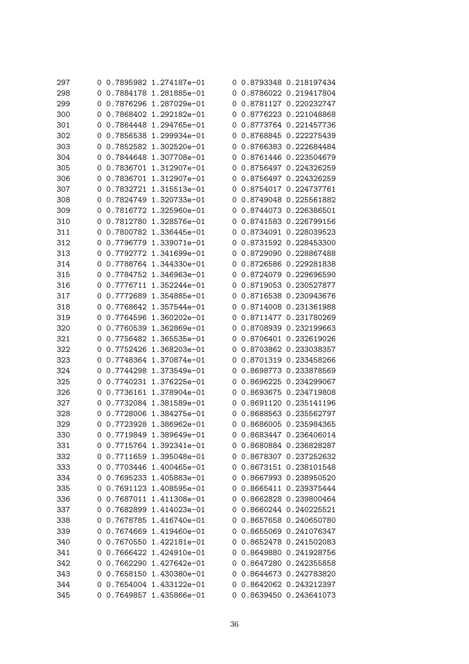| 297 | Ü        |           | 0.7895982 1.274187e-01 |          | 0 0.8793348 0.218197434 |
|-----|----------|-----------|------------------------|----------|-------------------------|
| 298 | $\Omega$ |           | 0.7884178 1.281885e-01 | $\Omega$ | 0.8786022 0.219417804   |
| 299 | O        |           | 0.7876296 1.287029e-01 | O        | 0.8781127 0.220232747   |
| 300 | 0        |           | 0.7868402 1.292182e-01 | O        | 0.8776223 0.221048868   |
| 301 | 0        |           | 0.7864448 1.294765e-01 | 0        | 0.8773764 0.221457736   |
| 302 | 0        |           | 0.7856538 1.299934e-01 | O        | 0.8768845 0.222275439   |
| 303 | 0        |           | 0.7852582 1.302520e-01 | O        | 0.8766383 0.222684484   |
| 304 | 0        |           | 0.7844648 1.307708e-01 | 0        | 0.8761446 0.223504679   |
| 305 | 0        |           | 0.7836701 1.312907e-01 | 0        | 0.8756497 0.224326259   |
| 306 | 0        |           | 0.7836701 1.312907e-01 | $\Omega$ | 0.8756497 0.224326259   |
| 307 | 0        |           | 0.7832721 1.315513e-01 | O        | 0.8754017 0.224737761   |
| 308 | 0        |           | 0.7824749 1.320733e-01 | 0        | 0.8749048 0.225561882   |
| 309 | 0        |           | 0.7816772 1.325960e-01 | 0        | 0.8744073 0.226386501   |
| 310 | 0        |           | 0.7812780 1.328576e-01 | 0        | 0.8741583 0.226799156   |
| 311 | 0        |           | 0.7800782 1.336445e-01 | 0        | 0.8734091 0.228039523   |
| 312 | 0        |           | 0.7796779 1.339071e-01 | 0        | 0.8731592 0.228453300   |
| 313 | 0        |           | 0.7792772 1.341699e-01 | 0        | 0.8729090 0.228867488   |
| 314 | 0        |           | 0.7788764 1.344330e-01 | 0        | 0.8726586 0.229281838   |
| 315 | 0        |           | 0.7784752 1.346963e-01 | 0        | 0.8724079 0.229696590   |
| 316 | 0        |           | 0.7776711 1.352244e-01 | 0        | 0.8719053 0.230527877   |
| 317 | 0        |           | 0.7772689 1.354885e-01 | 0        | 0.8716538 0.230943676   |
| 318 | 0        |           | 0.7768642 1.357544e-01 | 0        | 0.8714008 0.231361988   |
| 319 | 0        |           | 0.7764596 1.360202e-01 | 0        | 0.8711477 0.231780269   |
| 320 | 0        |           | 0.7760539 1.362869e-01 | 0        | 0.8708939 0.232199663   |
| 321 | 0        |           | 0.7756482 1.365535e-01 | 0        | 0.8706401 0.232619026   |
| 322 | 0        |           | 0.7752426 1.368203e-01 | 0        | 0.8703862 0.233038357   |
| 323 | 0        |           | 0.7748364 1.370874e-01 | O        | 0.8701319 0.233458266   |
| 324 | 0        |           | 0.7744298 1.373549e-01 | 0        | 0.8698773 0.233878569   |
| 325 | 0        | 0.7740231 | 1.376225e-01           | O        | 0.8696225 0.234299067   |
| 326 | Ő        |           | 0.7736161 1.378904e-01 | 0        | 0.8693675 0.234719808   |
| 327 | 0        |           | 0.7732084 1.381589e-01 | O        | 0.8691120 0.235141196   |
| 328 | 0        |           | 0.7728006 1.384275e-01 | O        | 0.8688563 0.235562797   |
| 329 | 0        |           | 0.7723928 1.386962e-01 | 0        | 0.8686005 0.235984365   |
| 330 |          |           | 0.7719849 1.389649e-01 |          | 0.8683447 0.236406014   |
| 331 | 0        |           | 0.7715764 1.392341e-01 |          | 0 0.8680884 0.236828287 |
| 332 | 0        |           | 0.7711659 1.395048e-01 |          | 0 0.8678307 0.237252632 |
| 333 | 0        |           | 0.7703446 1.400465e-01 | O        | 0.8673151 0.238101548   |
| 334 | 0        |           | 0.7695233 1.405883e-01 | O        | 0.8667993 0.238950520   |
| 335 | 0        |           | 0.7691123 1.408595e-01 |          | 0 0.8665411 0.239375444 |
| 336 | 0        |           | 0.7687011 1.411308e-01 |          | 0 0.8662828 0.239800464 |
| 337 | 0        |           | 0.7682899 1.414023e-01 | 0        | 0.8660244 0.240225521   |
| 338 | 0        |           | 0.7678785 1.416740e-01 |          | 0 0.8657658 0.240650780 |
| 339 | 0        |           | 0.7674669 1.419460e-01 |          | 0 0.8655069 0.241076347 |
| 340 | 0        |           | 0.7670550 1.422181e-01 |          | 0 0.8652478 0.241502083 |
| 341 | 0        |           | 0.7666422 1.424910e-01 |          | 0 0.8649880 0.241928756 |
| 342 | 0        |           | 0.7662290 1.427642e-01 |          | 0 0.8647280 0.242355858 |
| 343 | 0        |           | 0.7658150 1.430380e-01 |          | 0 0.8644673 0.242783820 |
| 344 | 0        |           | 0.7654004 1.433122e-01 |          | 0 0.8642062 0.243212397 |
| 345 | 0        |           | 0.7649857 1.435866e-01 |          | 0 0.8639450 0.243641073 |
|     |          |           |                        |          |                         |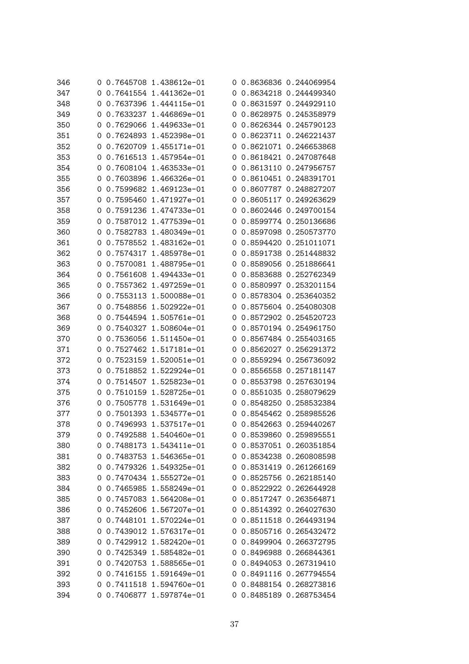| 346 | 0        | 0.7645708 1.438612e-01 |          | 0 0.8636836 0.244069954 |
|-----|----------|------------------------|----------|-------------------------|
| 347 | 0        | 0.7641554 1.441362e-01 |          | 0 0.8634218 0.244499340 |
| 348 | 0        | 0.7637396 1.444115e-01 |          | 0 0.8631597 0.244929110 |
| 349 | 0        | 0.7633237 1.446869e-01 | 0        | 0.8628975 0.245358979   |
| 350 | 0        | 0.7629066 1.449633e-01 | 0        | 0.8626344 0.245790123   |
| 351 | 0        | 0.7624893 1.452398e-01 | 0        | 0.8623711 0.246221437   |
| 352 | 0        | 0.7620709 1.455171e-01 | O        | 0.8621071 0.246653868   |
| 353 | 0        | 0.7616513 1.457954e-01 | O        | 0.8618421 0.247087648   |
| 354 | 0        | 0.7608104 1.463533e-01 | O        | 0.8613110 0.247956757   |
| 355 | 0        | 0.7603896 1.466326e-01 | 0        | 0.8610451 0.248391701   |
| 356 | 0        | 0.7599682 1.469123e-01 | 0        | 0.8607787 0.248827207   |
| 357 | 0        | 0.7595460 1.471927e-01 | O        | 0.8605117 0.249263629   |
| 358 | 0        | 0.7591236 1.474733e-01 | 0        | 0.8602446 0.249700154   |
| 359 | 0        | 0.7587012 1.477539e-01 | 0        | 0.8599774 0.250136686   |
| 360 | 0        | 0.7582783 1.480349e-01 | 0        | 0.8597098 0.250573770   |
| 361 | 0        | 0.7578552 1.483162e-01 | O        | 0.8594420 0.251011071   |
| 362 | 0        | 0.7574317 1.485978e-01 | 0        | 0.8591738 0.251448832   |
| 363 | 0        | 0.7570081 1.488795e-01 | $\Omega$ | 0.8589056 0.251886641   |
| 364 | 0        | 0.7561608 1.494433e-01 | O        | 0.8583688 0.252762349   |
| 365 | 0        | 0.7557362 1.497259e-01 | O        | 0.8580997 0.253201154   |
| 366 | 0        | 0.7553113 1.500088e-01 | 0        | 0.8578304 0.253640352   |
| 367 | 0        | 0.7548856 1.502922e-01 | 0        | 0.8575604 0.254080308   |
| 368 | 0        | 0.7544594 1.505761e-01 | 0        | 0.8572902 0.254520723   |
| 369 | 0        | 0.7540327 1.508604e-01 | O        | 0.8570194 0.254961750   |
| 370 | 0        | 0.7536056 1.511450e-01 | 0        | 0.8567484 0.255403165   |
| 371 | 0        | 0.7527462 1.517181e-01 | 0        | 0.8562027 0.256291372   |
| 372 | 0        | 0.7523159 1.520051e-01 | 0        | 0.8559294 0.256736092   |
| 373 | 0        | 0.7518852 1.522924e-01 | 0        | 0.8556558 0.257181147   |
| 374 | 0        | 0.7514507 1.525823e-01 | 0        | 0.8553798 0.257630194   |
| 375 | 0        | 0.7510159 1.528725e-01 | O        | 0.8551035 0.258079629   |
| 376 | 0        | 0.7505778 1.531649e-01 | 0        | 0.8548250 0.258532384   |
| 377 | 0        | 0.7501393 1.534577e-01 | 0        | 0.8545462 0.258985526   |
| 378 | 0        | 0.7496993 1.537517e-01 |          | 0 0.8542663 0.259440267 |
| 379 |          | 0.7492588 1.540460e-01 |          | 0 0.8539860 0.259895551 |
| 380 | 0        | 0.7488173 1.543411e-01 |          | 0 0.8537051 0.260351854 |
| 381 | O        | 0.7483753 1.546365e-01 |          | 0 0.8534238 0.260808598 |
| 382 | $\Omega$ | 0.7479326 1.549325e-01 |          | 0 0.8531419 0.261266169 |
| 383 | 0        | 0.7470434 1.555272e-01 |          | 0 0.8525756 0.262185140 |
| 384 | 0        | 0.7465985 1.558249e-01 |          | 0 0.8522922 0.262644928 |
| 385 | 0        | 0.7457083 1.564208e-01 |          | 0 0.8517247 0.263564871 |
| 386 | 0        | 0.7452606 1.567207e-01 |          | 0 0.8514392 0.264027630 |
| 387 | 0        | 0.7448101 1.570224e-01 |          | 0 0.8511518 0.264493194 |
| 388 | 0        | 0.7439012 1.576317e-01 |          | 0 0.8505716 0.265432472 |
| 389 | 0        | 0.7429912 1.582420e-01 |          | 0 0.8499904 0.266372795 |
| 390 | $\Omega$ | 0.7425349 1.585482e-01 |          | 0 0.8496988 0.266844361 |
| 391 | 0        | 0.7420753 1.588565e-01 |          | 0 0.8494053 0.267319410 |
| 392 | 0        | 0.7416155 1.591649e-01 |          | 0 0.8491116 0.267794554 |
| 393 | 0        | 0.7411518 1.594760e-01 |          | 0 0.8488154 0.268273816 |
| 394 | 0        | 0.7406877 1.597874e-01 |          | 0 0.8485189 0.268753454 |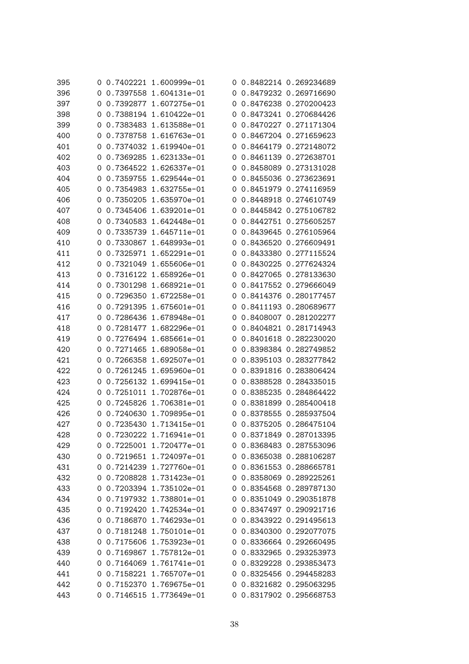| 395 | O. |           | 0.7402221 1.600999e-01 |          | 0 0.8482214 0.269234689 |
|-----|----|-----------|------------------------|----------|-------------------------|
| 396 | 0  |           | 0.7397558 1.604131e-01 |          | 0 0.8479232 0.269716690 |
| 397 | 0  |           | 0.7392877 1.607275e-01 |          | 0 0.8476238 0.270200423 |
| 398 | 0  |           | 0.7388194 1.610422e-01 | 0        | 0.8473241 0.270684426   |
| 399 | 0  |           | 0.7383483 1.613588e-01 | 0        | 0.8470227 0.271171304   |
| 400 | 0  |           | 0.7378758 1.616763e-01 | O        | 0.8467204 0.271659623   |
| 401 | 0  |           | 0.7374032 1.619940e-01 | O        | 0.8464179 0.272148072   |
| 402 | 0  |           | 0.7369285 1.623133e-01 | O        | 0.8461139 0.272638701   |
| 403 | 0  |           | 0.7364522 1.626337e-01 | 0        | 0.8458089 0.273131028   |
| 404 | 0  |           | 0.7359755 1.629544e-01 | $\Omega$ | 0.8455036 0.273623691   |
| 405 | 0  |           | 0.7354983 1.632755e-01 | O        | 0.8451979 0.274116959   |
| 406 | 0  |           | 0.7350205 1.635970e-01 | 0        | 0.8448918 0.274610749   |
| 407 | 0  |           | 0.7345406 1.639201e-01 | 0        | 0.8445842 0.275106782   |
| 408 | 0  |           | 0.7340583 1.642448e-01 | 0        | 0.8442751 0.275605257   |
| 409 | 0  |           | 0.7335739 1.645711e-01 | 0        | 0.8439645 0.276105964   |
| 410 | 0  |           | 0.7330867 1.648993e-01 | O        | 0.8436520 0.276609491   |
| 411 | 0  |           | 0.7325971 1.652291e-01 | 0        | 0.8433380 0.277115524   |
| 412 | 0  |           | 0.7321049 1.655606e-01 |          | 0 0.8430225 0.277624324 |
| 413 | 0  |           | 0.7316122 1.658926e-01 | O        | 0.8427065 0.278133630   |
| 414 | 0  |           | 0.7301298 1.668921e-01 | O        | 0.8417552 0.279666049   |
| 415 | 0  |           | 0.7296350 1.672258e-01 | 0        | 0.8414376 0.280177457   |
| 416 | 0  |           | 0.7291395 1.675601e-01 | 0        | 0.8411193 0.280689677   |
| 417 | 0  |           | 0.7286436 1.678948e-01 | 0        | 0.8408007 0.281202277   |
| 418 | 0  |           | 0.7281477 1.682296e-01 | 0        | 0.8404821 0.281714943   |
| 419 | 0  |           | 0.7276494 1.685661e-01 | 0        | 0.8401618 0.282230020   |
| 420 | 0  |           | 0.7271465 1.689058e-01 |          | 0 0.8398384 0.282749852 |
| 421 | 0  |           | 0.7266358 1.692507e-01 | O        | 0.8395103 0.283277842   |
| 422 | 0  |           | 0.7261245 1.695960e-01 | 0        | 0.8391816 0.283806424   |
| 423 | 0  |           | 0.7256132 1.699415e-01 | O        | 0.8388528 0.284335015   |
| 424 | 0  | 0.7251011 | 1.702876e-01           | 0        | 0.8385235 0.284864422   |
| 425 | 0  |           | 0.7245826 1.706381e-01 | O        | 0.8381899 0.285400418   |
| 426 | 0  |           | 0.7240630 1.709895e-01 | 0        | 0.8378555 0.285937504   |
| 427 | 0  |           | 0.7235430 1.713415e-01 |          | 0 0.8375205 0.286475104 |
| 428 |    |           | 0.7230222 1.716941e-01 |          | 0 0.8371849 0.287013395 |
| 429 | 0  |           | 0.7225001 1.720477e-01 |          | 0 0.8368483 0.287553096 |
| 430 | O  |           | 0.7219651 1.724097e-01 |          | 0 0.8365038 0.288106287 |
| 431 | 0  |           | 0.7214239 1.727760e-01 |          | 0 0.8361553 0.288665781 |
| 432 | 0  |           | 0.7208828 1.731423e-01 |          | 0 0.8358069 0.289225261 |
| 433 | 0  |           | 0.7203394 1.735102e-01 |          | 0 0.8354568 0.289787130 |
| 434 | 0  |           | 0.7197932 1.738801e-01 |          | 0 0.8351049 0.290351878 |
| 435 | 0  |           | 0.7192420 1.742534e-01 |          | 0 0.8347497 0.290921716 |
| 436 | 0  |           | 0.7186870 1.746293e-01 |          | 0 0.8343922 0.291495613 |
| 437 | 0  |           | 0.7181248 1.750101e-01 |          | 0 0.8340300 0.292077075 |
| 438 | O  |           | 0.7175606 1.753923e-01 |          | 0 0.8336664 0.292660495 |
| 439 | 0  |           | 0.7169867 1.757812e-01 |          | 0 0.8332965 0.293253973 |
| 440 | 0  |           | 0.7164069 1.761741e-01 |          | 0 0.8329228 0.293853473 |
| 441 | O  |           | 0.7158221 1.765707e-01 |          | 0 0.8325456 0.294458283 |
| 442 | 0  |           | 0.7152370 1.769675e-01 |          | 0 0.8321682 0.295063295 |
| 443 | 0  |           | 0.7146515 1.773649e-01 |          | 0 0.8317902 0.295668753 |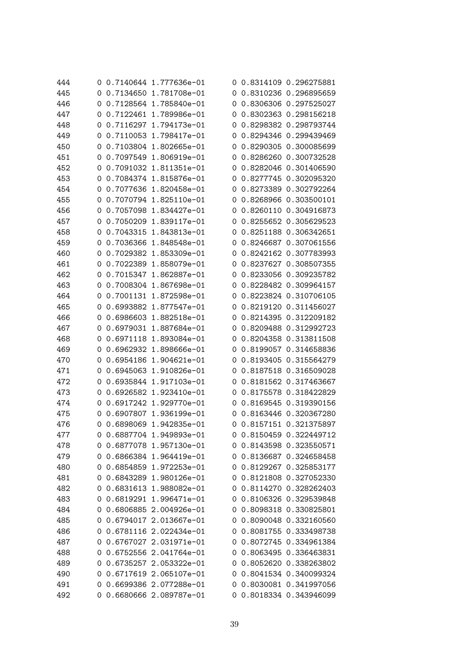| 444 | 0 | 0.7140644 1.777636e-01 |   | 0 0.8314109 0.296275881 |
|-----|---|------------------------|---|-------------------------|
| 445 | 0 | 0.7134650 1.781708e-01 |   | 0 0.8310236 0.296895659 |
| 446 | 0 | 0.7128564 1.785840e-01 |   | 0 0.8306306 0.297525027 |
| 447 | 0 | 0.7122461 1.789986e-01 | O | 0.8302363 0.298156218   |
| 448 | 0 | 0.7116297 1.794173e-01 | 0 | 0.8298382 0.298793744   |
| 449 | 0 | 0.7110053 1.798417e-01 | 0 | 0.8294346 0.299439469   |
| 450 | 0 | 0.7103804 1.802665e-01 | 0 | 0.8290305 0.300085699   |
| 451 | 0 | 0.7097549 1.806919e-01 | O | 0.8286260 0.300732528   |
| 452 | 0 | 0.7091032 1.811351e-01 | 0 | 0.8282046 0.301406590   |
| 453 | 0 | 0.7084374 1.815876e-01 | 0 | 0.8277745 0.302095320   |
| 454 | 0 | 0.7077636 1.820458e-01 | 0 | 0.8273389 0.302792264   |
| 455 | 0 | 0.7070794 1.825110e-01 | 0 | 0.8268966 0.303500101   |
| 456 | 0 | 0.7057098 1.834427e-01 | 0 | 0.8260110 0.304916873   |
| 457 | 0 | 0.7050209 1.839117e-01 | O | 0.8255652 0.305629523   |
| 458 | 0 | 0.7043315 1.843813e-01 | 0 | 0.8251188 0.306342651   |
| 459 | 0 | 0.7036366 1.848548e-01 | O | 0.8246687 0.307061556   |
| 460 | 0 | 0.7029382 1.853309e-01 | 0 | 0.8242162 0.307783993   |
| 461 | 0 | 0.7022389 1.858079e-01 | 0 | 0.8237627 0.308507355   |
| 462 | 0 | 0.7015347 1.862887e-01 |   | 0 0.8233056 0.309235782 |
| 463 | 0 | 0.7008304 1.867698e-01 | 0 | 0.8228482 0.309964157   |
| 464 | 0 | 0.7001131 1.872598e-01 | 0 | 0.8223824 0.310706105   |
| 465 | 0 | 0.6993882 1.877547e-01 | 0 | 0.8219120 0.311456027   |
| 466 | 0 | 0.6986603 1.882518e-01 | 0 | 0.8214395 0.312209182   |
| 467 | 0 | 0.6979031 1.887684e-01 | O | 0.8209488 0.312992723   |
| 468 | 0 | 0.6971118 1.893084e-01 | O | 0.8204358 0.313811508   |
| 469 | 0 | 0.6962932 1.898666e-01 |   | 0 0.8199057 0.314658836 |
| 470 | 0 | 0.6954186 1.904621e-01 | 0 | 0.8193405 0.315564279   |
| 471 | 0 | 0.6945063 1.910826e-01 | 0 | 0.8187518 0.316509028   |
| 472 | 0 | 0.6935844 1.917103e-01 | 0 | 0.8181562 0.317463667   |
| 473 | 0 | 0.6926582 1.923410e-01 |   | 0 0.8175578 0.318422829 |
| 474 | 0 | 0.6917242 1.929770e-01 | O | 0.8169545 0.319390156   |
| 475 | 0 | 0.6907807 1.936199e-01 |   | 0 0.8163446 0.320367280 |
| 476 | 0 | 0.6898069 1.942835e-01 |   | 0 0.8157151 0.321375897 |
| 477 |   | 0.6887704 1.949893e-01 |   | 0 0.8150459 0.322449712 |
| 478 | 0 | 0.6877078 1.957130e-01 |   | 0 0.8143598 0.323550571 |
| 479 | 0 | 0.6866384 1.964419e-01 |   | 0 0.8136687 0.324658458 |
| 480 | 0 | 0.6854859 1.972253e-01 |   | 0 0.8129267 0.325853177 |
| 481 | 0 | 0.6843289 1.980126e-01 |   | 0 0.8121808 0.327052330 |
| 482 | 0 | 0.6831613 1.988082e-01 |   | 0 0.8114270 0.328262403 |
| 483 | 0 | 0.6819291 1.996471e-01 |   | 0 0.8106326 0.329539848 |
| 484 | 0 | 0.6806885 2.004926e-01 |   | 0 0.8098318 0.330825801 |
| 485 | 0 | 0.6794017 2.013667e-01 |   | 0 0.8090048 0.332160560 |
| 486 | 0 | 0.6781116 2.022434e-01 |   | 0 0.8081755 0.333498738 |
| 487 | 0 | 0.6767027 2.031971e-01 |   | 0 0.8072745 0.334961384 |
| 488 | 0 | 0.6752556 2.041764e-01 |   | 0 0.8063495 0.336463831 |
| 489 | 0 | 0.6735257 2.053322e-01 |   | 0 0.8052620 0.338263802 |
| 490 | 0 | 0.6717619 2.065107e-01 |   | 0 0.8041534 0.340099324 |
| 491 | 0 | 0.6699386 2.077288e-01 |   | 0 0.8030081 0.341997056 |
| 492 | 0 | 0.6680666 2.089787e-01 |   | 0 0.8018334 0.343946099 |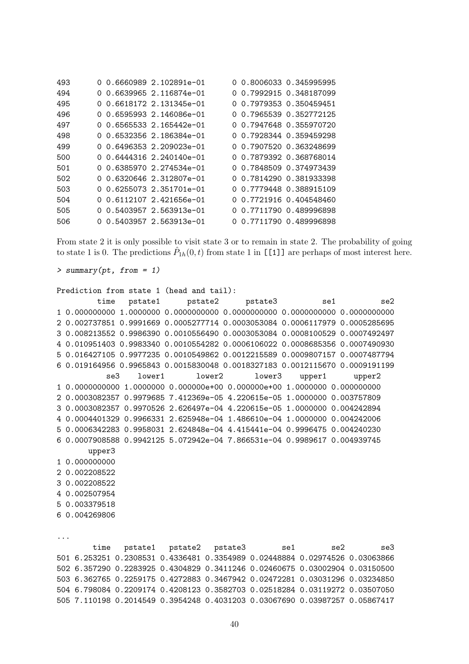| 493 |  | 0 0.6660989 2.102891e-01     |  | 0 0.8006033 0.345995995 |
|-----|--|------------------------------|--|-------------------------|
| 494 |  | 0 0.6639965 2.116874e-01     |  | 0 0.7992915 0.348187099 |
| 495 |  | 0 0.6618172 2.131345e-01     |  | 0 0.7979353 0.350459451 |
| 496 |  | $0, 0.6595993, 2.146086e-01$ |  | 0 0.7965539 0.352772125 |
| 497 |  | 0 0.6565533 2.165442e-01     |  | 0 0.7947648 0.355970720 |
| 498 |  | 0 0.6532356 2.186384e-01     |  | 0 0.7928344 0.359459298 |
| 499 |  | 0 0.6496353 2.209023e-01     |  | 0 0.7907520 0.363248699 |
| 500 |  | $0, 0.6444316, 2.240140e-01$ |  | 0 0.7879392 0.368768014 |
| 501 |  | 0 0.6385970 2.274534e-01     |  | 0 0.7848509 0.374973439 |
| 502 |  | 0 0.6320646 2.312807e-01     |  | 0 0.7814290 0.381933398 |
| 503 |  | 0 0.6255073 2.351701e-01     |  | 0 0.7779448 0.388915109 |
| 504 |  | 0 0.6112107 2.421656e-01     |  | 0 0.7721916 0.404548460 |
| 505 |  | 0 0.5403957 2.563913e-01     |  | 0 0.7711790 0.489996898 |
| 506 |  | 0 0.5403957 2.563913e-01     |  | 0 0.7711790 0.489996898 |

From state 2 it is only possible to visit state 3 or to remain in state 2. The probability of going to state 1 is 0. The predictions  $\hat{P}_{1h}(0,t)$  from state 1 in [[1]] are perhaps of most interest here.

> summary(pt, from = 1)

```
Prediction from state 1 (head and tail):
        time pstate1 pstate2 pstate3 se1 se2
1 0.000000000 1.0000000 0.0000000000 0.0000000000 0.0000000000 0.0000000000
2 0.002737851 0.9991669 0.0005277714 0.0003053084 0.0006117979 0.0005285695
3 0.008213552 0.9986390 0.0010556490 0.0003053084 0.0008100529 0.0007492497
4 0.010951403 0.9983340 0.0010554282 0.0006106022 0.0008685356 0.0007490930
5 0.016427105 0.9977235 0.0010549862 0.0012215589 0.0009807157 0.0007487794
6 0.019164956 0.9965843 0.0015830048 0.0018327183 0.0012115670 0.0009191199
          se3 lower1 lower2 lower3 upper1 upper2
1 0.0000000000 1.0000000 0.000000e+00 0.000000e+00 1.0000000 0.000000000
2 0.0003082357 0.9979685 7.412369e-05 4.220615e-05 1.0000000 0.003757809
3 0.0003082357 0.9970526 2.626497e-04 4.220615e-05 1.0000000 0.004242894
4 0.0004401329 0.9966331 2.625948e-04 1.486610e-04 1.0000000 0.004242006
5 0.0006342283 0.9958031 2.624848e-04 4.415441e-04 0.9996475 0.004240230
6 0.0007908588 0.9942125 5.072942e-04 7.866531e-04 0.9989617 0.004939745
      upper3
1 0.000000000
2 0.002208522
3 0.002208522
4 0.002507954
5 0.003379518
6 0.004269806
...
       time pstate1 pstate2 pstate3 se1 se2 se3
```
501 6.253251 0.2308531 0.4336481 0.3354989 0.02448884 0.02974526 0.03063866 502 6.357290 0.2283925 0.4304829 0.3411246 0.02460675 0.03002904 0.03150500 503 6.362765 0.2259175 0.4272883 0.3467942 0.02472281 0.03031296 0.03234850 504 6.798084 0.2209174 0.4208123 0.3582703 0.02518284 0.03119272 0.03507050 505 7.110198 0.2014549 0.3954248 0.4031203 0.03067690 0.03987257 0.05867417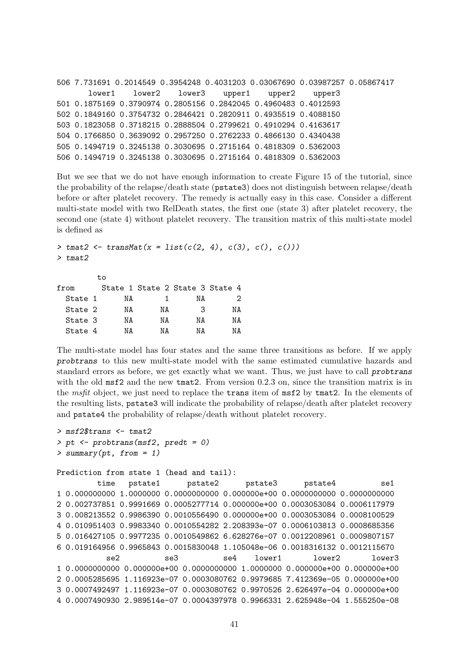```
506 7.731691 0.2014549 0.3954248 0.4031203 0.03067690 0.03987257 0.05867417
       lower1 lower2 lower3 upper1 upper2 upper3
501 0.1875169 0.3790974 0.2805156 0.2842045 0.4960483 0.4012593
502 0.1849160 0.3754732 0.2846421 0.2820911 0.4935519 0.4088150
503 0.1823058 0.3718215 0.2888504 0.2799621 0.4910294 0.4163617
504 0.1766850 0.3639092 0.2957250 0.2762233 0.4866130 0.4340438
505 0.1494719 0.3245138 0.3030695 0.2715164 0.4818309 0.5362003
506 0.1494719 0.3245138 0.3030695 0.2715164 0.4818309 0.5362003
```
But we see that we do not have enough information to create Figure 15 of the tutorial, since the probability of the relapse/death state (pstate3) does not distinguish between relapse/death before or after platelet recovery. The remedy is actually easy in this case. Consider a different multi-state model with two RelDeath states, the first one (state 3) after platelet recovery, the second one (state 4) without platelet recovery. The transition matrix of this multi-state model is defined as

```
> tmat2 <- transMat(x = list(c(2, 4), c(3), c(), c()))
> tmat2
         to
```

| from    |    |    | State 1 State 2 State 3 State 4 |    |
|---------|----|----|---------------------------------|----|
| State 1 | NА |    | NА                              | 2  |
| State 2 | ΝA | ΝA | З                               | ΝA |
| State 3 | ΝA | ΝA | ΝA                              | ΝA |
| State 4 | NΑ | ΝA | ΝA                              | NΔ |

The multi-state model has four states and the same three transitions as before. If we apply probtrans to this new multi-state model with the same estimated cumulative hazards and standard errors as before, we get exactly what we want. Thus, we just have to call probtrans with the old msf2 and the new tmat2. From version 0.2.3 on, since the transition matrix is in the msfit object, we just need to replace the trans item of msf2 by tmat2. In the elements of the resulting lists, pstate3 will indicate the probability of relapse/death after platelet recovery and pstate4 the probability of relapse/death without platelet recovery.

```
> msf2$trans <- tmat2
> pt <- probtrans(msf2, predt = 0)
> summary(pt, from = 1)
Prediction from state 1 (head and tail):
        time pstate1 pstate2 pstate3 pstate4 se1
1 0.000000000 1.0000000 0.0000000000 0.000000e+00 0.0000000000 0.0000000000
2 0.002737851 0.9991669 0.0005277714 0.000000e+00 0.0003053084 0.0006117979
3 0.008213552 0.9986390 0.0010556490 0.000000e+00 0.0003053084 0.0008100529
4 0.010951403 0.9983340 0.0010554282 2.208393e-07 0.0006103813 0.0008685356
5 0.016427105 0.9977235 0.0010549862 6.628276e-07 0.0012208961 0.0009807157
6 0.019164956 0.9965843 0.0015830048 1.105048e-06 0.0018316132 0.0012115670
          se2 se3 se4 lower1 lower2 lower3
1 0.0000000000 0.000000e+00 0.0000000000 1.0000000 0.000000e+00 0.000000e+00
2 0.0005285695 1.116923e-07 0.0003080762 0.9979685 7.412369e-05 0.000000e+00
3 0.0007492497 1.116923e-07 0.0003080762 0.9970526 2.626497e-04 0.000000e+00
4 0.0007490930 2.989514e-07 0.0004397978 0.9966331 2.625948e-04 1.555250e-08
```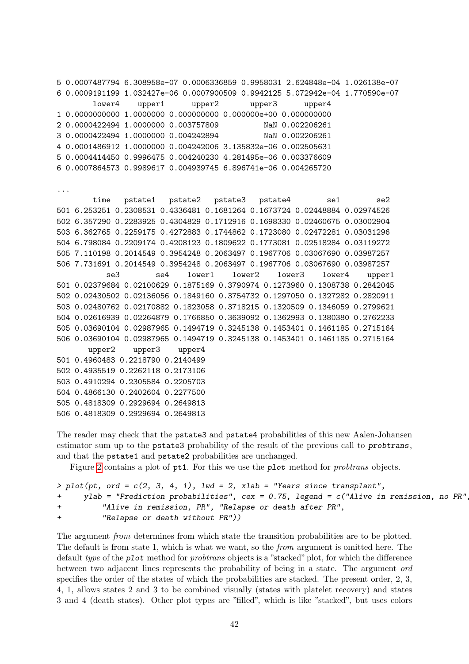5 0.0007487794 6.308958e-07 0.0006336859 0.9958031 2.624848e-04 1.026138e-07 6 0.0009191199 1.032427e-06 0.0007900509 0.9942125 5.072942e-04 1.770590e-07 lower4 upper1 upper2 upper3 upper4 1 0.0000000000 1.0000000 0.000000000 0.000000e+00 0.000000000 2 0.0000422494 1.0000000 0.003757809 NaN 0.002206261 3 0.0000422494 1.0000000 0.004242894 NaN 0.002206261 4 0.0001486912 1.0000000 0.004242006 3.135832e-06 0.002505631 5 0.0004414450 0.9996475 0.004240230 4.281495e-06 0.003376609 6 0.0007864573 0.9989617 0.004939745 6.896741e-06 0.004265720 ... time pstate1 pstate2 pstate3 pstate4 se1 se2 501 6.253251 0.2308531 0.4336481 0.1681264 0.1673724 0.02448884 0.02974526 502 6.357290 0.2283925 0.4304829 0.1712916 0.1698330 0.02460675 0.03002904 503 6.362765 0.2259175 0.4272883 0.1744862 0.1723080 0.02472281 0.03031296 504 6.798084 0.2209174 0.4208123 0.1809622 0.1773081 0.02518284 0.03119272 505 7.110198 0.2014549 0.3954248 0.2063497 0.1967706 0.03067690 0.03987257 506 7.731691 0.2014549 0.3954248 0.2063497 0.1967706 0.03067690 0.03987257 se3 se4 lower1 lower2 lower3 lower4 upper1 501 0.02379684 0.02100629 0.1875169 0.3790974 0.1273960 0.1308738 0.2842045 502 0.02430502 0.02136056 0.1849160 0.3754732 0.1297050 0.1327282 0.2820911 503 0.02480762 0.02170882 0.1823058 0.3718215 0.1320509 0.1346059 0.2799621 504 0.02616939 0.02264879 0.1766850 0.3639092 0.1362993 0.1380380 0.2762233 505 0.03690104 0.02987965 0.1494719 0.3245138 0.1453401 0.1461185 0.2715164 506 0.03690104 0.02987965 0.1494719 0.3245138 0.1453401 0.1461185 0.2715164 upper2 upper3 upper4 501 0.4960483 0.2218790 0.2140499 502 0.4935519 0.2262118 0.2173106 503 0.4910294 0.2305584 0.2205703 504 0.4866130 0.2402604 0.2277500 505 0.4818309 0.2929694 0.2649813 506 0.4818309 0.2929694 0.2649813

The reader may check that the pstate3 and pstate4 probabilities of this new Aalen-Johansen estimator sum up to the pstate3 probability of the result of the previous call to probtrans, and that the pstate1 and pstate2 probabilities are unchanged.

Figure [2](#page-42-0) contains a plot of pt1. For this we use the plot method for *probtrans* objects.

```
> plot(pt, ord = c(2, 3, 4, 1), lwd = 2, xlab = "Years since transplant",+ ylab = "Prediction probabilities", cex = 0.75, legend = c("Alive in remission, no PR",
+ "Alive in remission, PR", "Relapse or death after PR",
+ "Relapse or death without PR"))
```
The argument *from* determines from which state the transition probabilities are to be plotted. The default is from state 1, which is what we want, so the from argument is omitted here. The default type of the plot method for probtrans objects is a "stacked" plot, for which the difference between two adjacent lines represents the probability of being in a state. The argument ord specifies the order of the states of which the probabilities are stacked. The present order, 2, 3, 4, 1, allows states 2 and 3 to be combined visually (states with platelet recovery) and states 3 and 4 (death states). Other plot types are "filled", which is like "stacked", but uses colors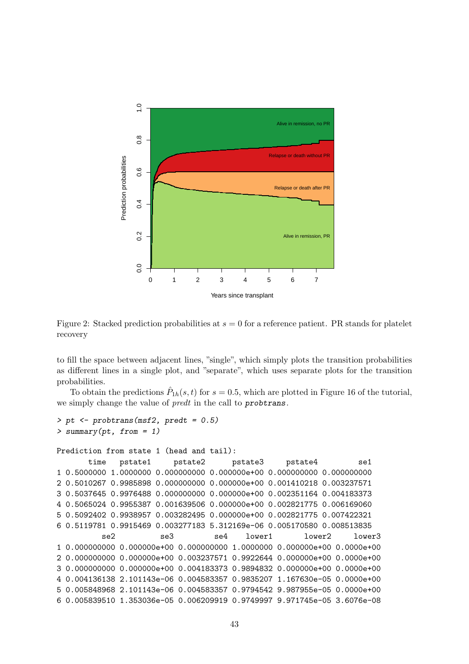

<span id="page-42-0"></span>Figure 2: Stacked prediction probabilities at  $s = 0$  for a reference patient. PR stands for platelet recovery

to fill the space between adjacent lines, "single", which simply plots the transition probabilities as different lines in a single plot, and "separate", which uses separate plots for the transition probabilities.

To obtain the predictions  $\hat{P}_{1h}(s,t)$  for  $s=0.5$ , which are plotted in Figure 16 of the tutorial, we simply change the value of *predt* in the call to **probtrans**.

```
> pt <- probtrans(msf2, predt = 0.5)
> summary(pt, from = 1)
Prediction from state 1 (head and tail):
      time pstate1 pstate2 pstate3 pstate4 se1
1 0.5000000 1.0000000 0.000000000 0.000000e+00 0.000000000 0.000000000
2 0.5010267 0.9985898 0.000000000 0.000000e+00 0.001410218 0.003237571
3 0.5037645 0.9976488 0.000000000 0.000000e+00 0.002351164 0.004183373
4 0.5065024 0.9955387 0.001639506 0.000000e+00 0.002821775 0.006169060
5 0.5092402 0.9938957 0.003282495 0.000000e+00 0.002821775 0.007422321
6 0.5119781 0.9915469 0.003277183 5.312169e-06 0.005170580 0.008513835
         se2 se3 se4 lower1 lower2 lower3
1 0.000000000 0.000000e+00 0.000000000 1.0000000 0.000000e+00 0.0000e+00
2 0.000000000 0.000000e+00 0.003237571 0.9922644 0.000000e+00 0.0000e+00
3 0.000000000 0.000000e+00 0.004183373 0.9894832 0.000000e+00 0.0000e+00
4 0.004136138 2.101143e-06 0.004583357 0.9835207 1.167630e-05 0.0000e+00
5 0.005848968 2.101143e-06 0.004583357 0.9794542 9.987955e-05 0.0000e+00
6 0.005839510 1.353036e-05 0.006209919 0.9749997 9.971745e-05 3.6076e-08
```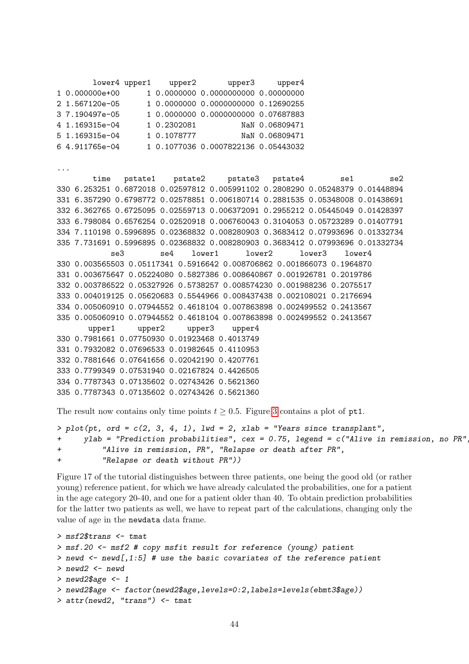lower4 upper1 upper2 upper3 upper4 1 0.000000e+00 1 0.0000000 0.0000000000 0.00000000 2 1.567120e-05 1 0.0000000 0.0000000000 0.12690255 3 7.190497e-05 1 0.0000000 0.0000000000 0.07687883 4 1.169315e-04 1 0.2302081 NaN 0.06809471 5 1.169315e-04 1 0.1078777 NaN 0.06809471 6 4.911765e-04 1 0.1077036 0.0007822136 0.05443032 ... time pstate1 pstate2 pstate3 pstate4 se1 se2 330 6.253251 0.6872018 0.02597812 0.005991102 0.2808290 0.05248379 0.01448894 331 6.357290 0.6798772 0.02578851 0.006180714 0.2881535 0.05348008 0.01438691 332 6.362765 0.6725095 0.02559713 0.006372091 0.2955212 0.05445049 0.01428397 333 6.798084 0.6576254 0.02520918 0.006760043 0.3104053 0.05723289 0.01407791 334 7.110198 0.5996895 0.02368832 0.008280903 0.3683412 0.07993696 0.01332734 335 7.731691 0.5996895 0.02368832 0.008280903 0.3683412 0.07993696 0.01332734 se3 se4 lower1 lower2 lower3 lower4 330 0.003565503 0.05117341 0.5916642 0.008706862 0.001866073 0.1964870 331 0.003675647 0.05224080 0.5827386 0.008640867 0.001926781 0.2019786 332 0.003786522 0.05327926 0.5738257 0.008574230 0.001988236 0.2075517 333 0.004019125 0.05620683 0.5544966 0.008437438 0.002108021 0.2176694 334 0.005060910 0.07944552 0.4618104 0.007863898 0.002499552 0.2413567 335 0.005060910 0.07944552 0.4618104 0.007863898 0.002499552 0.2413567 upper1 upper2 upper3 upper4 330 0.7981661 0.07750930 0.01923468 0.4013749 331 0.7932082 0.07696533 0.01982645 0.4110953 332 0.7881646 0.07641656 0.02042190 0.4207761 333 0.7799349 0.07531940 0.02167824 0.4426505 334 0.7787343 0.07135602 0.02743426 0.5621360 335 0.7787343 0.07135602 0.02743426 0.5621360

The result now contains only time points  $t \geq 0.5$ . Figure [3](#page-44-0) contains a plot of pt1.

```
> plot(pt, ord = c(2, 3, 4, 1), lwd = 2, xlab = "Years since transparent",+ ylab = "Prediction probabilities", cex = 0.75, legend = c("Alive in remission, no PR",
+ "Alive in remission, PR", "Relapse or death after PR",
+ "Relapse or death without PR"))
```
Figure 17 of the tutorial distinguishes between three patients, one being the good old (or rather young) reference patient, for which we have already calculated the probabilities, one for a patient in the age category 20-40, and one for a patient older than 40. To obtain prediction probabilities for the latter two patients as well, we have to repeat part of the calculations, changing only the value of age in the newdata data frame.

```
> msf2$trans <- tmat
> msf.20 <- msf2 # copy msfit result for reference (young) patient
> newd <- newd[,1:5] # use the basic covariates of the reference patient
> newd2 <- newd
> newd2$age <- 1
> newd2$age <- factor(newd2$age,levels=0:2,labels=levels(ebmt3$age))
> attr(newd2, "trans") <- tmat
```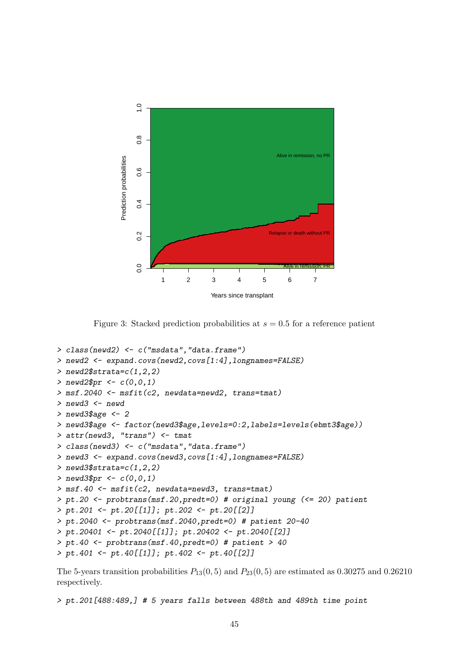

<span id="page-44-0"></span>Figure 3: Stacked prediction probabilities at  $s = 0.5$  for a reference patient

```
> class(newd2) <- c("msdata","data.frame")
> newd2 <- expand.covs(newd2,covs[1:4],longnames=FALSE)
> newd2$strata=c(1,2,2)
> newd2$pr <- c(0,0,1)> msf.2040 <- msfit(c2, newdata=newd2, trans=tmat)
> newd3 <- newd
> newd3$age <- 2
> newd3$age <- factor(newd3$age,levels=0:2,labels=levels(ebmt3$age))
> attr(newd3, "trans") <- tmat
> class(newd3) <- c("msdata","data.frame")
> newd3 <- expand.covs(newd3,covs[1:4],longnames=FALSE)
> newd3$strata=c(1,2,2)
> newd3$pr <- c(0,0,1)> msf.40 \leq mstit(c2, new data = newd3, trans = tmat)> pt.20 <- probtrans(msf.20,predt=0) # original young (<= 20) patient
> pt.201 <- pt.20[[1]]; pt.202 <- pt.20[[2]]
> pt.2040 <- probtrans(msf.2040,predt=0) # patient 20-40
> pt.20401 <- pt.2040[[1]]; pt.20402 <- pt.2040[[2]]
> pt.40 <- probtrans(msf.40,predt=0) # patient > 40
> pt.401 <- pt.40[[1]]; pt.402 <- pt.40[[2]]
```
The 5-years transition probabilities  $P_{13}(0, 5)$  and  $P_{23}(0, 5)$  are estimated as 0.30275 and 0.26210 respectively.

> pt.201[488:489,] # 5 years falls between 488th and 489th time point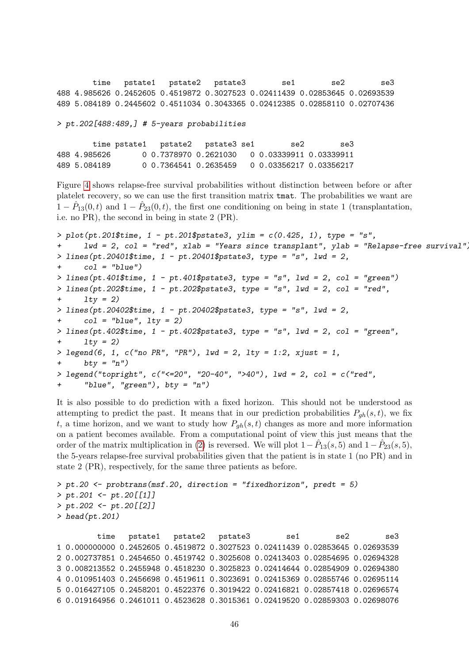time pstate1 pstate2 pstate3 se1 se2 se3 488 4.985626 0.2452605 0.4519872 0.3027523 0.02411439 0.02853645 0.02693539 489 5.084189 0.2445602 0.4511034 0.3043365 0.02412385 0.02858110 0.02707436

> pt.202[488:489,] # 5-years probabilities

time pstate1 pstate2 pstate3 se1 se2 se3 488 4.985626 0 0.7378970 0.2621030 0 0.03339911 0.03339911 489 5.084189 0 0.7364541 0.2635459 0 0.03356217 0.03356217

Figure [4](#page-46-0) shows relapse-free survival probabilities without distinction between before or after platelet recovery, so we can use the first transition matrix tmat. The probabilities we want are  $1 - \hat{P}_{13}(0, t)$  and  $1 - \hat{P}_{23}(0, t)$ , the first one conditioning on being in state 1 (transplantation, i.e. no PR), the second in being in state 2 (PR).

```
> plot(pt.201$time, 1 - pt.201$pstate3, ylim = c(0.425, 1), type = "s",+ lwd = 2, col = "red", xlab = "Years since transplant", ylab = "Relapse-free survival")
> lines(pt.20401$time, 1 - pt.20401$pstate3, type = "s", lwd = 2,
+ col = "blue")
> lines(pt.401$time, 1 - pt.401$pstate3, type = "s", lwd = 2, col = "green")
> lines(pt.202$time, 1 - pt.202$pstate3, type = "s", lwd = 2, col = "red",
+ lty = 2> lines(pt.20402$time, 1 - pt.20402$pstate3, type = "s", lwd = 2,
+ col = "blue", lty = 2)> lines(pt.402$time, 1 - pt.402$pstate3, type = "s", lwd = 2, col = "green",
+ 1ty = 2)
> legend(6, 1, c("no PR", "PR"), lwd = 2, lty = 1:2, xjust = 1,
+ bty = "n")> legend("topright", c("<=20", "20-40", ">40"), lwd = 2, col = c("red",
      "blue", "green"), bty = "n")
```
It is also possible to do prediction with a fixed horizon. This should not be understood as attempting to predict the past. It means that in our prediction probabilities  $P_{gh}(s, t)$ , we fix t, a time horizon, and we want to study how  $P_{gh}(s, t)$  changes as more and more information on a patient becomes available. From a computational point of view this just means that the order of the matrix multiplication in [\(2\)](#page-17-1) is reversed. We will plot  $1 - \hat{P}_{13}(s, 5)$  and  $1 - \hat{P}_{23}(s, 5)$ , the 5-years relapse-free survival probabilities given that the patient is in state 1 (no PR) and in state 2 (PR), respectively, for the same three patients as before.

```
> pt.20 <- probtrans(msf.20, direction = "fixedhorizon", predt = 5)
> pt.201 <- pt.20[[1]]
> pt.202 <- pt.20[[2]]
> head(pt.201)
        time pstate1 pstate2 pstate3 se1 se2 se3
1 0.000000000 0.2452605 0.4519872 0.3027523 0.02411439 0.02853645 0.02693539
2 0.002737851 0.2454650 0.4519742 0.3025608 0.02413403 0.02854695 0.02694328
3 0.008213552 0.2455948 0.4518230 0.3025823 0.02414644 0.02854909 0.02694380
4 0.010951403 0.2456698 0.4519611 0.3023691 0.02415369 0.02855746 0.02695114
```
5 0.016427105 0.2458201 0.4522376 0.3019422 0.02416821 0.02857418 0.02696574 6 0.019164956 0.2461011 0.4523628 0.3015361 0.02419520 0.02859303 0.02698076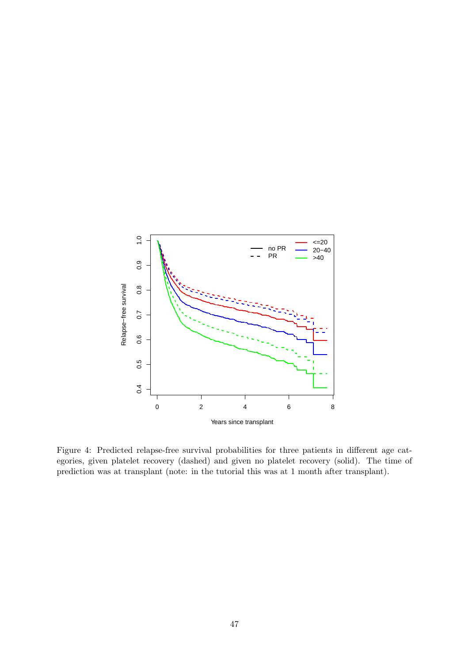

<span id="page-46-0"></span>Figure 4: Predicted relapse-free survival probabilities for three patients in different age categories, given platelet recovery (dashed) and given no platelet recovery (solid). The time of prediction was at transplant (note: in the tutorial this was at 1 month after transplant).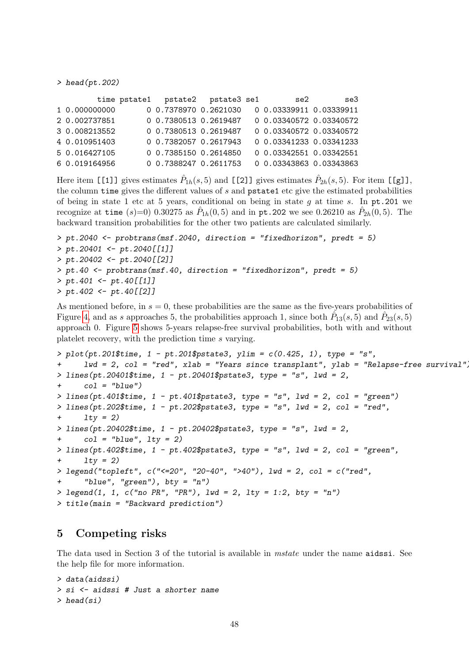> head(pt.202)

|               | time pstate1    pstate2    pstate3    se1 |  | se2                     | se3 |
|---------------|-------------------------------------------|--|-------------------------|-----|
| 1 0.000000000 | 0 0.7378970 0.2621030                     |  | 0 0.03339911 0.03339911 |     |
| 2 0.002737851 | 0 0.7380513 0.2619487                     |  | 0 0.03340572 0.03340572 |     |
| 3 0.008213552 | 0 0.7380513 0.2619487                     |  | 0 0.03340572 0.03340572 |     |
| 4 0.010951403 | 0 0.7382057 0.2617943                     |  | 0 0.03341233 0.03341233 |     |
| 5 0.016427105 | 0 0.7385150 0.2614850                     |  | 0 0.03342551 0.03342551 |     |
| 6 0.019164956 | 0 0.7388247 0.2611753                     |  | 0 0.03343863 0.03343863 |     |

Here item [[1]] gives estimates  $\hat{P}_{1h}(s,5)$  and [[2]] gives estimates  $\hat{P}_{2h}(s,5)$ . For item [[g]], the column time gives the different values of  $s$  and  $p$  pstate1 etc give the estimated probabilities of being in state 1 etc at 5 years, conditional on being in state  $g$  at time  $s$ . In  $pt.201$  we recognize at time (s)=0) 0.30275 as  $\hat{P}_{1h}(0,5)$  and in pt.202 we see 0.26210 as  $\hat{P}_{2h}(0,5)$ . The backward transition probabilities for the other two patients are calculated similarly.

```
> pt.2040 <- probtrans(msf.2040, direction = "fixedhorizon", predt = 5)
> pt.20401 \leftarrow pt.2040[[1]]> pt.20402 <- pt.2040[[2]]
> pt.40 < - probtrans(msf.40, direction = "fixedhorizon", predt = 5)
> pt.401 <- pt.40[[1]]
> pt.402 <- pt.40[[2]]
```
As mentioned before, in  $s = 0$ , these probabilities are the same as the five-years probabilities of Figure [4,](#page-46-0) and as s approaches 5, the probabilities approach 1, since both  $\hat{P}_{13}(s,5)$  and  $\hat{P}_{23}(s,5)$ approach 0. Figure [5](#page-48-0) shows 5-years relapse-free survival probabilities, both with and without platelet recovery, with the prediction time s varying.

```
> plot(pt.201$time, 1 - pt.201$pstate3, ylim = c(0.425, 1), type = "s",
     1wd = 2, col = "red", xlab = "Years since transplant", ylab = "Relapse-free survival",
> lines(pt.20401$time, 1 - pt.20401$pstate3, type = "s", lwd = 2,
+ col = "blue")
> lines(pt.401$time, 1 - pt.401$pstate3, type = "s", lwd = 2, col = "green")
> lines(pt.202$time, 1 - pt.202$pstate3, type = "s", lwd = 2, col = "red",
+ lty = 2> lines(pt.20402$time, 1 - pt.20402$pstate3, type = "s", lwd = 2,
+ col = "blue", lty = 2)> lines(pt.402$time, 1 - pt.402$pstate3, type = "s", lwd = 2, col = "green",
+ 1ty = 2> legend("topleft", c("<=20", "20-40", ">40"), lwd = 2, col = c("red",
      "blue", "green"), bty = "n")
> legend(1, 1, c("no PR", "PR"), lwd = 2, lty = 1:2, bty = "n")
> title(main = "Backward prediction")
```
## <span id="page-47-0"></span>5 Competing risks

The data used in Section 3 of the tutorial is available in *mstate* under the name **aidssi**. See the help file for more information.

```
> data(aidssi)
> si <- aidssi # Just a shorter name
\geq head(si)
```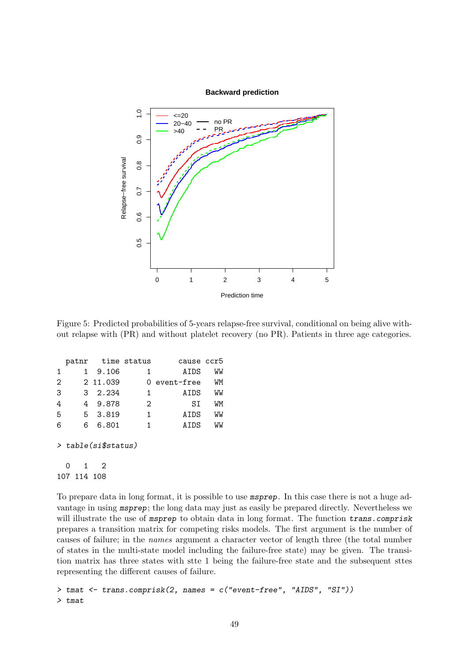

<span id="page-48-0"></span>Figure 5: Predicted probabilities of 5-years relapse-free survival, conditional on being alive without relapse with (PR) and without platelet recovery (no PR). Patients in three age categories.

|   |   | patnr time status     |   | cause ccr5   |    |
|---|---|-----------------------|---|--------------|----|
| 1 | 1 | 9.106                 | 1 | ATDS         | WW |
| 2 |   | 2 11.039              |   | 0 event-free | WМ |
| 3 |   | 3 2.234               | 1 | AIDS         | WW |
| 4 | 4 | 9.878                 | 2 | SΙ           | WМ |
| 5 |   | 5 3.819               | 1 | AIDS         | WW |
| 6 | 6 | 6.801                 | 1 | AIDS         | WW |
|   |   | $>$ table(si\$status) |   |              |    |
|   |   |                       |   |              |    |

107 114 108

To prepare data in long format, it is possible to use msprep. In this case there is not a huge advantage in using msprep; the long data may just as easily be prepared directly. Nevertheless we will illustrate the use of msprep to obtain data in long format. The function trans.comprisk prepares a transition matrix for competing risks models. The first argument is the number of causes of failure; in the names argument a character vector of length three (the total number of states in the multi-state model including the failure-free state) may be given. The transition matrix has three states with stte 1 being the failure-free state and the subsequent sttes representing the different causes of failure.

```
> tmat <- trans.comprisk(2, names = c("event-free", "AIDS", "SI"))
> tmat
```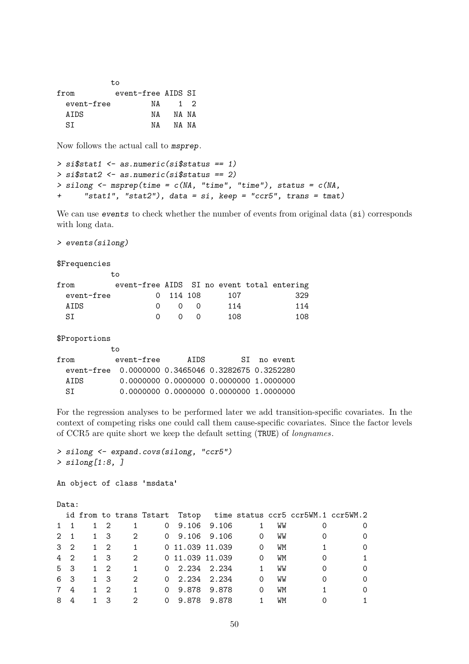|            | tο                 |             |       |
|------------|--------------------|-------------|-------|
| from       | event-free AIDS SI |             |       |
| event-free | NA                 | $1 \quad 2$ |       |
| ATDS       | NА                 |             | NA NA |
| ST         | NΔ                 |             | NA NA |

Now follows the actual call to msprep.

```
> si$stat1 <- as.numeric(si$status == 1)
> si$stat2 <- as.numeric(si$status == 2)
> silong \leq msprep(time = c(NA, "time", "time"), status = c(NA,+ "stat1", "stat2"), data = si, keep = "ccr5", trans = tmat)
```
We can use events to check whether the number of events from original data (si) corresponds with long data.

> events(silong)

to

 $\overline{t}$ 

\$Frequencies

| from       | event-free AIDS SI no event total entering |           |                   |     |     |
|------------|--------------------------------------------|-----------|-------------------|-----|-----|
| event-free |                                            | 0 114 108 |                   | 107 | 329 |
| ATDS.      | $\Omega$                                   |           | $\cap$ 0          | 114 | 114 |
| ST.        | $\cap$                                     |           | $\Omega$ $\Omega$ | 108 | 108 |

\$Proportions

| event-free | ATDS | SI no event                                                                                                                              |
|------------|------|------------------------------------------------------------------------------------------------------------------------------------------|
|            |      |                                                                                                                                          |
|            |      |                                                                                                                                          |
|            |      |                                                                                                                                          |
|            |      | event-free 0.0000000 0.3465046 0.3282675 0.3252280<br>0.0000000 0.0000000 0.0000000 1.0000000<br>0.0000000 0.0000000 0.0000000 1.0000000 |

For the regression analyses to be performed later we add transition-specific covariates. In the context of competing risks one could call them cause-specific covariates. Since the factor levels of CCR5 are quite short we keep the default setting (TRUE) of longnames.

```
> silong <- expand.covs(silong, "ccr5")
> silong[1:8, ]
```
An object of class 'msdata'

Data:

|             |            |                         |                           |       |                |                 | id from to trans Tstart Tstop time status ccr5 ccr5WM.1 ccr5WM.2 |                |
|-------------|------------|-------------------------|---------------------------|-------|----------------|-----------------|------------------------------------------------------------------|----------------|
| $1 \quad 1$ |            | $1\quad 2\quad 1$       | $0\quad 9.106\quad 9.106$ |       |                | $1 \quad$<br>WW |                                                                  | 0              |
| $2 \quad 1$ | 1 3        | $\overline{\mathbf{2}}$ | 0 9.106 9.106 0           |       |                | WW              |                                                                  | 0              |
| $3\quad 2$  | 1 2        | $\overline{1}$          | 0 11.039 11.039           |       | $\overline{0}$ | WM              |                                                                  | $\circ$        |
| 4 2         | 1 3        | $\overline{2}$          | 0 11.039 11.039           |       | $\overline{0}$ | WM              |                                                                  | $\overline{1}$ |
| 5 3         | $1 \t2$    | 1                       | $0$ 2.234 2.234           |       | $\mathbf{1}$   | WW              |                                                                  | $\Omega$       |
| 6 3         | 1 3        | $2^{1}$                 | $0$ 2.234 2.234           |       | $\Omega$       | WW              |                                                                  | $\Omega$       |
| 7 4         | $1\quad 2$ | $\overline{1}$          | $0$ 9.878 9.878           |       | $\Omega$       | WМ              |                                                                  | 0              |
| 84          | - 3        | $2^{1}$                 | $0\quad 9.878$            | 9.878 |                | WМ              |                                                                  | $\mathbf{1}$   |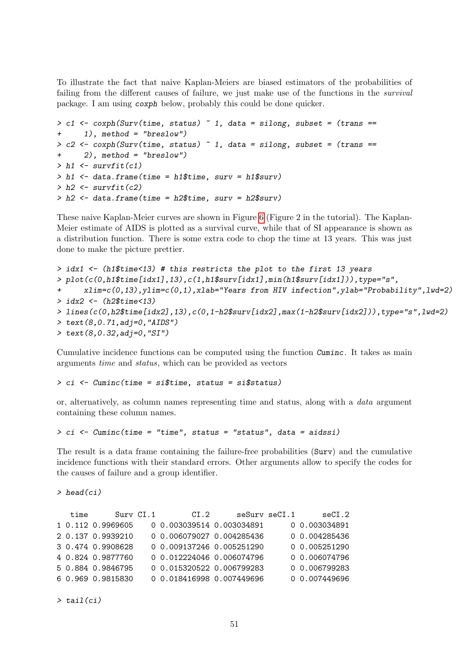To illustrate the fact that naive Kaplan-Meiers are biased estimators of the probabilities of failing from the different causes of failure, we just make use of the functions in the *survival* package. I am using coxph below, probably this could be done quicker.

```
> c1 <- coxph(Surv(time, status) \degree 1, data = silong, subset = (trans ==
+ 1), method = "breslow")
> c2 \leq -cosh(Surv(time, status) - 1, data = silong, subset = (trans ==+ 2), method = "breslow")
> h1 \leftarrow \text{survfit}(c1)> h1 <- data.frame(time = h1$time, surv = h1$surv)
> h2 < - survfit(c2)
> h2 <- data.frame(time = h2$time, surv = h2$surv)
```
These naive Kaplan-Meier curves are shown in Figure [6](#page-51-0) (Figure 2 in the tutorial). The Kaplan-Meier estimate of AIDS is plotted as a survival curve, while that of SI appearance is shown as a distribution function. There is some extra code to chop the time at 13 years. This was just done to make the picture prettier.

```
> idx1 <- (h1$time<13) # this restricts the plot to the first 13 years
> plot(c(0,h1$time[idx1],13),c(1,h1$surv[idx1],min(h1$surv[idx1])),type="s",
      xlim=c(0,13), ylim=c(0,1), xlab="Years from HIV infection", ylab="Probability", lwd=2)> idx2 <- (h2$time<13)
> lines(c(0,h2$time[idx2],13),c(0,1-h2$surv[idx2],max(1-h2$surv[idx2])),type="s",lwd=2)
> text(8,0.71, adj=0, "AIDS")
> text(8,0.32,adj=0,"SI")
```
Cumulative incidence functions can be computed using the function Cuminc. It takes as main arguments time and status, which can be provided as vectors

> ci <- Cuminc(time = si\$time, status = si\$status)

or, alternatively, as column names representing time and status, along with a data argument containing these column names.

> ci <- Cuminc(time = "time", status = "status", data = aidssi)

The result is a data frame containing the failure-free probabilities (Surv) and the cumulative incidence functions with their standard errors. Other arguments allow to specify the codes for the causes of failure and a group identifier.

 $\geq$  head(ci)

| time | Surv CI.1         | CI.2                      | seSurv seCI.1 | secI.2        |
|------|-------------------|---------------------------|---------------|---------------|
|      | 1 0.112 0.9969605 | 0 0.003039514 0.003034891 |               | 0 0.003034891 |
|      | 2 0.137 0.9939210 | 0 0.006079027 0.004285436 |               | 0 0.004285436 |
|      | 3 0.474 0.9908628 | 0 0.009137246 0.005251290 |               | 0 0.005251290 |
|      | 4 0.824 0.9877760 | 0 0.012224046 0.006074796 |               | 0 0.006074796 |
|      | 5 0.884 0.9846795 | 0 0.015320522 0.006799283 |               | 0 0.006799283 |
|      | 6 0.969 0.9815830 | 0 0.018416998 0.007449696 |               | 0 0.007449696 |
|      |                   |                           |               |               |

 $\geq$  tail(ci)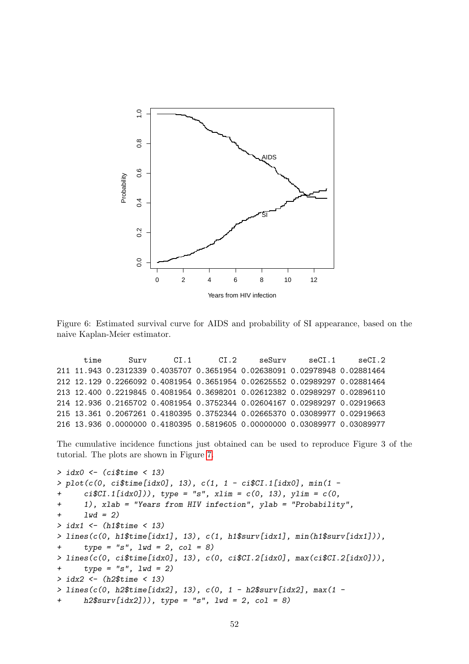

<span id="page-51-0"></span>Figure 6: Estimated survival curve for AIDS and probability of SI appearance, based on the naive Kaplan-Meier estimator.

time Surv CI.1 CI.2 seSurv seCI.1 seCI.2 211 11.943 0.2312339 0.4035707 0.3651954 0.02638091 0.02978948 0.02881464 212 12.129 0.2266092 0.4081954 0.3651954 0.02625552 0.02989297 0.02881464 213 12.400 0.2219845 0.4081954 0.3698201 0.02612382 0.02989297 0.02896110 214 12.936 0.2165702 0.4081954 0.3752344 0.02604167 0.02989297 0.02919663 215 13.361 0.2067261 0.4180395 0.3752344 0.02665370 0.03089977 0.02919663 216 13.936 0.0000000 0.4180395 0.5819605 0.00000000 0.03089977 0.03089977

The cumulative incidence functions just obtained can be used to reproduce Figure 3 of the tutorial. The plots are shown in Figure [7.](#page-52-0)

```
> idx0 <- (ci$time < 13)
> plot(c(0, ci$time[idx0], 13), c(1, 1 - ci$CI.1[idx0], min(1 -
+ ci$CI.1[idx0])), type = "s", xlim = c(0, 13), ylim = c(0,
+ 1), xlab = "Years from HIV infection", ylab = "Probability",
+ 1wd = 2)
> idx1 <- (h1$time < 13)
> lines(c(0, h1$time[idx1], 13), c(1, h1$surv[idx1], min(h1$surv[idx1])),
+ type = "s", \text{ lwd} = 2, \text{ col} = 8)> lines(c(0, ci$time[idx0], 13), c(0, ci$CI.2[idx0], max(ci$CI.2[idx0])),
+ type = "s", lwd = 2)> idx2 <- (h2$time < 13)
> lines(c(0, h2$time[idx2], 13), c(0, 1 - h2$surv[idx2], max(1 -
      h2$surv[idx2]), type = "s", lwd = 2, col = 8)
```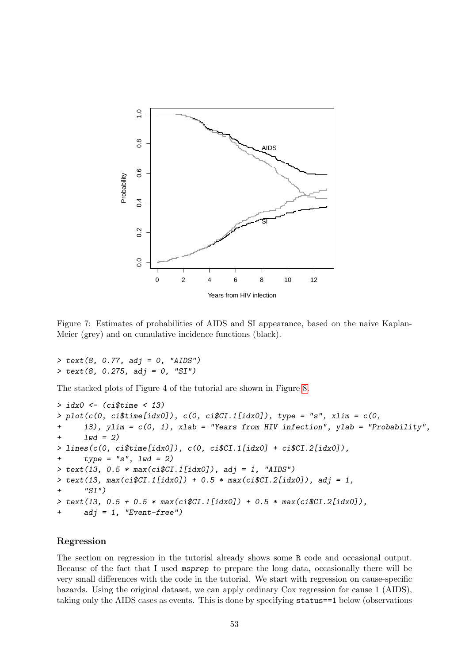

<span id="page-52-0"></span>Figure 7: Estimates of probabilities of AIDS and SI appearance, based on the naive Kaplan-Meier (grey) and on cumulative incidence functions (black).

```
> text(8, 0.77, adj = 0, "AIDS")
> text(8, 0.275, adj = 0, "SI")
```
The stacked plots of Figure 4 of the tutorial are shown in Figure [8.](#page-53-0)

```
> idx0 <- (ci$time < 13)
> plot(c(0, ciftime[idx0]), c(0, cifCT.1[idx0]), type = "s", xlim = c(0,+ 13), ylim = c(0, 1), xlab = "Years from HIV infection", ylab = "Probability",
      1wd = 2)
> lines(c(0, ci$time[idx0], c(0, ci$CI.1[idx0] + ci$CI.2[idx0],+ type = "s", lwd = 2)> text(13, 0.5 * max(ci$CI.1[idx0]), adj = 1, "AIDS")
> text(13, max(ciC1.[idx0]) + 0.5 * max(ciC1.[idx0]), adj = 1,
+ "SI")
> text(13, 0.5 + 0.5 * max(ci$CI.1[idx0]) + 0.5 * max(ci$CI.2[idx0]),
      adj = 1, "Event-free")
```
### Regression

The section on regression in the tutorial already shows some R code and occasional output. Because of the fact that I used msprep to prepare the long data, occasionally there will be very small differences with the code in the tutorial. We start with regression on cause-specific hazards. Using the original dataset, we can apply ordinary Cox regression for cause 1 (AIDS), taking only the AIDS cases as events. This is done by specifying status==1 below (observations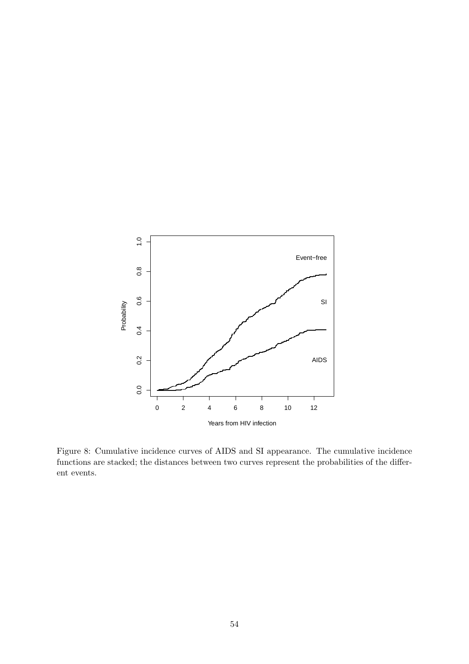

<span id="page-53-0"></span>Figure 8: Cumulative incidence curves of AIDS and SI appearance. The cumulative incidence functions are stacked; the distances between two curves represent the probabilities of the different events.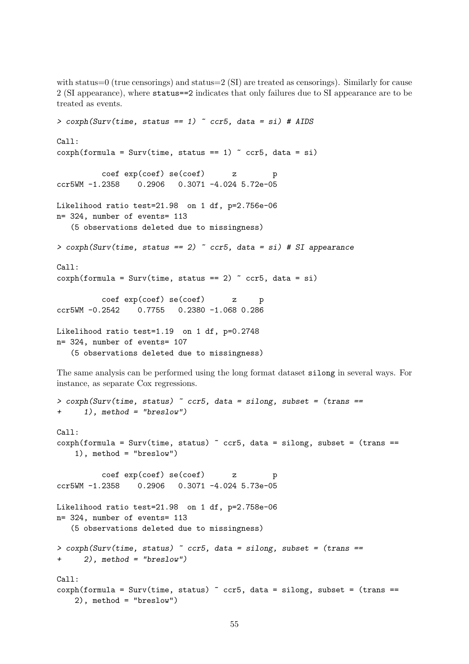with status=0 (true censorings) and status=2 (SI) are treated as censorings). Similarly for cause 2 (SI appearance), where status==2 indicates that only failures due to SI appearance are to be treated as events.

```
> coxph(Surv(time, status == 1) \sim ccr5, data = si) # AIDS
Call:
cosph(formula = Surv(time, status == 1) \sim ccrb, data = si)
          coef exp(coef) se(coef) z p
ccr5WM -1.2358 0.2906 0.3071 -4.024 5.72e-05
Likelihood ratio test=21.98 on 1 df, p=2.756e-06
n= 324, number of events= 113
   (5 observations deleted due to missingness)
> coxph(Surv(time, status == 2) \degree ccr5, data = si) # SI appearance
Call:
cosph(formula = Surv(time, status == 2) \sim ccrb, data = si)
          coef exp(coef) se(coef) z p
ccr5WM -0.2542 0.7755 0.2380 -1.068 0.286
Likelihood ratio test=1.19 on 1 df, p=0.2748
n= 324, number of events= 107
   (5 observations deleted due to missingness)
```
The same analysis can be performed using the long format dataset silong in several ways. For instance, as separate Cox regressions.

```
> coxph(Surv(time, status) \tilde{c} ccr5, data = silong, subset = (trans ==
+ 1), method = "breslow")
Call:
\text{coxph}(formula = Surv(time, status) \tilde{ } ccr5, data = silong, subset = (trans ==
    1), method = "breslow")
          coef exp(coef) se(coef) z p
ccr5WM -1.2358 0.2906 0.3071 -4.024 5.73e-05
Likelihood ratio test=21.98 on 1 df, p=2.758e-06
n= 324, number of events= 113
   (5 observations deleted due to missingness)
> coxph(Surv(time, status) \sim ccr5, data = silong, subset = (trans ==
+ 2), method = "breslow")
Call:
\text{cosh}(\text{formula} = \text{Surv}(\text{time}, \text{status}) \text{...} ccr5, data = silong, subset = (trans ==
    2), method = "breslow")
```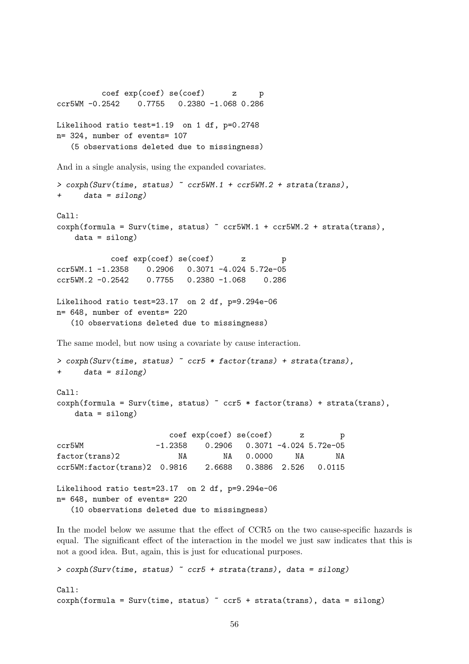coef exp(coef) se(coef) z p ccr5WM -0.2542 0.7755 0.2380 -1.068 0.286 Likelihood ratio test=1.19 on 1 df, p=0.2748 n= 324, number of events= 107 (5 observations deleted due to missingness) And in a single analysis, using the expanded covariates. > coxph(Surv(time, status) ~ ccr5WM.1 + ccr5WM.2 + strata(trans), + data = silong) Call:  $cosph(formula = Surv(time, status)$   $\sim$   $ccr5WM.1$  +  $ccr5WM.2$  +  $strata(trans)$ ,  $data = silong)$ coef exp(coef) se(coef) z p ccr5WM.1 -1.2358 0.2906 0.3071 -4.024 5.72e-05 ccr5WM.2 -0.2542 0.7755 0.2380 -1.068 0.286 Likelihood ratio test=23.17 on 2 df, p=9.294e-06 n= 648, number of events= 220 (10 observations deleted due to missingness) The same model, but now using a covariate by cause interaction.  $>$  coxph(Surv(time, status)  $\sim$  ccr5  $*$  factor(trans) + strata(trans), + data = silong) Call:  $\text{cosh}(\text{formula} = \text{Surv}(\text{time}, \text{status})$   $\sim$   $\text{ccr5} * \text{factor}(\text{trans}) + \text{strata}(\text{trans}),$  $data = silong)$ coef exp(coef) se(coef) z p ccr5WM -1.2358 0.2906 0.3071 -4.024 5.72e-05 factor(trans)2 NA NA 0.0000 NA NA ccr5WM:factor(trans)2 0.9816 2.6688 0.3886 2.526 0.0115 Likelihood ratio test=23.17 on 2 df, p=9.294e-06 n= 648, number of events= 220 (10 observations deleted due to missingness)

In the model below we assume that the effect of CCR5 on the two cause-specific hazards is equal. The significant effect of the interaction in the model we just saw indicates that this is not a good idea. But, again, this is just for educational purposes.

```
> coxph(Surv(time, status) ~ ccr5 + strata(trans), data = silong)
Call:
cosph(formula = Surv(time, status) \sim ccrb + strata(trans), data = silong)
```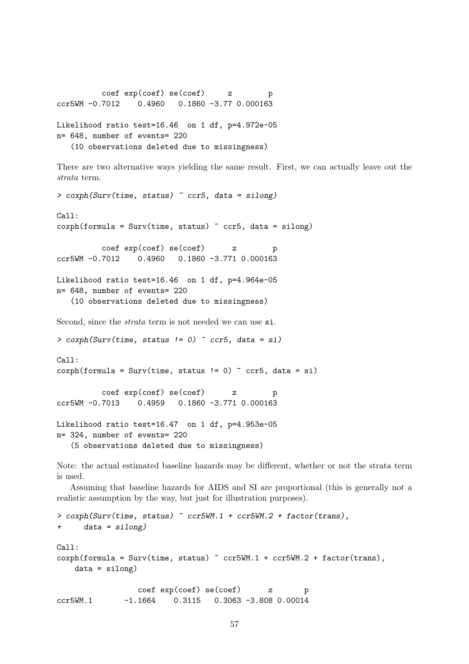```
coef exp(coef) se(coef) z p
ccr5WM -0.7012 0.4960 0.1860 -3.77 0.000163
Likelihood ratio test=16.46 on 1 df, p=4.972e-05
n= 648, number of events= 220
```
(10 observations deleted due to missingness)

There are two alternative ways yielding the same result. First, we can actually leave out the strata term.

```
> coxph(Surv(time, status) \sim ccr5, data = silong)
Call:
cosh(formula = Surv(time, status) \sim ccrb, data = silong)
          coef exp(coef) se(coef) z p
ccr5WM -0.7012 0.4960 0.1860 -3.771 0.000163
Likelihood ratio test=16.46 on 1 df, p=4.964e-05
n= 648, number of events= 220
   (10 observations deleted due to missingness)
Second, since the strata term is not needed we can use si.
> coxph(Surv(time, status != 0) \degree ccr5, data = si)
Call:
cosph(formula = Surv(time, status != 0) \sim ccrb, data = si)
          coef exp(coef) se(coef) z p
ccr5WM -0.7013 0.4959 0.1860 -3.771 0.000163
Likelihood ratio test=16.47 on 1 df, p=4.953e-05
n= 324, number of events= 220
   (5 observations deleted due to missingness)
```
Note: the actual estimated baseline hazards may be different, whether or not the strata term is used.

Assuming that baseline hazards for AIDS and SI are proportional (this is generally not a realistic assumption by the way, but just for illustration purposes).

```
> coxph(Surv(time, status) \sim ccr5WM.1 + ccr5WM.2 + factor(trans),
+ data = silong)
Ca11:cosph(formula = Surv(time, status) \sim ccr5WM.1 + ccr5WM.2 + factor(trans),
   data = silong)
                 coef exp(coef) se(coef) z p
ccr5WM.1 -1.1664 0.3115 0.3063 -3.808 0.00014
```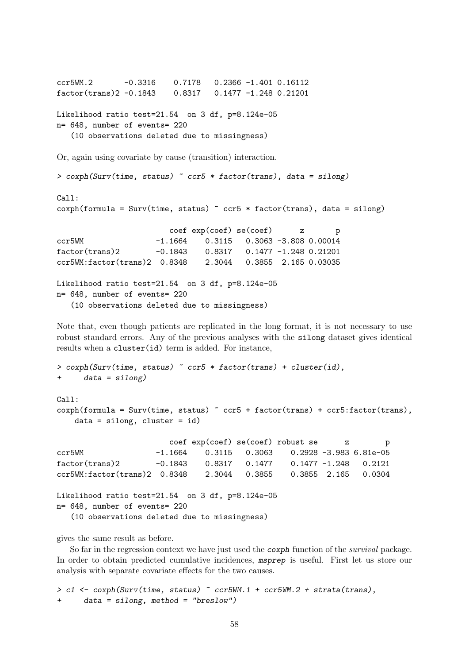ccr5WM.2 -0.3316 0.7178 0.2366 -1.401 0.16112 factor(trans)2 -0.1843 0.8317 0.1477 -1.248 0.21201 Likelihood ratio test=21.54 on 3 df, p=8.124e-05 n= 648, number of events= 220 (10 observations deleted due to missingness) Or, again using covariate by cause (transition) interaction. > coxph(Surv(time, status) ~ ccr5 \* factor(trans), data = silong) Call:  $cosph(formula = Surv(time, status)$   $\sim$   $ccrb * factor(trans)$ , data = silong) coef exp(coef) se(coef) z p ccr5WM -1.1664 0.3115 0.3063 -3.808 0.00014 factor(trans)2 -0.1843 0.8317 0.1477 -1.248 0.21201 ccr5WM:factor(trans)2 0.8348 2.3044 0.3855 2.165 0.03035

Likelihood ratio test=21.54 on 3 df, p=8.124e-05 n= 648, number of events= 220 (10 observations deleted due to missingness)

Note that, even though patients are replicated in the long format, it is not necessary to use robust standard errors. Any of the previous analyses with the silong dataset gives identical results when a cluster(id) term is added. For instance,

```
> coxph(Surv(time, status) \sim ccr5 * factor(trans) + cluster(id),
+ data = silong)
Call:
coxph(formula = Surv(time, status) \degree ccr5 + factor(trans) + ccr5:factor(trans),
   data = silong, cluster = id)coef exp(coef) se(coef) robust se z p
ccr5WM -1.1664 0.3115 0.3063 0.2928 -3.983 6.81e-05
factor(trans)2 -0.1843 0.8317 0.1477 0.1477 -1.248 0.2121
ccr5WM:factor(trans)2 0.8348 2.3044 0.3855 0.3855 2.165 0.0304
Likelihood ratio test=21.54 on 3 df, p=8.124e-05
n= 648, number of events= 220
  (10 observations deleted due to missingness)
```
gives the same result as before.

So far in the regression context we have just used the *coxph* function of the *survival* package. In order to obtain predicted cumulative incidences, msprep is useful. First let us store our analysis with separate covariate effects for the two causes.

> c1 <- coxph(Surv(time, status) ~ ccr5WM.1 + ccr5WM.2 + strata(trans),  $data = silong, method = "breslow")$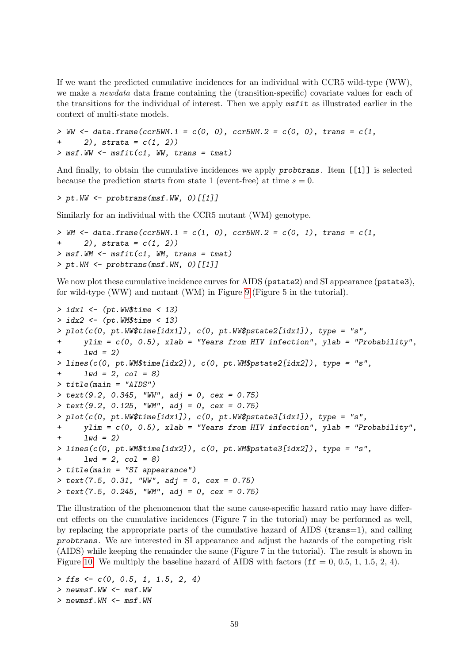If we want the predicted cumulative incidences for an individual with CCR5 wild-type (WW), we make a newdata data frame containing the (transition-specific) covariate values for each of the transitions for the individual of interest. Then we apply msfit as illustrated earlier in the context of multi-state models.

```
> WW <- data.frame(ccr5WM.1 = c(0, 0), ccr5WM.2 = c(0, 0), trans = c(1,
+ 2), strata = c(1, 2)> msf. WW \leq -msfit(ct, WW, trans = tmat)
```
And finally, to obtain the cumulative incidences we apply probtrans. Item [[1]] is selected because the prediction starts from state 1 (event-free) at time  $s = 0$ .

> pt.WW <- probtrans(msf.WW, 0)[[1]]

Similarly for an individual with the CCR5 mutant (WM) genotype.

```
> WM <- data.frame(ccr5WM.1 = c(1, 0), ccr5WM.2 = c(0, 1), trans = c(1,
+ 2), strata = c(1, 2)> msf.WM < - msfit(c1, VM, trans = tmat)> pt.WM \leq prototrans(msf.WM, 0)[[1]]
```
We now plot these cumulative incidence curves for AIDS (pstate2) and SI appearance (pstate3), for wild-type (WW) and mutant (WM) in Figure [9](#page-59-0) (Figure 5 in the tutorial).

```
> idx1 \leq (pt. WW$time \leq 13)
> idx2 <- (pt.WM$time < 13)
> plot(c(0, pt.W$time[idx1]), c(0, pt.W$pstate2[idx1]), type = "s",+ ylim = c(0, 0.5), xlab = "Years from HIV infection", ylab = "Probability",
      1wd = 2)
> lines(c(0, pt.WM$time[idx2]), c(0, pt.WM$pstate2[idx2]), type = "s",
+ 1wd = 2, col = 8)
> title(main = "AIDS")
> text(9.2, 0.345, "WW", adj = 0, cex = 0.75)
> text(9.2, 0.125, "WM", adj = 0, cex = 0.75)
> plot(c(0, pt.W$time[idx1]), c(0, pt.W$pstate3[idx1]), type = "s",+ ylim = c(0, 0.5), xlab = "Years from HIV infection", ylab = "Probability",
      1wd = 2)
> lines(c(0, pt.WM$time[idx2]), c(0, pt.WM$pstate3[idx2]), type = "s",
+ 1wd = 2, col = 8)
> title(main = "SI appearance")
> text(7.5, 0.31, "WW", adj = 0, cex = 0.75)
> text(7.5, 0.245, "WM", adj = 0, cex = 0.75)
```
The illustration of the phenomenon that the same cause-specific hazard ratio may have different effects on the cumulative incidences (Figure 7 in the tutorial) may be performed as well, by replacing the appropriate parts of the cumulative hazard of AIDS (trans=1), and calling probtrans. We are interested in SI appearance and adjust the hazards of the competing risk (AIDS) while keeping the remainder the same (Figure 7 in the tutorial). The result is shown in Figure [10.](#page-60-0) We multiply the baseline hazard of AIDS with factors ( $\mathbf{ff} = 0, 0.5, 1, 1.5, 2, 4$ ).

 $>$  ffs  $<-$  c(0, 0.5, 1, 1.5, 2, 4) > newmsf.WW <- msf.WW  $>$  newmsf.WM  $<-$  msf.WM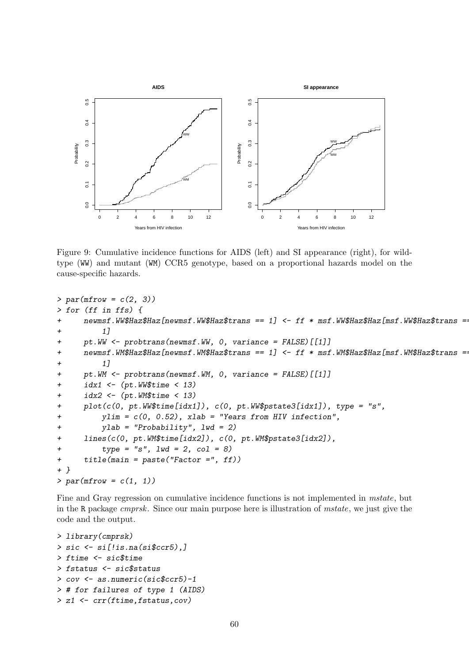

<span id="page-59-0"></span>Figure 9: Cumulative incidence functions for AIDS (left) and SI appearance (right), for wildtype (WW) and mutant (WM) CCR5 genotype, based on a proportional hazards model on the cause-specific hazards.

```
> par(mfrow = c(2, 3))> for (ff in ffs) {
     newmsf.WW$Hzz$Haz [newmsf.WW$Hzz$trans = = 1] < -  ff * msf.WW$Hzz$Haz [msf.WW$Haz$trans =1]+ pt.WW <- probtrans(newmsf.WW, 0, variance = FALSE)[[1]]
+ newmsf.WM$Haz$Haz[newmsf.WM$Haz$trans == 1] <- ff * msf.WM$Haz$Haz[msf.WM$Haz$trans =
+ 1]
+ pt.WM <- probtrans(newmsf.WM, 0, variance = FALSE)[[1]]
+ idx1 \leq (pt. WW$time \leq 13)
+ idx2 \leftarrow (pt.WM$time < 13)+ plot(c(0, pt.WW$time[idx1]), c(0, pt.WW$pstate3[idx1]), type = "s",
+ ylim = c(0, 0.52), xlab = "Years from HIV infection",
+ ylab = "Probability", lwd = 2)
+ lines(c(0, pt.WM$time[idx2]), c(0, pt.WM$pstate3[idx2]),
+ type = "s", lwd = 2, col = 8)+ title(main = paste("Factor =", ff))
+ }
> par(mfrow = c(1, 1))
```
Fine and Gray regression on cumulative incidence functions is not implemented in *mstate*, but in the R package cmprsk. Since our main purpose here is illustration of mstate, we just give the code and the output.

```
> library(cmprsk)
> sic <- si[!is.na(si$ccr5),]
> ftime <- sic$time
> fstatus <- sic$status
> cov <- as.numeric(sic$ccr5)-1
> # for failures of type 1 (AIDS)
> z1 <- crr(ftime,fstatus,cov)
```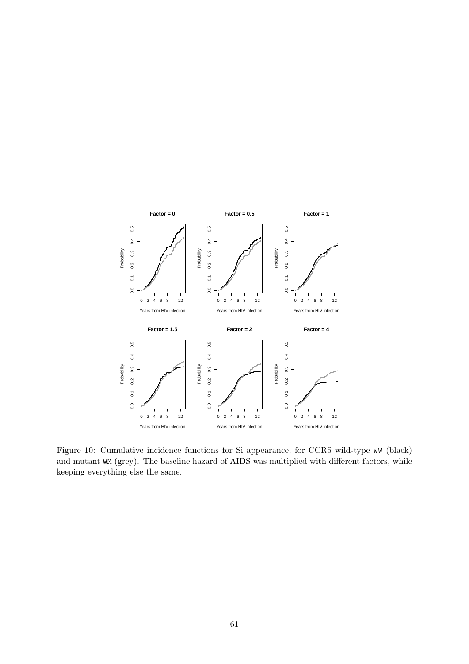

<span id="page-60-0"></span>Figure 10: Cumulative incidence functions for Si appearance, for CCR5 wild-type WW (black) and mutant WM (grey). The baseline hazard of AIDS was multiplied with different factors, while keeping everything else the same.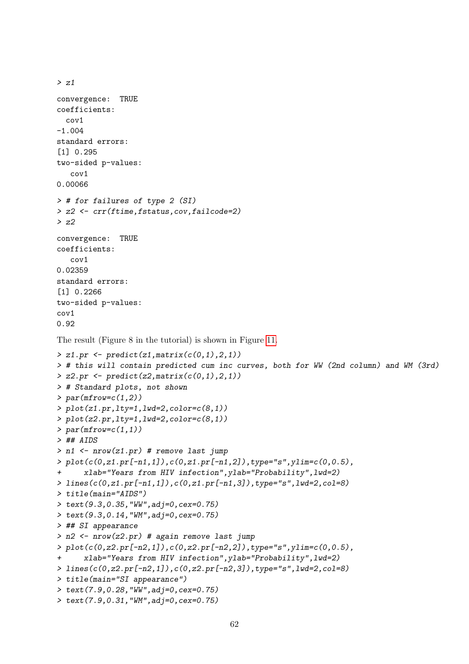```
convergence: TRUE
coefficients:
  cov1
-1.004
standard errors:
[1] 0.295
two-sided p-values:
   cov1
0.00066
> # for failures of type 2 (SI)
> z2 <- crr(ftime,fstatus,cov,failcode=2)
> z2
convergence: TRUE
coefficients:
   cov1
0.02359
standard errors:
[1] 0.2266
two-sided p-values:
cov1
0.92
The result (Figure 8 in the tutorial) is shown in Figure 11.
> z1. pr <- predict(z1, matrix(c(0,1), 2,1))
> # this will contain predicted cum inc curves, both for WW (2nd column) and WM (3rd)
> z2.pr \leftarrow predict(z2, matrix(c(0,1),2,1))> # Standard plots, not shown
> par(mfrow=c(1,2))> plot(z1.py,1ty=1,1wd=2,color=c(8,1))> plot(z2.pr, lty=1, lwd=2, color=c(8,1))> par(mfrow=c(1,1))> ## AIDS
> n1 \leq nrow(z1.pr) # remove last jump
> plot(c(0, z1, pr[-n1, 1]), c(0, z1, pr[-n1, 2]), type="s", ylim=c(0, 0.5),+ xlab="Years from HIV infection",ylab="Probability",lwd=2)
> lines(c(0,z1.pr[-n1,1]),c(0,z1.pr[-n1,3]),type="s",lwd=2,col=8)
> title(main="AIDS")
> text(9.3,0.35,"WW",adj=0,cex=0.75)
> text(9.3,0.14,"WM",adj=0,cex=0.75)
> ## SI appearance
> n2 <- nrow(z2.pr) # again remove last jump
> plot(c(0,z2.pr[-n2,1]),c(0,z2.pr[-n2,2]),type="s",ylim=c(0,0.5),
+ xlab="Years from HIV infection",ylab="Probability",lwd=2)
> lines(c(0,z2.pr[-n2,1]),c(0,z2.pr[-n2,3]),type="s",lwd=2,col=8)
> title(main="SI appearance")
> text(7.9,0.28,"WW",adj=0,cex=0.75)
> text(7.9,0.31,"WM",adj=0,cex=0.75)
```
 $> z1$ 

```
62
```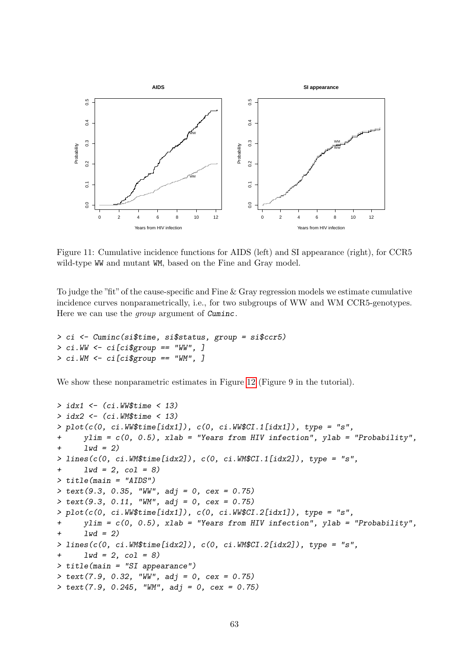

<span id="page-62-0"></span>Figure 11: Cumulative incidence functions for AIDS (left) and SI appearance (right), for CCR5 wild-type WW and mutant WM, based on the Fine and Gray model.

To judge the "fit" of the cause-specific and Fine & Gray regression models we estimate cumulative incidence curves nonparametrically, i.e., for two subgroups of WW and WM CCR5-genotypes. Here we can use the *group* argument of Cuminc.

```
> ci <- Cuminc(si$time, si$status, group = si$ccr5)
> ci.WW <- ci[ci$group == "WW", ]
> ci.WM \leftarrow ci[ci$group == "WM", ]
```
We show these nonparametric estimates in Figure [12](#page-63-3) (Figure 9 in the tutorial).

```
> idx1 <- (ci.WW$time < 13)
> idx2 <- (ci.WM$time < 13)
> plot(c(0, ci.W\#(idx1]), c(0, ci.W\CL.I[idx1]), type = "s",ylim = c(0, 0.5), xlab = "Years from HIV infection", ylab = "Probability",
+ 1wd = 2)
> lines(c(0, ci.WM$time[idx2]), c(0, ci.WM$CI.1[idx2]), type = "s",
+ 1wd = 2, col = 8)
> title(main = "AIDS")
> text(9.3, 0.35, "WW", adj = 0, cex = 0.75)
> text(9.3, 0.11, "WM", adj = 0, cex = 0.75)
> plot(c(0, ci.WW$time[idx1]), c(0, ci.WW$CI.2[idx1]), type = "s",+ ylim = c(0, 0.5), xlab = "Years from HIV infection", ylab = "Probability",
+ 1wd = 2> lines(c(0, ci.WM$time[idx2]), c(0, ci.WM$CI.2[idx2]), type = "s",
+ 1wd = 2, col = 8)
> title(main = "SI appearance")
> text(7.9, 0.32, "WW", adj = 0, cex = 0.75)
> text(7.9, 0.245, "WM", adj = 0, cex = 0.75)
```